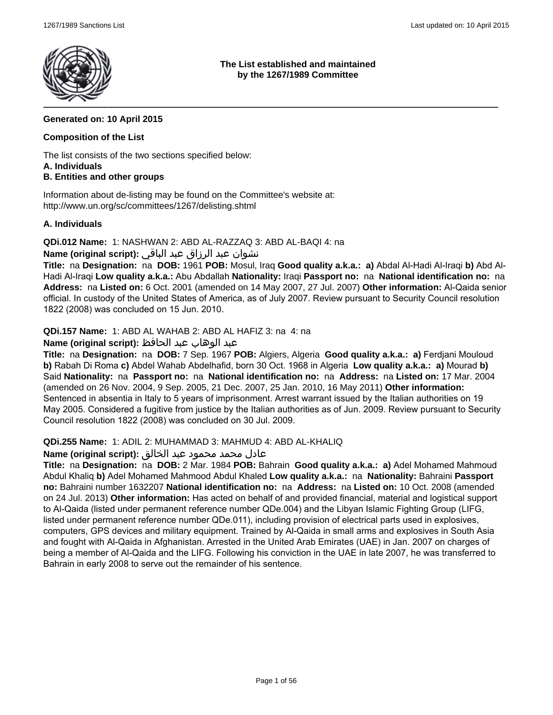

**The List established and maintained by the 1267/1989 Committee**

# **Generated on: 10 April 2015**

# **Composition of the List**

The list consists of the two sections specified below: **A. Individuals**

# **B. Entities and other groups**

Information about de-listing may be found on the Committee's website at: http://www.un.org/sc/committees/1267/delisting.shtml

# **A. Individuals**

**QDi.012 Name:** 1: NASHWAN 2: ABD AL-RAZZAQ 3: ABD AL-BAQI 4: na

# نشوان عبد الرزاق عبد الباقي **:(script original (Name**

**Title:** na **Designation:** na **DOB:** 1961 **POB:** Mosul, Iraq **Good quality a.k.a.: a)** Abdal Al-Hadi Al-Iraqi **b)** Abd Al-Hadi Al-Iraqi **Low quality a.k.a.:** Abu Abdallah **Nationality:** Iraqi **Passport no:** na **National identification no:** na **Address:** na **Listed on:** 6 Oct. 2001 (amended on 14 May 2007, 27 Jul. 2007) **Other information:** Al-Qaida senior official. In custody of the United States of America, as of July 2007. Review pursuant to Security Council resolution 1822 (2008) was concluded on 15 Jun. 2010.

**QDi.157 Name:** 1: ABD AL WAHAB 2: ABD AL HAFIZ 3: na 4: na

# عبد الوهاب عبد الحافظ **:(script original (Name**

**Title:** na **Designation:** na **DOB:** 7 Sep. 1967 **POB:** Algiers, Algeria **Good quality a.k.a.: a)** Ferdjani Mouloud **b)** Rabah Di Roma **c)** Abdel Wahab Abdelhafid, born 30 Oct. 1968 in Algeria **Low quality a.k.a.: a)** Mourad **b)** Said **Nationality:** na **Passport no:** na **National identification no:** na **Address:** na **Listed on:** 17 Mar. 2004 (amended on 26 Nov. 2004, 9 Sep. 2005, 21 Dec. 2007, 25 Jan. 2010, 16 May 2011) **Other information:** Sentenced in absentia in Italy to 5 years of imprisonment. Arrest warrant issued by the Italian authorities on 19 May 2005. Considered a fugitive from justice by the Italian authorities as of Jun. 2009. Review pursuant to Security Council resolution 1822 (2008) was concluded on 30 Jul. 2009.

#### **QDi.255 Name:** 1: ADIL 2: MUHAMMAD 3: MAHMUD 4: ABD AL-KHALIQ

#### عادل محمد محمود عبد الخالق **:(script original (Name**

**Title:** na **Designation:** na **DOB:** 2 Mar. 1984 **POB:** Bahrain **Good quality a.k.a.: a)** Adel Mohamed Mahmoud Abdul Khaliq **b)** Adel Mohamed Mahmood Abdul Khaled **Low quality a.k.a.:** na **Nationality:** Bahraini **Passport no:** Bahraini number 1632207 **National identification no:** na **Address:** na **Listed on:** 10 Oct. 2008 (amended on 24 Jul. 2013) **Other information:** Has acted on behalf of and provided financial, material and logistical support to Al-Qaida (listed under permanent reference number QDe.004) and the Libyan Islamic Fighting Group (LIFG, listed under permanent reference number QDe.011), including provision of electrical parts used in explosives, computers, GPS devices and military equipment. Trained by Al-Qaida in small arms and explosives in South Asia and fought with Al-Qaida in Afghanistan. Arrested in the United Arab Emirates (UAE) in Jan. 2007 on charges of being a member of Al-Qaida and the LIFG. Following his conviction in the UAE in late 2007, he was transferred to Bahrain in early 2008 to serve out the remainder of his sentence.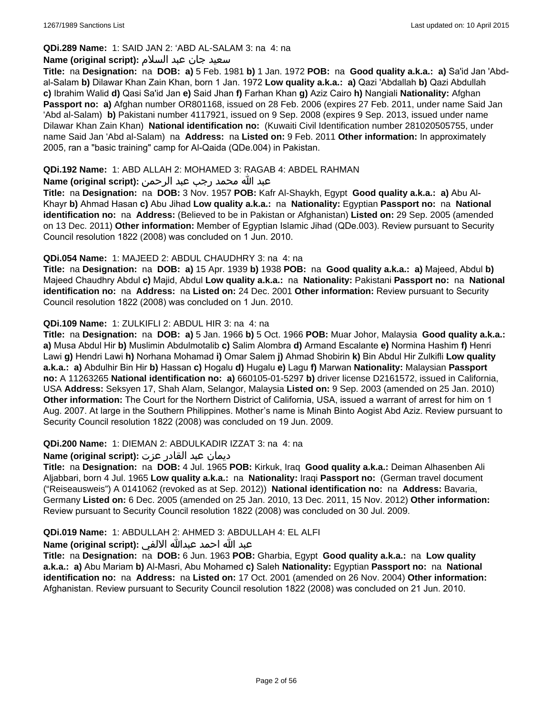# **QDi.289 Name:** 1: SAID JAN 2: 'ABD AL-SALAM 3: na 4: na

### سعید جان عبد السلام **:(script original (Name**

**Title:** na **Designation:** na **DOB: a)** 5 Feb. 1981 **b)** 1 Jan. 1972 **POB:** na **Good quality a.k.a.: a)** Sa'id Jan 'Abdal-Salam **b)** Dilawar Khan Zain Khan, born 1 Jan. 1972 **Low quality a.k.a.: a)** Qazi 'Abdallah **b)** Qazi Abdullah **c)** Ibrahim Walid **d)** Qasi Sa'id Jan **e)** Said Jhan **f)** Farhan Khan **g)** Aziz Cairo **h)** Nangiali **Nationality:** Afghan **Passport no: a)** Afghan number OR801168, issued on 28 Feb. 2006 (expires 27 Feb. 2011, under name Said Jan 'Abd al-Salam) **b)** Pakistani number 4117921, issued on 9 Sep. 2008 (expires 9 Sep. 2013, issued under name Dilawar Khan Zain Khan) **National identification no:** (Kuwaiti Civil Identification number 281020505755, under name Said Jan 'Abd al-Salam) na **Address:** na **Listed on:** 9 Feb. 2011 **Other information:** In approximately 2005, ran a "basic training" camp for Al-Qaida (QDe.004) in Pakistan.

# **QDi.192 Name:** 1: ABD ALLAH 2: MOHAMED 3: RAGAB 4: ABDEL RAHMAN

# عبد الله محمد رجب عبد الرحمن **:(script original (Name**

**Title:** na **Designation:** na **DOB:** 3 Nov. 1957 **POB:** Kafr Al-Shaykh, Egypt **Good quality a.k.a.: a)** Abu Al-Khayr **b)** Ahmad Hasan **c)** Abu Jihad **Low quality a.k.a.:** na **Nationality:** Egyptian **Passport no:** na **National identification no:** na **Address:** (Believed to be in Pakistan or Afghanistan) **Listed on:** 29 Sep. 2005 (amended on 13 Dec. 2011) **Other information:** Member of Egyptian Islamic Jihad (QDe.003). Review pursuant to Security Council resolution 1822 (2008) was concluded on 1 Jun. 2010.

# **QDi.054 Name:** 1: MAJEED 2: ABDUL CHAUDHRY 3: na 4: na

**Title:** na **Designation:** na **DOB: a)** 15 Apr. 1939 **b)** 1938 **POB:** na **Good quality a.k.a.: a)** Majeed, Abdul **b)** Majeed Chaudhry Abdul **c)** Majid, Abdul **Low quality a.k.a.:** na **Nationality:** Pakistani **Passport no:** na **National identification no:** na **Address:** na **Listed on:** 24 Dec. 2001 **Other information:** Review pursuant to Security Council resolution 1822 (2008) was concluded on 1 Jun. 2010.

# **QDi.109 Name:** 1: ZULKIFLI 2: ABDUL HIR 3: na 4: na

**Title:** na **Designation:** na **DOB: a)** 5 Jan. 1966 **b)** 5 Oct. 1966 **POB:** Muar Johor, Malaysia **Good quality a.k.a.: a)** Musa Abdul Hir **b)** Muslimin Abdulmotalib **c)** Salim Alombra **d)** Armand Escalante **e)** Normina Hashim **f)** Henri Lawi **g)** Hendri Lawi **h)** Norhana Mohamad **i)** Omar Salem **j)** Ahmad Shobirin **k)** Bin Abdul Hir Zulkifli **Low quality a.k.a.: a)** Abdulhir Bin Hir **b)** Hassan **c)** Hogalu **d)** Hugalu **e)** Lagu **f)** Marwan **Nationality:** Malaysian **Passport no:** A 11263265 **National identification no: a)** 660105-01-5297 **b)** driver license D2161572, issued in California, USA **Address:** Seksyen 17, Shah Alam, Selangor, Malaysia **Listed on:** 9 Sep. 2003 (amended on 25 Jan. 2010) **Other information:** The Court for the Northern District of California, USA, issued a warrant of arrest for him on 1 Aug. 2007. At large in the Southern Philippines. Mother's name is Minah Binto Aogist Abd Aziz. Review pursuant to Security Council resolution 1822 (2008) was concluded on 19 Jun. 2009.

#### **QDi.200 Name:** 1: DIEMAN 2: ABDULKADIR IZZAT 3: na 4: na

#### ديمان عبد القادر عزت **:(script original (Name**

**Title:** na **Designation:** na **DOB:** 4 Jul. 1965 **POB:** Kirkuk, Iraq **Good quality a.k.a.:** Deiman Alhasenben Ali Aljabbari, born 4 Jul. 1965 **Low quality a.k.a.:** na **Nationality:** Iraqi **Passport no:** (German travel document ("Reiseausweis") A 0141062 (revoked as at Sep. 2012)) **National identification no:** na **Address:** Bavaria, Germany **Listed on:** 6 Dec. 2005 (amended on 25 Jan. 2010, 13 Dec. 2011, 15 Nov. 2012) **Other information:** Review pursuant to Security Council resolution 1822 (2008) was concluded on 30 Jul. 2009.

# **QDi.019 Name:** 1: ABDULLAH 2: AHMED 3: ABDULLAH 4: EL ALFI

# عبد الله احمد عبدالله الالفي **:(script original (Name**

**Title:** na **Designation:** na **DOB:** 6 Jun. 1963 **POB:** Gharbia, Egypt **Good quality a.k.a.:** na **Low quality a.k.a.: a)** Abu Mariam **b)** Al-Masri, Abu Mohamed **c)** Saleh **Nationality:** Egyptian **Passport no:** na **National identification no:** na **Address:** na **Listed on:** 17 Oct. 2001 (amended on 26 Nov. 2004) **Other information:** Afghanistan. Review pursuant to Security Council resolution 1822 (2008) was concluded on 21 Jun. 2010.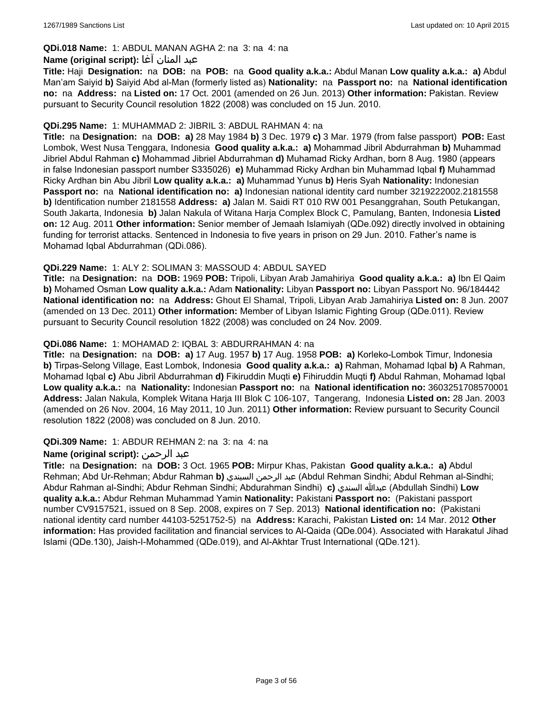# **QDi.018 Name:** 1: ABDUL MANAN AGHA 2: na 3: na 4: na

#### عبد المنان آغا **:(script original (Name**

**Title:** Haji **Designation:** na **DOB:** na **POB:** na **Good quality a.k.a.:** Abdul Manan **Low quality a.k.a.: a)** Abdul Man'am Saiyid **b)** Saiyid Abd al-Man (formerly listed as) **Nationality:** na **Passport no:** na **National identification no:** na **Address:** na **Listed on:** 17 Oct. 2001 (amended on 26 Jun. 2013) **Other information:** Pakistan. Review pursuant to Security Council resolution 1822 (2008) was concluded on 15 Jun. 2010.

### **QDi.295 Name:** 1: MUHAMMAD 2: JIBRIL 3: ABDUL RAHMAN 4: na

**Title:** na **Designation:** na **DOB: a)** 28 May 1984 **b)** 3 Dec. 1979 **c)** 3 Mar. 1979 (from false passport) **POB:** East Lombok, West Nusa Tenggara, Indonesia **Good quality a.k.a.: a)** Mohammad Jibril Abdurrahman **b)** Muhammad Jibriel Abdul Rahman **c)** Mohammad Jibriel Abdurrahman **d)** Muhamad Ricky Ardhan, born 8 Aug. 1980 (appears in false Indonesian passport number S335026) **e)** Muhammad Ricky Ardhan bin Muhammad Iqbal **f)** Muhammad Ricky Ardhan bin Abu Jibril **Low quality a.k.a.: a)** Muhammad Yunus **b)** Heris Syah **Nationality:** Indonesian **Passport no:** na **National identification no: a)** Indonesian national identity card number 3219222002.2181558 **b)** Identification number 2181558 **Address: a)** Jalan M. Saidi RT 010 RW 001 Pesanggrahan, South Petukangan, South Jakarta, Indonesia **b)** Jalan Nakula of Witana Harja Complex Block C, Pamulang, Banten, Indonesia **Listed on:** 12 Aug. 2011 **Other information:** Senior member of Jemaah Islamiyah (QDe.092) directly involved in obtaining funding for terrorist attacks. Sentenced in Indonesia to five years in prison on 29 Jun. 2010. Father's name is Mohamad Iqbal Abdurrahman (QDi.086).

# **QDi.229 Name:** 1: ALY 2: SOLIMAN 3: MASSOUD 4: ABDUL SAYED

**Title:** na **Designation:** na **DOB:** 1969 **POB:** Tripoli, Libyan Arab Jamahiriya **Good quality a.k.a.: a)** Ibn El Qaim **b)** Mohamed Osman **Low quality a.k.a.:** Adam **Nationality:** Libyan **Passport no:** Libyan Passport No. 96/184442 **National identification no:** na **Address:** Ghout El Shamal, Tripoli, Libyan Arab Jamahiriya **Listed on:** 8 Jun. 2007 (amended on 13 Dec. 2011) **Other information:** Member of Libyan Islamic Fighting Group (QDe.011). Review pursuant to Security Council resolution 1822 (2008) was concluded on 24 Nov. 2009.

# **QDi.086 Name:** 1: MOHAMAD 2: IQBAL 3: ABDURRAHMAN 4: na

**Title:** na **Designation:** na **DOB: a)** 17 Aug. 1957 **b)** 17 Aug. 1958 **POB: a)** Korleko-Lombok Timur, Indonesia **b)** Tirpas-Selong Village, East Lombok, Indonesia **Good quality a.k.a.: a)** Rahman, Mohamad Iqbal **b)** A Rahman, Mohamad Iqbal **c)** Abu Jibril Abdurrahman **d)** Fikiruddin Muqti **e)** Fihiruddin Muqti **f)** Abdul Rahman, Mohamad Iqbal **Low quality a.k.a.:** na **Nationality:** Indonesian **Passport no:** na **National identification no:** 3603251708570001 **Address:** Jalan Nakula, Komplek Witana Harja III Blok C 106-107, Tangerang, Indonesia **Listed on:** 28 Jan. 2003 (amended on 26 Nov. 2004, 16 May 2011, 10 Jun. 2011) **Other information:** Review pursuant to Security Council resolution 1822 (2008) was concluded on 8 Jun. 2010.

#### **QDi.309 Name:** 1: ABDUR REHMAN 2: na 3: na 4: na

# **Name (original script):** الرحمن عبد

**Title:** na **Designation:** na **DOB:** 3 Oct. 1965 **POB:** Mirpur Khas, Pakistan **Good quality a.k.a.: a)** Abdul Rehman; Abd Ur-Rehman; Abdur Rahman **b)** السيندي الرحمن عبد) Abdul Rehman Sindhi; Abdul Rehman al-Sindhi; Abdur Rahman al-Sindhi; Abdur Rehman Sindhi; Abdurahman Sindhi) **c)** السندي عبدالله) Abdullah Sindhi) **Low quality a.k.a.:** Abdur Rehman Muhammad Yamin **Nationality:** Pakistani **Passport no:** (Pakistani passport number CV9157521, issued on 8 Sep. 2008, expires on 7 Sep. 2013) **National identification no:** (Pakistani national identity card number 44103-5251752-5) na **Address:** Karachi, Pakistan **Listed on:** 14 Mar. 2012 **Other information:** Has provided facilitation and financial services to Al-Qaida (QDe.004). Associated with Harakatul Jihad Islami (QDe.130), Jaish-I-Mohammed (QDe.019), and Al-Akhtar Trust International (QDe.121).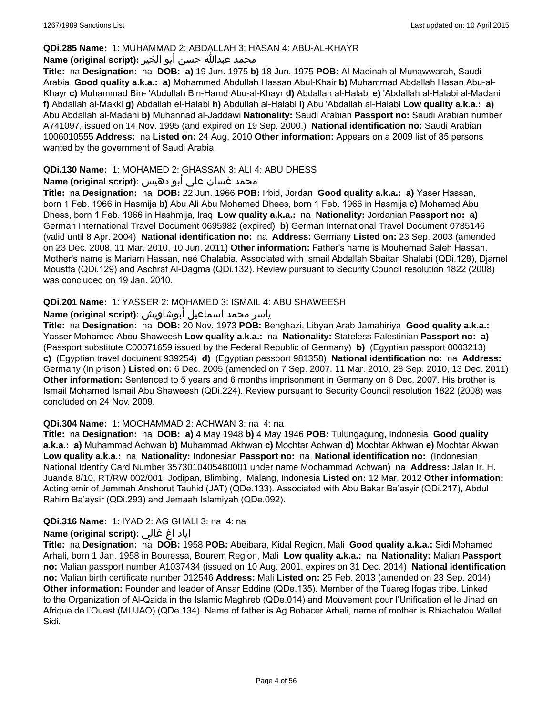# **QDi.285 Name:** 1: MUHAMMAD 2: ABDALLAH 3: HASAN 4: ABU-AL-KHAYR

#### محمد عبدالله حسن أبو الخير **:Name (original script**)

**Title:** na **Designation:** na **DOB: a)** 19 Jun. 1975 **b)** 18 Jun. 1975 **POB:** Al-Madinah al-Munawwarah, Saudi Arabia **Good quality a.k.a.: a)** Mohammed Abdullah Hassan Abul-Khair **b)** Muhammad Abdallah Hasan Abu-al-Khayr **c)** Muhammad Bin- 'Abdullah Bin-Hamd Abu-al-Khayr **d)** Abdallah al-Halabi **e)** 'Abdallah al-Halabi al-Madani **f)** Abdallah al-Makki **g)** Abdallah el-Halabi **h)** Abdullah al-Halabi **i)** Abu 'Abdallah al-Halabi **Low quality a.k.a.: a)** Abu Abdallah al-Madani **b)** Muhannad al-Jaddawi **Nationality:** Saudi Arabian **Passport no:** Saudi Arabian number A741097, issued on 14 Nov. 1995 (and expired on 19 Sep. 2000.) **National identification no:** Saudi Arabian 1006010555 **Address:** na **Listed on:** 24 Aug. 2010 **Other information:** Appears on a 2009 list of 85 persons wanted by the government of Saudi Arabia.

# **QDi.130 Name:** 1: MOHAMED 2: GHASSAN 3: ALI 4: ABU DHESS

# محمد غسان علي أبو دهيس :(Name (original script

**Title:** na **Designation:** na **DOB:** 22 Jun. 1966 **POB:** Irbid, Jordan **Good quality a.k.a.: a)** Yaser Hassan, born 1 Feb. 1966 in Hasmija **b)** Abu Ali Abu Mohamed Dhees, born 1 Feb. 1966 in Hasmija **c)** Mohamed Abu Dhess, born 1 Feb. 1966 in Hashmija, Iraq **Low quality a.k.a.:** na **Nationality:** Jordanian **Passport no: a)** German International Travel Document 0695982 (expired) **b)** German International Travel Document 0785146 (valid until 8 Apr. 2004) **National identification no:** na **Address:** Germany **Listed on:** 23 Sep. 2003 (amended on 23 Dec. 2008, 11 Mar. 2010, 10 Jun. 2011) **Other information:** Father's name is Mouhemad Saleh Hassan. Mother's name is Mariam Hassan, neé Chalabia. Associated with Ismail Abdallah Sbaitan Shalabi (QDi.128), Djamel Moustfa (QDi.129) and Aschraf Al-Dagma (QDi.132). Review pursuant to Security Council resolution 1822 (2008) was concluded on 19 Jan. 2010.

# **QDi.201 Name:** 1: YASSER 2: MOHAMED 3: ISMAIL 4: ABU SHAWEESH

# ياسر محمد اسماعيل أبوشاويش :Name (original script)

**Title:** na **Designation:** na **DOB:** 20 Nov. 1973 **POB:** Benghazi, Libyan Arab Jamahiriya **Good quality a.k.a.:** Yasser Mohamed Abou Shaweesh **Low quality a.k.a.:** na **Nationality:** Stateless Palestinian **Passport no: a)**  (Passport substitute C00071659 issued by the Federal Republic of Germany) **b)** (Egyptian passport 0003213) **c)** (Egyptian travel document 939254) **d)** (Egyptian passport 981358) **National identification no:** na **Address:** Germany (In prison ) **Listed on:** 6 Dec. 2005 (amended on 7 Sep. 2007, 11 Mar. 2010, 28 Sep. 2010, 13 Dec. 2011) **Other information:** Sentenced to 5 years and 6 months imprisonment in Germany on 6 Dec. 2007. His brother is Ismail Mohamed Ismail Abu Shaweesh (QDi.224). Review pursuant to Security Council resolution 1822 (2008) was concluded on 24 Nov. 2009.

#### **QDi.304 Name:** 1: MOCHAMMAD 2: ACHWAN 3: na 4: na

**Title:** na **Designation:** na **DOB: a)** 4 May 1948 **b)** 4 May 1946 **POB:** Tulungagung, Indonesia **Good quality a.k.a.: a)** Muhammad Achwan **b)** Muhammad Akhwan **c)** Mochtar Achwan **d)** Mochtar Akhwan **e)** Mochtar Akwan **Low quality a.k.a.:** na **Nationality:** Indonesian **Passport no:** na **National identification no:** (Indonesian National Identity Card Number 3573010405480001 under name Mochammad Achwan) na **Address:** Jalan Ir. H. Juanda 8/10, RT/RW 002/001, Jodipan, Blimbing, Malang, Indonesia **Listed on:** 12 Mar. 2012 **Other information:** Acting emir of Jemmah Anshorut Tauhid (JAT) (QDe.133). Associated with Abu Bakar Ba'asyir (QDi.217), Abdul Rahim Ba'aysir (QDi.293) and Jemaah Islamiyah (QDe.092).

#### **QDi.316 Name:** 1: IYAD 2: AG GHALI 3: na 4: na

# اياد اغ غالي **:(script original (Name**

**Title:** na **Designation:** na **DOB:** 1958 **POB:** Abeibara, Kidal Region, Mali **Good quality a.k.a.:** Sidi Mohamed Arhali, born 1 Jan. 1958 in Bouressa, Bourem Region, Mali **Low quality a.k.a.:** na **Nationality:** Malian **Passport no:** Malian passport number A1037434 (issued on 10 Aug. 2001, expires on 31 Dec. 2014) **National identification no:** Malian birth certificate number 012546 **Address:** Mali **Listed on:** 25 Feb. 2013 (amended on 23 Sep. 2014) **Other information:** Founder and leader of Ansar Eddine (QDe.135). Member of the Tuareg Ifogas tribe. Linked to the Organization of Al-Qaida in the Islamic Maghreb (QDe.014) and Mouvement pour l'Unification et le Jihad en Afrique de l'Ouest (MUJAO) (QDe.134). Name of father is Ag Bobacer Arhali, name of mother is Rhiachatou Wallet Sidi.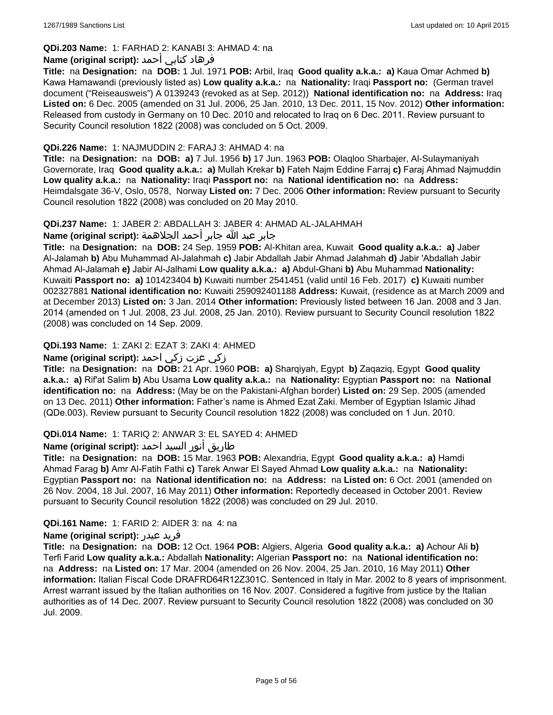# **QDi.203 Name:** 1: FARHAD 2: KANABI 3: AHMAD 4: na

# فرهاد كنابي أحمد **:Name (original script)**

**Title:** na **Designation:** na **DOB:** 1 Jul. 1971 **POB:** Arbil, Iraq **Good quality a.k.a.: a)** Kaua Omar Achmed **b)** Kawa Hamawandi (previously listed as) **Low quality a.k.a.:** na **Nationality:** Iraqi **Passport no:** (German travel document ("Reiseausweis") A 0139243 (revoked as at Sep. 2012)) **National identification no:** na **Address:** Iraq **Listed on:** 6 Dec. 2005 (amended on 31 Jul. 2006, 25 Jan. 2010, 13 Dec. 2011, 15 Nov. 2012) **Other information:** Released from custody in Germany on 10 Dec. 2010 and relocated to Iraq on 6 Dec. 2011. Review pursuant to Security Council resolution 1822 (2008) was concluded on 5 Oct. 2009.

# **QDi.226 Name:** 1: NAJMUDDIN 2: FARAJ 3: AHMAD 4: na

**Title:** na **Designation:** na **DOB: a)** 7 Jul. 1956 **b)** 17 Jun. 1963 **POB:** Olaqloo Sharbajer, Al-Sulaymaniyah Governorate, Iraq **Good quality a.k.a.: a)** Mullah Krekar **b)** Fateh Najm Eddine Farraj **c)** Faraj Ahmad Najmuddin **Low quality a.k.a.:** na **Nationality:** Iraqi **Passport no:** na **National identification no:** na **Address:** Heimdalsgate 36-V, Oslo, 0578, Norway **Listed on:** 7 Dec. 2006 **Other information:** Review pursuant to Security Council resolution 1822 (2008) was concluded on 20 May 2010.

# **QDi.237 Name:** 1: JABER 2: ABDALLAH 3: JABER 4: AHMAD AL-JALAHMAH

جابر عبد الله جابر أحمد الجلاهمة **:(script original (Name**

**Title:** na **Designation:** na **DOB:** 24 Sep. 1959 **POB:** Al-Khitan area, Kuwait **Good quality a.k.a.: a)** Jaber Al-Jalamah **b)** Abu Muhammad Al-Jalahmah **c)** Jabir Abdallah Jabir Ahmad Jalahmah **d)** Jabir 'Abdallah Jabir Ahmad Al-Jalamah **e)** Jabir Al-Jalhami **Low quality a.k.a.: a)** Abdul-Ghani **b)** Abu Muhammad **Nationality:** Kuwaiti **Passport no: a)** 101423404 **b)** Kuwaiti number 2541451 (valid until 16 Feb. 2017) **c)** Kuwaiti number 002327881 **National identification no:** Kuwaiti 259092401188 **Address:** Kuwait, (residence as at March 2009 and at December 2013) **Listed on:** 3 Jan. 2014 **Other information:** Previously listed between 16 Jan. 2008 and 3 Jan. 2014 (amended on 1 Jul. 2008, 23 Jul. 2008, 25 Jan. 2010). Review pursuant to Security Council resolution 1822 (2008) was concluded on 14 Sep. 2009.

# **QDi.193 Name:** 1: ZAKI 2: EZAT 3: ZAKI 4: AHMED

# زكي عزت زكي احمد **:(script original (Name**

**Title:** na **Designation:** na **DOB:** 21 Apr. 1960 **POB: a)** Sharqiyah, Egypt **b)** Zaqaziq, Egypt **Good quality a.k.a.: a)** Rif'at Salim **b)** Abu Usama **Low quality a.k.a.:** na **Nationality:** Egyptian **Passport no:** na **National identification no:** na **Address:** (May be on the Pakistani-Afghan border) **Listed on:** 29 Sep. 2005 (amended on 13 Dec. 2011) **Other information:** Father's name is Ahmed Ezat Zaki. Member of Egyptian Islamic Jihad (QDe.003). Review pursuant to Security Council resolution 1822 (2008) was concluded on 1 Jun. 2010.

# **QDi.014 Name:** 1: TARIQ 2: ANWAR 3: EL SAYED 4: AHMED

# طاريق أنور السيد احمد **:Name (original script)**

**Title:** na **Designation:** na **DOB:** 15 Mar. 1963 **POB:** Alexandria, Egypt **Good quality a.k.a.: a)** Hamdi Ahmad Farag **b)** Amr Al-Fatih Fathi **c)** Tarek Anwar El Sayed Ahmad **Low quality a.k.a.:** na **Nationality:** Egyptian **Passport no:** na **National identification no:** na **Address:** na **Listed on:** 6 Oct. 2001 (amended on 26 Nov. 2004, 18 Jul. 2007, 16 May 2011) **Other information:** Reportedly deceased in October 2001. Review pursuant to Security Council resolution 1822 (2008) was concluded on 29 Jul. 2010.

# **QDi.161 Name:** 1: FARID 2: AIDER 3: na 4: na

#### **Name (original script):** عيدر فريد

**Title:** na **Designation:** na **DOB:** 12 Oct. 1964 **POB:** Algiers, Algeria **Good quality a.k.a.: a)** Achour Ali **b)** Terfi Farid **Low quality a.k.a.:** Abdallah **Nationality:** Algerian **Passport no:** na **National identification no:**  na **Address:** na **Listed on:** 17 Mar. 2004 (amended on 26 Nov. 2004, 25 Jan. 2010, 16 May 2011) **Other information:** Italian Fiscal Code DRAFRD64R12Z301C. Sentenced in Italy in Mar. 2002 to 8 years of imprisonment. Arrest warrant issued by the Italian authorities on 16 Nov. 2007. Considered a fugitive from justice by the Italian authorities as of 14 Dec. 2007. Review pursuant to Security Council resolution 1822 (2008) was concluded on 30 Jul. 2009.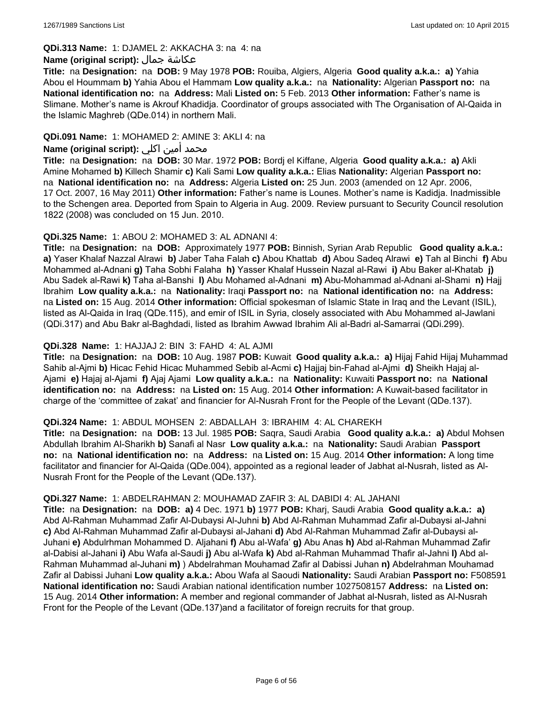#### **QDi.313 Name:** 1: DJAMEL 2: AKKACHA 3: na 4: na

# **Name (original script):** جمال عكاشة

**Title:** na **Designation:** na **DOB:** 9 May 1978 **POB:** Rouiba, Algiers, Algeria **Good quality a.k.a.: a)** Yahia Abou el Hoummam **b)** Yahia Abou el Hammam **Low quality a.k.a.:** na **Nationality:** Algerian **Passport no:** na **National identification no:** na **Address:** Mali **Listed on:** 5 Feb. 2013 **Other information:** Father's name is Slimane. Mother's name is Akrouf Khadidja. Coordinator of groups associated with The Organisation of Al-Qaida in the Islamic Maghreb (QDe.014) in northern Mali.

# **QDi.091 Name:** 1: MOHAMED 2: AMINE 3: AKLI 4: na

# محمد أمين اكلي **:Name (original script)**

**Title:** na **Designation:** na **DOB:** 30 Mar. 1972 **POB:** Bordj el Kiffane, Algeria **Good quality a.k.a.: a)** Akli Amine Mohamed **b)** Killech Shamir **c)** Kali Sami **Low quality a.k.a.:** Elias **Nationality:** Algerian **Passport no:**  na **National identification no:** na **Address:** Algeria **Listed on:** 25 Jun. 2003 (amended on 12 Apr. 2006, 17 Oct. 2007, 16 May 2011) **Other information:** Father's name is Lounes. Mother's name is Kadidja. Inadmissible to the Schengen area. Deported from Spain to Algeria in Aug. 2009. Review pursuant to Security Council resolution 1822 (2008) was concluded on 15 Jun. 2010.

#### **QDi.325 Name:** 1: ABOU 2: MOHAMED 3: AL ADNANI 4:

**Title:** na **Designation:** na **DOB:** Approximately 1977 **POB:** Binnish, Syrian Arab Republic **Good quality a.k.a.: a)** Yaser Khalaf Nazzal Alrawi **b)** Jaber Taha Falah **c)** Abou Khattab **d)** Abou Sadeq Alrawi **e)** Tah al Binchi **f)** Abu Mohammed al-Adnani **g)** Taha Sobhi Falaha **h)** Yasser Khalaf Hussein Nazal al-Rawi **i)** Abu Baker al-Khatab **j)** Abu Sadek al-Rawi **k)** Taha al-Banshi **l)** Abu Mohamed al-Adnani **m)** Abu-Mohammad al-Adnani al-Shami **n)** Hajj Ibrahim **Low quality a.k.a.:** na **Nationality:** Iraqi **Passport no:** na **National identification no:** na **Address:**  na **Listed on:** 15 Aug. 2014 **Other information:** Official spokesman of Islamic State in Iraq and the Levant (ISIL), listed as Al-Qaida in Iraq (QDe.115), and emir of ISIL in Syria, closely associated with Abu Mohammed al-Jawlani (QDi.317) and Abu Bakr al-Baghdadi, listed as Ibrahim Awwad Ibrahim Ali al-Badri al-Samarrai (QDi.299).

# **QDi.328 Name:** 1: HAJJAJ 2: BIN 3: FAHD 4: AL AJMI

**Title:** na **Designation:** na **DOB:** 10 Aug. 1987 **POB:** Kuwait **Good quality a.k.a.: a)** Hijaj Fahid Hijaj Muhammad Sahib al-Ajmi **b)** Hicac Fehid Hicac Muhammed Sebib al-Acmi **c)** Hajjaj bin-Fahad al-Ajmi **d)** Sheikh Hajaj al-Ajami **e)** Hajaj al-Ajami **f)** Ajaj Ajami **Low quality a.k.a.:** na **Nationality:** Kuwaiti **Passport no:** na **National identification no:** na **Address:** na **Listed on:** 15 Aug. 2014 **Other information:** A Kuwait-based facilitator in charge of the 'committee of zakat' and financier for Al-Nusrah Front for the People of the Levant (QDe.137).

#### **QDi.324 Name:** 1: ABDUL MOHSEN 2: ABDALLAH 3: IBRAHIM 4: AL CHAREKH

**Title:** na **Designation:** na **DOB:** 13 Jul. 1985 **POB:** Saqra, Saudi Arabia **Good quality a.k.a.: a)** Abdul Mohsen Abdullah Ibrahim Al-Sharikh **b)** Sanafi al Nasr **Low quality a.k.a.:** na **Nationality:** Saudi Arabian **Passport no:** na **National identification no:** na **Address:** na **Listed on:** 15 Aug. 2014 **Other information:** A long time facilitator and financier for Al-Qaida (QDe.004), appointed as a regional leader of Jabhat al-Nusrah, listed as Al-Nusrah Front for the People of the Levant (QDe.137).

#### **QDi.327 Name:** 1: ABDELRAHMAN 2: MOUHAMAD ZAFIR 3: AL DABIDI 4: AL JAHANI

**Title:** na **Designation:** na **DOB: a)** 4 Dec. 1971 **b)** 1977 **POB:** Kharj, Saudi Arabia **Good quality a.k.a.: a)** Abd Al-Rahman Muhammad Zafir Al-Dubaysi Al-Juhni **b)** Abd Al-Rahman Muhammad Zafir al-Dubaysi al-Jahni **c)** Abd Al-Rahman Muhammad Zafir al-Dubaysi al-Jahani **d)** Abd Al-Rahman Muhammad Zafir al-Dubaysi al-Juhani **e)** Abdulrhman Mohammed D. Aljahani **f)** Abu al-Wafa' **g)** Abu Anas **h)** Abd al-Rahman Muhammad Zafir al-Dabisi al-Jahani **i)** Abu Wafa al-Saudi **j)** Abu al-Wafa **k)** Abd al-Rahman Muhammad Thafir al-Jahni **l)** Abd al-Rahman Muhammad al-Juhani **m)** ) Abdelrahman Mouhamad Zafir al Dabissi Juhan **n)** Abdelrahman Mouhamad Zafir al Dabissi Juhani **Low quality a.k.a.:** Abou Wafa al Saoudi **Nationality:** Saudi Arabian **Passport no:** F508591 **National identification no:** Saudi Arabian national identification number 1027508157 **Address:** na **Listed on:** 15 Aug. 2014 **Other information:** A member and regional commander of Jabhat al-Nusrah, listed as Al-Nusrah Front for the People of the Levant (QDe.137)and a facilitator of foreign recruits for that group.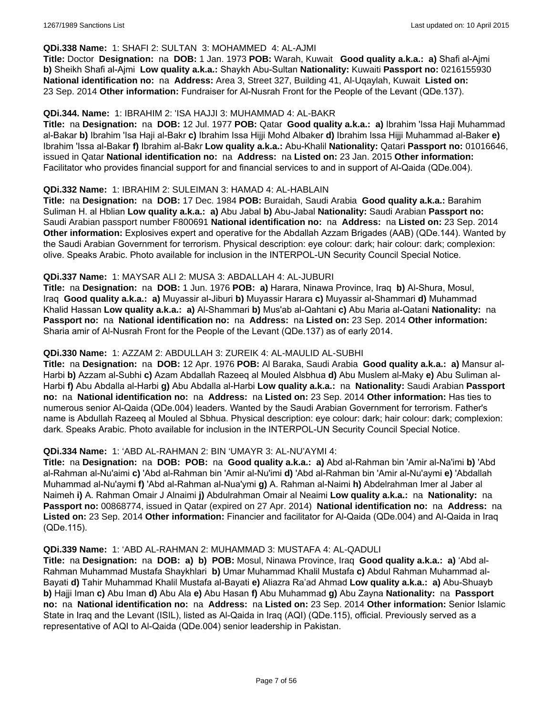# **QDi.338 Name:** 1: SHAFI 2: SULTAN 3: MOHAMMED 4: AL-AJMI

**Title:** Doctor **Designation:** na **DOB:** 1 Jan. 1973 **POB:** Warah, Kuwait **Good quality a.k.a.: a)** Shafi al-Ajmi **b)** Sheikh Shafi al-Ajmi **Low quality a.k.a.:** Shaykh Abu-Sultan **Nationality:** Kuwaiti **Passport no:** 0216155930 **National identification no:** na **Address:** Area 3, Street 327, Building 41, Al-Uqaylah, Kuwait **Listed on:** 23 Sep. 2014 **Other information:** Fundraiser for Al-Nusrah Front for the People of the Levant (QDe.137).

### **QDi.344. Name:** 1: IBRAHIM 2: 'ISA HAJJI 3: MUHAMMAD 4: AL-BAKR

**Title:** na **Designation:** na **DOB:** 12 Jul. 1977 **POB:** Qatar **Good quality a.k.a.: a)** Ibrahim 'Issa Haji Muhammad al-Bakar **b)** Ibrahim 'Isa Haji al-Bakr **c)** Ibrahim Issa Hijji Mohd Albaker **d)** Ibrahim Issa Hijji Muhammad al-Baker **e)** Ibrahim 'Issa al-Bakar **f)** Ibrahim al-Bakr **Low quality a.k.a.:** Abu-Khalil **Nationality:** Qatari **Passport no:** 01016646, issued in Qatar **National identification no:** na **Address:** na **Listed on:** 23 Jan. 2015 **Other information:** Facilitator who provides financial support for and financial services to and in support of Al-Qaida (QDe.004).

#### **QDi.332 Name:** 1: IBRAHIM 2: SULEIMAN 3: HAMAD 4: AL-HABLAIN

**Title:** na **Designation:** na **DOB:** 17 Dec. 1984 **POB:** Buraidah, Saudi Arabia **Good quality a.k.a.:** Barahim Suliman H. al Hblian **Low quality a.k.a.: a)** Abu Jabal **b)** Abu-Jabal **Nationality:** Saudi Arabian **Passport no:** Saudi Arabian passport number F800691 **National identification no:** na **Address:** na **Listed on:** 23 Sep. 2014 **Other information:** Explosives expert and operative for the Abdallah Azzam Brigades (AAB) (QDe.144). Wanted by the Saudi Arabian Government for terrorism. Physical description: eye colour: dark; hair colour: dark; complexion: olive. Speaks Arabic. Photo available for inclusion in the INTERPOL-UN Security Council Special Notice.

# **QDi.337 Name:** 1: MAYSAR ALI 2: MUSA 3: ABDALLAH 4: AL-JUBURI

**Title:** na **Designation:** na **DOB:** 1 Jun. 1976 **POB: a)** Harara, Ninawa Province, Iraq **b)** Al-Shura, Mosul, Iraq **Good quality a.k.a.: a)** Muyassir al-Jiburi **b)** Muyassir Harara **c)** Muyassir al-Shammari **d)** Muhammad Khalid Hassan **Low quality a.k.a.: a)** Al-Shammari **b)** Mus'ab al-Qahtani **c)** Abu Maria al-Qatani **Nationality:** na **Passport no:** na **National identification no:** na **Address:** na **Listed on:** 23 Sep. 2014 **Other information:** Sharia amir of Al-Nusrah Front for the People of the Levant (QDe.137) as of early 2014.

# **QDi.330 Name:** 1: AZZAM 2: ABDULLAH 3: ZUREIK 4: AL-MAULID AL-SUBHI

**Title:** na **Designation:** na **DOB:** 12 Apr. 1976 **POB:** Al Baraka, Saudi Arabia **Good quality a.k.a.: a)** Mansur al-Harbi **b)** Azzam al-Subhi **c)** Azam Abdallah Razeeq al Mouled Alsbhua **d)** Abu Muslem al-Maky **e)** Abu Suliman al-Harbi **f)** Abu Abdalla al-Harbi **g)** Abu Abdalla al-Harbi **Low quality a.k.a.:** na **Nationality:** Saudi Arabian **Passport no:** na **National identification no:** na **Address:** na **Listed on:** 23 Sep. 2014 **Other information:** Has ties to numerous senior Al-Qaida (QDe.004) leaders. Wanted by the Saudi Arabian Government for terrorism. Father's name is Abdullah Razeeq al Mouled al Sbhua. Physical description: eye colour: dark; hair colour: dark; complexion: dark. Speaks Arabic. Photo available for inclusion in the INTERPOL-UN Security Council Special Notice.

#### **QDi.334 Name:** 1: 'ABD AL-RAHMAN 2: BIN 'UMAYR 3: AL-NU'AYMI 4:

**Title:** na **Designation:** na **DOB: POB:** na **Good quality a.k.a.: a)** Abd al-Rahman bin 'Amir al-Na'imi **b)** 'Abd al-Rahman al-Nu'aimi **c)** 'Abd al-Rahman bin 'Amir al-Nu'imi **d)** 'Abd al-Rahman bin 'Amir al-Nu'aymi **e)** 'Abdallah Muhammad al-Nu'aymi **f)** 'Abd al-Rahman al-Nua'ymi **g)** A. Rahman al-Naimi **h)** Abdelrahman Imer al Jaber al Naimeh **i)** A. Rahman Omair J Alnaimi **j)** Abdulrahman Omair al Neaimi **Low quality a.k.a.:** na **Nationality:** na **Passport no:** 00868774, issued in Qatar (expired on 27 Apr. 2014) **National identification no:** na **Address:** na **Listed on:** 23 Sep. 2014 **Other information:** Financier and facilitator for Al-Qaida (QDe.004) and Al-Qaida in Iraq (QDe.115).

#### **QDi.339 Name:** 1: 'ABD AL-RAHMAN 2: MUHAMMAD 3: MUSTAFA 4: AL-QADULI

**Title:** na **Designation:** na **DOB: a) b) POB:** Mosul, Ninawa Province, Iraq **Good quality a.k.a.: a)** 'Abd al-Rahman Muhammad Mustafa Shaykhlari **b)** Umar Muhammad Khalil Mustafa **c)** Abdul Rahman Muhammad al-Bayati **d)** Tahir Muhammad Khalil Mustafa al-Bayati **e)** Aliazra Ra'ad Ahmad **Low quality a.k.a.: a)** Abu-Shuayb **b)** Hajji Iman **c)** Abu Iman **d)** Abu Ala **e)** Abu Hasan **f)** Abu Muhammad **g)** Abu Zayna **Nationality:** na **Passport no:** na **National identification no:** na **Address:** na **Listed on:** 23 Sep. 2014 **Other information:** Senior Islamic State in Iraq and the Levant (ISIL), listed as Al-Qaida in Iraq (AQI) (QDe.115), official. Previously served as a representative of AQI to Al-Qaida (QDe.004) senior leadership in Pakistan.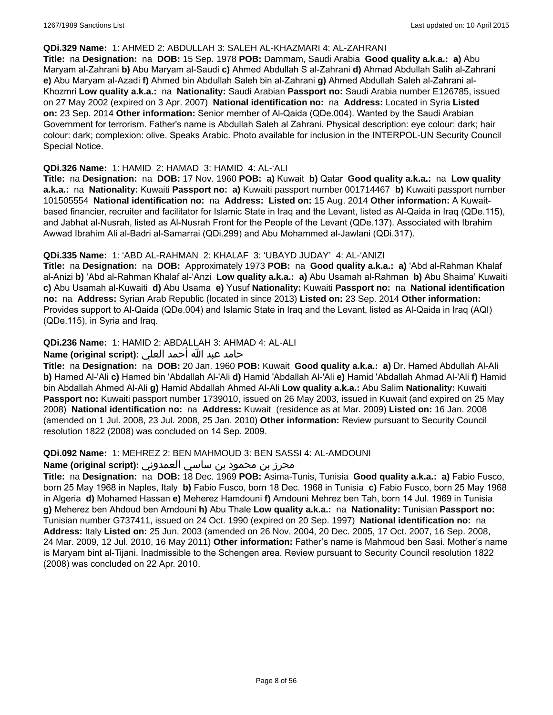#### **QDi.329 Name:** 1: AHMED 2: ABDULLAH 3: SALEH AL-KHAZMARI 4: AL-ZAHRANI

**Title:** na **Designation:** na **DOB:** 15 Sep. 1978 **POB:** Dammam, Saudi Arabia **Good quality a.k.a.: a)** Abu Maryam al-Zahrani **b)** Abu Maryam al-Saudi **c)** Ahmed Abdullah S al-Zahrani **d)** Ahmad Abdullah Salih al-Zahrani **e)** Abu Maryam al-Azadi **f)** Ahmed bin Abdullah Saleh bin al-Zahrani **g)** Ahmed Abdullah Saleh al-Zahrani al-Khozmri **Low quality a.k.a.:** na **Nationality:** Saudi Arabian **Passport no:** Saudi Arabia number E126785, issued on 27 May 2002 (expired on 3 Apr. 2007) **National identification no:** na **Address:** Located in Syria **Listed on:** 23 Sep. 2014 **Other information:** Senior member of Al-Qaida (QDe.004). Wanted by the Saudi Arabian Government for terrorism. Father's name is Abdullah Saleh al Zahrani. Physical description: eye colour: dark; hair colour: dark; complexion: olive. Speaks Arabic. Photo available for inclusion in the INTERPOL-UN Security Council Special Notice.

### **QDi.326 Name:** 1: HAMID 2: HAMAD 3: HAMID 4: AL-'ALI

**Title:** na **Designation:** na **DOB:** 17 Nov. 1960 **POB: a)** Kuwait **b)** Qatar **Good quality a.k.a.:** na **Low quality a.k.a.:** na **Nationality:** Kuwaiti **Passport no: a)** Kuwaiti passport number 001714467 **b)** Kuwaiti passport number 101505554 **National identification no:** na **Address: Listed on:** 15 Aug. 2014 **Other information:** A Kuwaitbased financier, recruiter and facilitator for Islamic State in Iraq and the Levant, listed as Al-Qaida in Iraq (QDe.115), and Jabhat al-Nusrah, listed as Al-Nusrah Front for the People of the Levant (QDe.137). Associated with Ibrahim Awwad Ibrahim Ali al-Badri al-Samarrai (QDi.299) and Abu Mohammed al-Jawlani (QDi.317).

# **QDi.335 Name:** 1: 'ABD AL-RAHMAN 2: KHALAF 3: 'UBAYD JUDAY' 4: AL-'ANIZI

**Title:** na **Designation:** na **DOB:** Approximately 1973 **POB:** na **Good quality a.k.a.: a)** 'Abd al-Rahman Khalaf al-Anizi **b)** 'Abd al-Rahman Khalaf al-'Anzi **Low quality a.k.a.: a)** Abu Usamah al-Rahman **b)** Abu Shaima' Kuwaiti **c)** Abu Usamah al-Kuwaiti **d)** Abu Usama **e)** Yusuf **Nationality:** Kuwaiti **Passport no:** na **National identification no:** na **Address:** Syrian Arab Republic (located in since 2013) **Listed on:** 23 Sep. 2014 **Other information:** Provides support to Al-Qaida (QDe.004) and Islamic State in Iraq and the Levant, listed as Al-Qaida in Iraq (AQI) (QDe.115), in Syria and Iraq.

# **QDi.236 Name:** 1: HAMID 2: ABDALLAH 3: AHMAD 4: AL-ALI

# حامد عبد الله أحمد العلي **:(script original (Name**

**Title:** na **Designation:** na **DOB:** 20 Jan. 1960 **POB:** Kuwait **Good quality a.k.a.: a)** Dr. Hamed Abdullah Al-Ali **b)** Hamed Al-'Ali **c)** Hamed bin 'Abdallah Al-'Ali **d)** Hamid 'Abdallah Al-'Ali **e)** Hamid 'Abdallah Ahmad Al-'Ali **f)** Hamid bin Abdallah Ahmed Al-Ali **g)** Hamid Abdallah Ahmed Al-Ali **Low quality a.k.a.:** Abu Salim **Nationality:** Kuwaiti **Passport no:** Kuwaiti passport number 1739010, issued on 26 May 2003, issued in Kuwait (and expired on 25 May 2008) **National identification no:** na **Address:** Kuwait (residence as at Mar. 2009) **Listed on:** 16 Jan. 2008 (amended on 1 Jul. 2008, 23 Jul. 2008, 25 Jan. 2010) **Other information:** Review pursuant to Security Council resolution 1822 (2008) was concluded on 14 Sep. 2009.

#### **QDi.092 Name:** 1: MEHREZ 2: BEN MAHMOUD 3: BEN SASSI 4: AL-AMDOUNI

# محرز بن محمود بن ساسي العمدوني **:Name (original script**)

**Title:** na **Designation:** na **DOB:** 18 Dec. 1969 **POB:** Asima-Tunis, Tunisia **Good quality a.k.a.: a)** Fabio Fusco, born 25 May 1968 in Naples, Italy **b)** Fabio Fusco, born 18 Dec. 1968 in Tunisia **c)** Fabio Fusco, born 25 May 1968 in Algeria **d)** Mohamed Hassan **e)** Meherez Hamdouni **f)** Amdouni Mehrez ben Tah, born 14 Jul. 1969 in Tunisia **g)** Meherez ben Ahdoud ben Amdouni **h)** Abu Thale **Low quality a.k.a.:** na **Nationality:** Tunisian **Passport no:** Tunisian number G737411, issued on 24 Oct. 1990 (expired on 20 Sep. 1997) **National identification no:** na **Address:** Italy **Listed on:** 25 Jun. 2003 (amended on 26 Nov. 2004, 20 Dec. 2005, 17 Oct. 2007, 16 Sep. 2008, 24 Mar. 2009, 12 Jul. 2010, 16 May 2011) **Other information:** Father's name is Mahmoud ben Sasi. Mother's name is Maryam bint al-Tijani. Inadmissible to the Schengen area. Review pursuant to Security Council resolution 1822 (2008) was concluded on 22 Apr. 2010.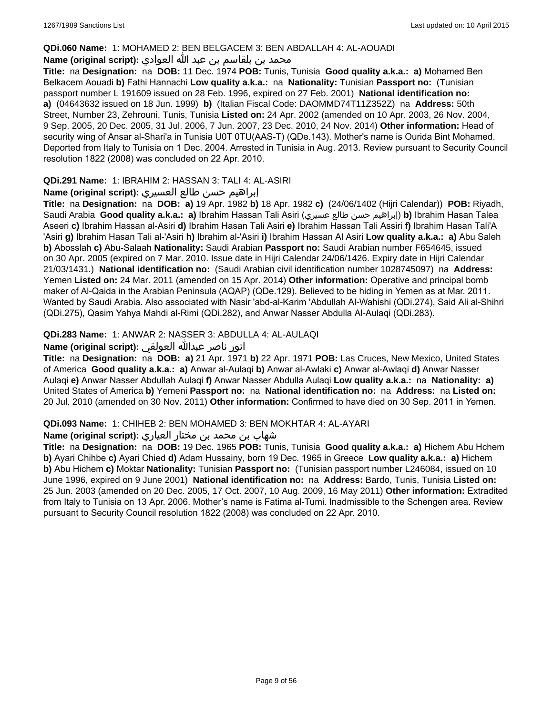# **QDi.060 Name:** 1: MOHAMED 2: BEN BELGACEM 3: BEN ABDALLAH 4: AL-AOUADI

# محمد بن بلقاسم بن عبد الله العوادي **:**Name (original script)

**Title:** na **Designation:** na **DOB:** 11 Dec. 1974 **POB:** Tunis, Tunisia **Good quality a.k.a.: a)** Mohamed Ben Belkacem Aouadi **b)** Fathi Hannachi **Low quality a.k.a.:** na **Nationality:** Tunisian **Passport no:** (Tunisian passport number L 191609 issued on 28 Feb. 1996, expired on 27 Feb. 2001) **National identification no: a)** (04643632 issued on 18 Jun. 1999) **b)** (Italian Fiscal Code: DAOMMD74T11Z352Z) na **Address:** 50th Street, Number 23, Zehrouni, Tunis, Tunisia **Listed on:** 24 Apr. 2002 (amended on 10 Apr. 2003, 26 Nov. 2004, 9 Sep. 2005, 20 Dec. 2005, 31 Jul. 2006, 7 Jun. 2007, 23 Dec. 2010, 24 Nov. 2014) **Other information:** Head of security wing of Ansar al-Shari'a in Tunisia U0T 0TU(AAS-T) (QDe.143). Mother's name is Ourida Bint Mohamed. Deported from Italy to Tunisia on 1 Dec. 2004. Arrested in Tunisia in Aug. 2013. Review pursuant to Security Council resolution 1822 (2008) was concluded on 22 Apr. 2010.

# **QDi.291 Name:** 1: IBRAHIM 2: HASSAN 3: TALI 4: AL-ASIRI

# إبراهيم حسن طالع العسيري **:(script original (Name**

**Title:** na **Designation:** na **DOB: a)** 19 Apr. 1982 **b)** 18 Apr. 1982 **c)** (24/06/1402 (Hijri Calendar)) **POB:** Riyadh, Saudi Arabia **Good quality a.k.a.: a)** Ibrahim Hassan Tali Asiri (عسيري طالع حسن إبراهيم(**b)** Ibrahim Hasan Talea Aseeri **c)** Ibrahim Hassan al-Asiri **d)** Ibrahim Hasan Tali Asiri **e)** Ibrahim Hassan Tali Assiri **f)** Ibrahim Hasan Tali'A 'Asiri **g)** Ibrahim Hasan Tali al-'Asiri **h)** Ibrahim al-'Asiri **i)** Ibrahim Hassan Al Asiri **Low quality a.k.a.: a)** Abu Saleh **b)** Abosslah **c)** Abu-Salaah **Nationality:** Saudi Arabian **Passport no:** Saudi Arabian number F654645, issued on 30 Apr. 2005 (expired on 7 Mar. 2010. Issue date in Hijri Calendar 24/06/1426. Expiry date in Hijri Calendar 21/03/1431.) **National identification no:** (Saudi Arabian civil identification number 1028745097) na **Address:** Yemen **Listed on:** 24 Mar. 2011 (amended on 15 Apr. 2014) **Other information:** Operative and principal bomb maker of Al-Qaida in the Arabian Peninsula (AQAP) (QDe.129). Believed to be hiding in Yemen as at Mar. 2011. Wanted by Saudi Arabia. Also associated with Nasir 'abd-al-Karim 'Abdullah Al-Wahishi (QDi.274), Said Ali al-Shihri (QDi.275), Qasim Yahya Mahdi al-Rimi (QDi.282), and Anwar Nasser Abdulla Al-Aulaqi (QDi.283).

# **QDi.283 Name:** 1: ANWAR 2: NASSER 3: ABDULLA 4: AL-AULAQI

# انور ناصر عبدالله العولقي **:(script original (Name**

**Title:** na **Designation:** na **DOB: a)** 21 Apr. 1971 **b)** 22 Apr. 1971 **POB:** Las Cruces, New Mexico, United States of America **Good quality a.k.a.: a)** Anwar al-Aulaqi **b)** Anwar al-Awlaki **c)** Anwar al-Awlaqi **d)** Anwar Nasser Aulaqi **e)** Anwar Nasser Abdullah Aulaqi **f)** Anwar Nasser Abdulla Aulaqi **Low quality a.k.a.:** na **Nationality: a)** United States of America **b)** Yemeni **Passport no:** na **National identification no:** na **Address:** na **Listed on:** 20 Jul. 2010 (amended on 30 Nov. 2011) **Other information:** Confirmed to have died on 30 Sep. 2011 in Yemen.

### **QDi.093 Name:** 1: CHIHEB 2: BEN MOHAMED 3: BEN MOKHTAR 4: AL-AYARI

# شهاب بن محمد بن مختار العياري **:(script original (Name**

**Title:** na **Designation:** na **DOB:** 19 Dec. 1965 **POB:** Tunis, Tunisia **Good quality a.k.a.: a)** Hichem Abu Hchem **b)** Ayari Chihbe **c)** Ayari Chied **d)** Adam Hussainy, born 19 Dec. 1965 in Greece **Low quality a.k.a.: a)** Hichem **b)** Abu Hichem **c)** Moktar **Nationality:** Tunisian **Passport no:** (Tunisian passport number L246084, issued on 10 June 1996, expired on 9 June 2001) **National identification no:** na **Address:** Bardo, Tunis, Tunisia **Listed on:** 25 Jun. 2003 (amended on 20 Dec. 2005, 17 Oct. 2007, 10 Aug. 2009, 16 May 2011) **Other information:** Extradited from Italy to Tunisia on 13 Apr. 2006. Mother's name is Fatima al-Tumi. Inadmissible to the Schengen area. Review pursuant to Security Council resolution 1822 (2008) was concluded on 22 Apr. 2010.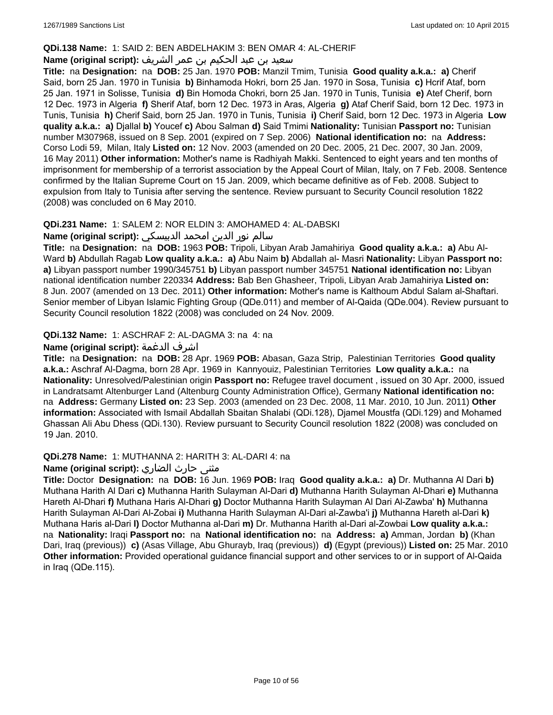# **QDi.138 Name:** 1: SAID 2: BEN ABDELHAKIM 3: BEN OMAR 4: AL-CHERIF

# سعيد بن عبد الحكيم بن عمر الشريف **:(script original (Name**

**Title:** na **Designation:** na **DOB:** 25 Jan. 1970 **POB:** Manzil Tmim, Tunisia **Good quality a.k.a.: a)** Cherif Said, born 25 Jan. 1970 in Tunisia **b)** Binhamoda Hokri, born 25 Jan. 1970 in Sosa, Tunisia **c)** Hcrif Ataf, born 25 Jan. 1971 in Solisse, Tunisia **d)** Bin Homoda Chokri, born 25 Jan. 1970 in Tunis, Tunisia **e)** Atef Cherif, born 12 Dec. 1973 in Algeria **f)** Sherif Ataf, born 12 Dec. 1973 in Aras, Algeria **g)** Ataf Cherif Said, born 12 Dec. 1973 in Tunis, Tunisia **h)** Cherif Said, born 25 Jan. 1970 in Tunis, Tunisia **i)** Cherif Said, born 12 Dec. 1973 in Algeria **Low quality a.k.a.: a)** Djallal **b)** Youcef **c)** Abou Salman **d)** Said Tmimi **Nationality:** Tunisian **Passport no:** Tunisian number M307968, issued on 8 Sep. 2001 (expired on 7 Sep. 2006) **National identification no:** na **Address:** Corso Lodi 59, Milan, Italy **Listed on:** 12 Nov. 2003 (amended on 20 Dec. 2005, 21 Dec. 2007, 30 Jan. 2009, 16 May 2011) **Other information:** Mother's name is Radhiyah Makki. Sentenced to eight years and ten months of imprisonment for membership of a terrorist association by the Appeal Court of Milan, Italy, on 7 Feb. 2008. Sentence confirmed by the Italian Supreme Court on 15 Jan. 2009, which became definitive as of Feb. 2008. Subject to expulsion from Italy to Tunisia after serving the sentence. Review pursuant to Security Council resolution 1822 (2008) was concluded on 6 May 2010.

# **QDi.231 Name:** 1: SALEM 2: NOR ELDIN 3: AMOHAMED 4: AL-DABSKI

# سالم نور الدين امحمد الدبيسكي **:(script original (Name**

**Title:** na **Designation:** na **DOB:** 1963 **POB:** Tripoli, Libyan Arab Jamahiriya **Good quality a.k.a.: a)** Abu Al-Ward **b)** Abdullah Ragab **Low quality a.k.a.: a)** Abu Naim **b)** Abdallah al- Masri **Nationality:** Libyan **Passport no: a)** Libyan passport number 1990/345751 **b)** Libyan passport number 345751 **National identification no:** Libyan national identification number 220334 **Address:** Bab Ben Ghasheer, Tripoli, Libyan Arab Jamahiriya **Listed on:** 8 Jun. 2007 (amended on 13 Dec. 2011) **Other information:** Mother's name is Kalthoum Abdul Salam al-Shaftari. Senior member of Libyan Islamic Fighting Group (QDe.011) and member of Al-Qaida (QDe.004). Review pursuant to Security Council resolution 1822 (2008) was concluded on 24 Nov. 2009.

# **QDi.132 Name:** 1: ASCHRAF 2: AL-DAGMA 3: na 4: na

# **Name (original script):** الدغمة اشرف

**Title:** na **Designation:** na **DOB:** 28 Apr. 1969 **POB:** Abasan, Gaza Strip, Palestinian Territories **Good quality a.k.a.:** Aschraf Al-Dagma, born 28 Apr. 1969 in Kannyouiz, Palestinian Territories **Low quality a.k.a.:** na **Nationality:** Unresolved/Palestinian origin **Passport no:** Refugee travel document , issued on 30 Apr. 2000, issued in Landratsamt Altenburger Land (Altenburg County Administration Office), Germany **National identification no:**  na **Address:** Germany **Listed on:** 23 Sep. 2003 (amended on 23 Dec. 2008, 11 Mar. 2010, 10 Jun. 2011) **Other information:** Associated with Ismail Abdallah Sbaitan Shalabi (QDi.128), Djamel Moustfa (QDi.129) and Mohamed Ghassan Ali Abu Dhess (QDi.130). Review pursuant to Security Council resolution 1822 (2008) was concluded on 19 Jan. 2010.

# **QDi.278 Name:** 1: MUTHANNA 2: HARITH 3: AL-DARI 4: na

# مثنى حارث الضاري :Name (original script)

**Title:** Doctor **Designation:** na **DOB:** 16 Jun. 1969 **POB:** Iraq **Good quality a.k.a.: a)** Dr. Muthanna Al Dari **b)** Muthana Harith Al Dari **c)** Muthanna Harith Sulayman Al-Dari **d)** Muthanna Harith Sulayman Al-Dhari **e)** Muthanna Hareth Al-Dhari **f)** Muthana Haris Al-Dhari **g)** Doctor Muthanna Harith Sulayman Al Dari Al-Zawba' **h)** Muthanna Harith Sulayman Al-Dari Al-Zobai **i)** Muthanna Harith Sulayman Al-Dari al-Zawba'i **j)** Muthanna Hareth al-Dari **k)** Muthana Haris al-Dari **l)** Doctor Muthanna al-Dari **m)** Dr. Muthanna Harith al-Dari al-Zowbai **Low quality a.k.a.:**  na **Nationality:** Iraqi **Passport no:** na **National identification no:** na **Address: a)** Amman, Jordan **b)** (Khan Dari, Iraq (previous)) **c)** (Asas Village, Abu Ghurayb, Iraq (previous)) **d)** (Egypt (previous)) **Listed on:** 25 Mar. 2010 **Other information:** Provided operational guidance financial support and other services to or in support of Al-Qaida in Iraq (QDe.115).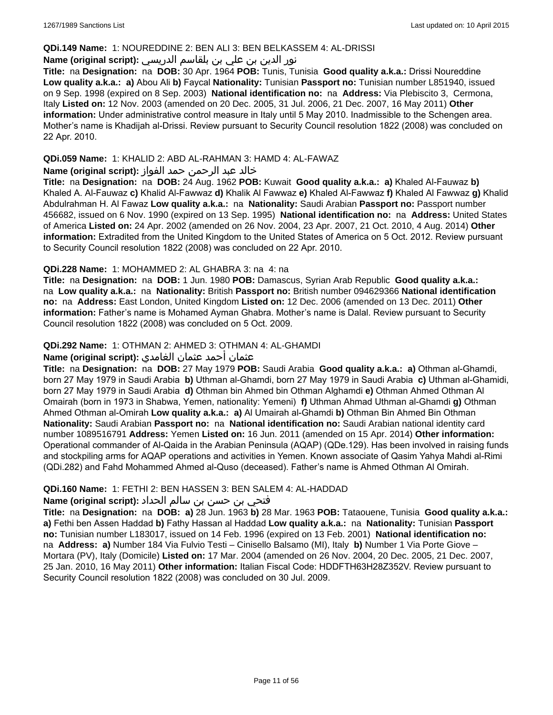### **QDi.149 Name:** 1: NOUREDDINE 2: BEN ALI 3: BEN BELKASSEM 4: AL-DRISSI

# نور الدين بن علي بن بلقاسم الدريسي **:(script original (Name**

**Title:** na **Designation:** na **DOB:** 30 Apr. 1964 **POB:** Tunis, Tunisia **Good quality a.k.a.:** Drissi Noureddine **Low quality a.k.a.: a)** Abou Ali **b)** Faycal **Nationality:** Tunisian **Passport no:** Tunisian number L851940, issued on 9 Sep. 1998 (expired on 8 Sep. 2003) **National identification no:** na **Address:** Via Plebiscito 3, Cermona, Italy **Listed on:** 12 Nov. 2003 (amended on 20 Dec. 2005, 31 Jul. 2006, 21 Dec. 2007, 16 May 2011) **Other information:** Under administrative control measure in Italy until 5 May 2010. Inadmissible to the Schengen area. Mother's name is Khadijah al-Drissi. Review pursuant to Security Council resolution 1822 (2008) was concluded on 22 Apr. 2010.

# **QDi.059 Name:** 1: KHALID 2: ABD AL-RAHMAN 3: HAMD 4: AL-FAWAZ

# خالد عبد الرحمن حمد الفواز **:(script original (Name**

**Title:** na **Designation:** na **DOB:** 24 Aug. 1962 **POB:** Kuwait **Good quality a.k.a.: a)** Khaled Al-Fauwaz **b)** Khaled A. Al-Fauwaz **c)** Khalid Al-Fawwaz **d)** Khalik Al Fawwaz **e)** Khaled Al-Fawwaz **f)** Khaled Al Fawwaz **g)** Khalid Abdulrahman H. Al Fawaz **Low quality a.k.a.:** na **Nationality:** Saudi Arabian **Passport no:** Passport number 456682, issued on 6 Nov. 1990 (expired on 13 Sep. 1995) **National identification no:** na **Address:** United States of America **Listed on:** 24 Apr. 2002 (amended on 26 Nov. 2004, 23 Apr. 2007, 21 Oct. 2010, 4 Aug. 2014) **Other information:** Extradited from the United Kingdom to the United States of America on 5 Oct. 2012. Review pursuant to Security Council resolution 1822 (2008) was concluded on 22 Apr. 2010.

# **QDi.228 Name:** 1: MOHAMMED 2: AL GHABRA 3: na 4: na

**Title:** na **Designation:** na **DOB:** 1 Jun. 1980 **POB:** Damascus, Syrian Arab Republic **Good quality a.k.a.:**  na **Low quality a.k.a.:** na **Nationality:** British **Passport no:** British number 094629366 **National identification no:** na **Address:** East London, United Kingdom **Listed on:** 12 Dec. 2006 (amended on 13 Dec. 2011) **Other information:** Father's name is Mohamed Ayman Ghabra. Mother's name is Dalal. Review pursuant to Security Council resolution 1822 (2008) was concluded on 5 Oct. 2009.

# **QDi.292 Name:** 1: OTHMAN 2: AHMED 3: OTHMAN 4: AL-GHAMDI

# عثمان أحمد عثمان الغامدي **:(script original (Name**

**Title:** na **Designation:** na **DOB:** 27 May 1979 **POB:** Saudi Arabia **Good quality a.k.a.: a)** Othman al-Ghamdi, born 27 May 1979 in Saudi Arabia **b)** Uthman al-Ghamdi, born 27 May 1979 in Saudi Arabia **c)** Uthman al-Ghamidi, born 27 May 1979 in Saudi Arabia **d)** Othman bin Ahmed bin Othman Alghamdi **e)** Othman Ahmed Othman Al Omairah (born in 1973 in Shabwa, Yemen, nationality: Yemeni) **f)** Uthman Ahmad Uthman al-Ghamdi **g)** Othman Ahmed Othman al-Omirah **Low quality a.k.a.: a)** Al Umairah al-Ghamdi **b)** Othman Bin Ahmed Bin Othman **Nationality:** Saudi Arabian **Passport no:** na **National identification no:** Saudi Arabian national identity card number 1089516791 **Address:** Yemen **Listed on:** 16 Jun. 2011 (amended on 15 Apr. 2014) **Other information:** Operational commander of Al-Qaida in the Arabian Peninsula (AQAP) (QDe.129). Has been involved in raising funds and stockpiling arms for AQAP operations and activities in Yemen. Known associate of Qasim Yahya Mahdi al-Rimi (QDi.282) and Fahd Mohammed Ahmed al-Quso (deceased). Father's name is Ahmed Othman Al Omirah.

# **QDi.160 Name:** 1: FETHI 2: BEN HASSEN 3: BEN SALEM 4: AL-HADDAD

# فتحي بن حسن بن سالم الحداد **:(script original (Name**

**Title:** na **Designation:** na **DOB: a)** 28 Jun. 1963 **b)** 28 Mar. 1963 **POB:** Tataouene, Tunisia **Good quality a.k.a.: a)** Fethi ben Assen Haddad **b)** Fathy Hassan al Haddad **Low quality a.k.a.:** na **Nationality:** Tunisian **Passport no:** Tunisian number L183017, issued on 14 Feb. 1996 (expired on 13 Feb. 2001) **National identification no:**  na **Address: a)** Number 184 Via Fulvio Testi – Cinisello Balsamo (MI), Italy **b)** Number 1 Via Porte Giove – Mortara (PV), Italy (Domicile) **Listed on:** 17 Mar. 2004 (amended on 26 Nov. 2004, 20 Dec. 2005, 21 Dec. 2007, 25 Jan. 2010, 16 May 2011) **Other information:** Italian Fiscal Code: HDDFTH63H28Z352V. Review pursuant to Security Council resolution 1822 (2008) was concluded on 30 Jul. 2009.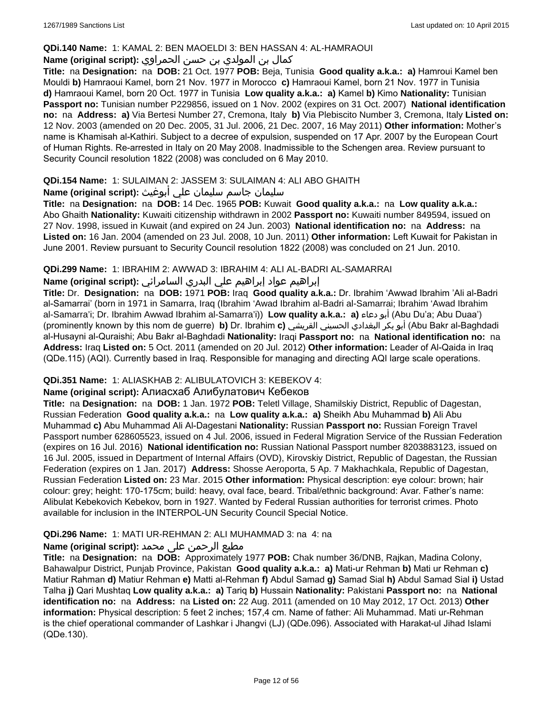# **QDi.140 Name:** 1: KAMAL 2: BEN MAOELDI 3: BEN HASSAN 4: AL-HAMRAOUI

# كمال بن المولدي بن حسن الحمراوي **:(script original (Name**

**Title:** na **Designation:** na **DOB:** 21 Oct. 1977 **POB:** Beja, Tunisia **Good quality a.k.a.: a)** Hamroui Kamel ben Mouldi **b)** Hamraoui Kamel, born 21 Nov. 1977 in Morocco **c)** Hamraoui Kamel, born 21 Nov. 1977 in Tunisia **d)** Hamraoui Kamel, born 20 Oct. 1977 in Tunisia **Low quality a.k.a.: a)** Kamel **b)** Kimo **Nationality:** Tunisian **Passport no:** Tunisian number P229856, issued on 1 Nov. 2002 (expires on 31 Oct. 2007) **National identification no:** na **Address: a)** Via Bertesi Number 27, Cremona, Italy **b)** Via Plebiscito Number 3, Cremona, Italy **Listed on:** 12 Nov. 2003 (amended on 20 Dec. 2005, 31 Jul. 2006, 21 Dec. 2007, 16 May 2011) **Other information:** Mother's name is Khamisah al-Kathiri. Subject to a decree of expulsion, suspended on 17 Apr. 2007 by the European Court of Human Rights. Re-arrested in Italy on 20 May 2008. Inadmissible to the Schengen area. Review pursuant to Security Council resolution 1822 (2008) was concluded on 6 May 2010.

# **QDi.154 Name:** 1: SULAIMAN 2: JASSEM 3: SULAIMAN 4: ALI ABO GHAITH

# سليمان جاسم سليمان علي أبوغيث **:(script original (Name**

**Title:** na **Designation:** na **DOB:** 14 Dec. 1965 **POB:** Kuwait **Good quality a.k.a.:** na **Low quality a.k.a.:** Abo Ghaith **Nationality:** Kuwaiti citizenship withdrawn in 2002 **Passport no:** Kuwaiti number 849594, issued on 27 Nov. 1998, issued in Kuwait (and expired on 24 Jun. 2003) **National identification no:** na **Address:** na **Listed on:** 16 Jan. 2004 (amended on 23 Jul. 2008, 10 Jun. 2011) **Other information:** Left Kuwait for Pakistan in June 2001. Review pursuant to Security Council resolution 1822 (2008) was concluded on 21 Jun. 2010.

# **QDi.299 Name:** 1: IBRAHIM 2: AWWAD 3: IBRAHIM 4: ALI AL-BADRI AL-SAMARRAI

# إبراهيم عواد إبراهيم علي البدري السامرائي **:(script original (Name**

**Title:** Dr. **Designation:** na **DOB:** 1971 **POB:** Iraq **Good quality a.k.a.:** Dr. Ibrahim 'Awwad Ibrahim 'Ali al-Badri al-Samarrai' (born in 1971 in Samarra, Iraq (Ibrahim 'Awad Ibrahim al-Badri al-Samarrai; Ibrahim 'Awad Ibrahim al-Samarra'i; Dr. Ibrahim Awwad Ibrahim al-Samarra'i)) **Low quality a.k.a.: a)** دعاء أبو) Abu Du'a; Abu Duaa') (prominently known by this nom de guerre) **b)** Dr. Ibrahim **c)** القريشي الحسيني البغدادي بكر أبو) Abu Bakr al-Baghdadi al-Husayni al-Quraishi; Abu Bakr al-Baghdadi **Nationality:** Iraqi **Passport no:** na **National identification no:** na **Address:** Iraq **Listed on:** 5 Oct. 2011 (amended on 20 Jul. 2012) **Other information:** Leader of Al-Qaida in Iraq (QDe.115) (AQI). Currently based in Iraq. Responsible for managing and directing AQI large scale operations.

# **QDi.351 Name:** 1: ALIASKHAB 2: ALIBULATOVICH 3: KEBEKOV 4:

# **Name (original script):** Алиaсхаб Алибулатович Кебеков

**Title:** na **Designation:** na **DOB:** 1 Jan. 1972 **POB:** Teletl Village, Shamilskiy District, Republic of Dagestan, Russian Federation **Good quality a.k.a.:** na **Low quality a.k.a.: a)** Sheikh Abu Muhammad **b)** Ali Abu Muhammad **c)** Abu Muhammad Ali Al-Dagestani **Nationality:** Russian **Passport no:** Russian Foreign Travel Passport number 628605523, issued on 4 Jul. 2006, issued in Federal Migration Service of the Russian Federation (expires on 16 Jul. 2016) **National identification no:** Russian National Passport number 8203883123, issued on 16 Jul. 2005, issued in Department of Internal Affairs (OVD), Kirovskiy District, Republic of Dagestan, the Russian Federation (expires on 1 Jan. 2017) **Address:** Shosse Aeroporta, 5 Ap. 7 Makhachkala, Republic of Dagestan, Russian Federation **Listed on:** 23 Mar. 2015 **Other information:** Physical description: eye colour: brown; hair colour: grey; height: 170-175cm; build: heavy, oval face, beard. Tribal/ethnic background: Avar. Father's name: Alibulat Kebekovich Kebekov, born in 1927. Wanted by Federal Russian authorities for terrorist crimes. Photo available for inclusion in the INTERPOL-UN Security Council Special Notice.

# **QDi.296 Name:** 1: MATI UR-REHMAN 2: ALI MUHAMMAD 3: na 4: na

# مطیع الرحمن علی محمد **:Name (original script)**

**Title:** na **Designation:** na **DOB:** Approximately 1977 **POB:** Chak number 36/DNB, Rajkan, Madina Colony, Bahawalpur District, Punjab Province, Pakistan **Good quality a.k.a.: a)** Mati-ur Rehman **b)** Mati ur Rehman **c)** Matiur Rahman **d)** Matiur Rehman **e)** Matti al-Rehman **f)** Abdul Samad **g)** Samad Sial **h)** Abdul Samad Sial **i)** Ustad Talha **j)** Qari Mushtaq **Low quality a.k.a.: a)** Tariq **b)** Hussain **Nationality:** Pakistani **Passport no:** na **National identification no:** na **Address:** na **Listed on:** 22 Aug. 2011 (amended on 10 May 2012, 17 Oct. 2013) **Other information:** Physical description: 5 feet 2 inches; 157,4 cm. Name of father: Ali Muhammad. Mati ur-Rehman is the chief operational commander of Lashkar i Jhangvi (LJ) (QDe.096). Associated with Harakat-ul Jihad Islami (QDe.130).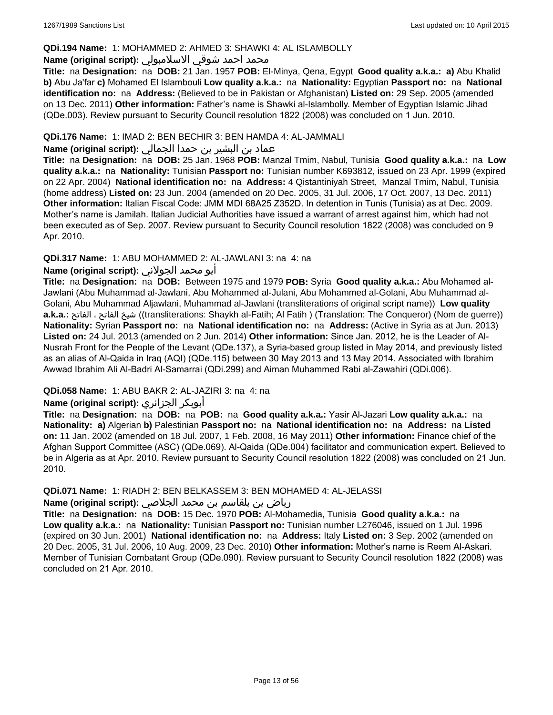# **QDi.194 Name:** 1: MOHAMMED 2: AHMED 3: SHAWKI 4: AL ISLAMBOLLY

# محمد احمد شوقي الاسلامبولي **:Name (original script)**

**Title:** na **Designation:** na **DOB:** 21 Jan. 1957 **POB:** El-Minya, Qena, Egypt **Good quality a.k.a.: a)** Abu Khalid **b)** Abu Ja'far **c)** Mohamed El Islambouli **Low quality a.k.a.:** na **Nationality:** Egyptian **Passport no:** na **National identification no:** na **Address:** (Believed to be in Pakistan or Afghanistan) **Listed on:** 29 Sep. 2005 (amended on 13 Dec. 2011) **Other information:** Father's name is Shawki al-Islambolly. Member of Egyptian Islamic Jihad (QDe.003). Review pursuant to Security Council resolution 1822 (2008) was concluded on 1 Jun. 2010.

# **QDi.176 Name:** 1: IMAD 2: BEN BECHIR 3: BEN HAMDA 4: AL-JAMMALI

# عماد بن البشير بن حمدا الجمالي **:(script original (Name**

**Title:** na **Designation:** na **DOB:** 25 Jan. 1968 **POB:** Manzal Tmim, Nabul, Tunisia **Good quality a.k.a.:** na **Low quality a.k.a.:** na **Nationality:** Tunisian **Passport no:** Tunisian number K693812, issued on 23 Apr. 1999 (expired on 22 Apr. 2004) **National identification no:** na **Address:** 4 Qistantiniyah Street, Manzal Tmim, Nabul, Tunisia (home address) **Listed on:** 23 Jun. 2004 (amended on 20 Dec. 2005, 31 Jul. 2006, 17 Oct. 2007, 13 Dec. 2011) **Other information:** Italian Fiscal Code: JMM MDI 68A25 Z352D. In detention in Tunis (Tunisia) as at Dec. 2009. Mother's name is Jamilah. Italian Judicial Authorities have issued a warrant of arrest against him, which had not been executed as of Sep. 2007. Review pursuant to Security Council resolution 1822 (2008) was concluded on 9 Apr. 2010.

# **QDi.317 Name:** 1: ABU MOHAMMED 2: AL-JAWLANI 3: na 4: na

# أبو محمد الجولاني **:(script original (Name**

**Title:** na **Designation:** na **DOB:** Between 1975 and 1979 **POB:** Syria **Good quality a.k.a.:** Abu Mohamed al-Jawlani (Abu Muhammad al-Jawlani, Abu Mohammed al-Julani, Abu Mohammed al-Golani, Abu Muhammad al-Golani, Abu Muhammad Aljawlani, Muhammad al-Jawlani (transliterations of original script name)) **Low quality a.k.a.:** الفاتح ، الفاتح شيخ)) transliterations: Shaykh al-Fatih; Al Fatih ) (Translation: The Conqueror) (Nom de guerre)) **Nationality:** Syrian **Passport no:** na **National identification no:** na **Address:** (Active in Syria as at Jun. 2013) **Listed on:** 24 Jul. 2013 (amended on 2 Jun. 2014) **Other information:** Since Jan. 2012, he is the Leader of Al-Nusrah Front for the People of the Levant (QDe.137), a Syria-based group listed in May 2014, and previously listed as an alias of Al-Qaida in Iraq (AQI) (QDe.115) between 30 May 2013 and 13 May 2014. Associated with Ibrahim Awwad Ibrahim Ali Al-Badri Al-Samarrai (QDi.299) and Aiman Muhammed Rabi al-Zawahiri (QDi.006).

# **QDi.058 Name:** 1: ABU BAKR 2: AL-JAZIRI 3: na 4: na

# **Name (original script):** الجزائري أبوبكر

**Title:** na **Designation:** na **DOB:** na **POB:** na **Good quality a.k.a.:** Yasir Al-Jazari **Low quality a.k.a.:** na **Nationality: a)** Algerian **b)** Palestinian **Passport no:** na **National identification no:** na **Address:** na **Listed on:** 11 Jan. 2002 (amended on 18 Jul. 2007, 1 Feb. 2008, 16 May 2011) **Other information:** Finance chief of the Afghan Support Committee (ASC) (QDe.069). Al-Qaida (QDe.004) facilitator and communication expert. Believed to be in Algeria as at Apr. 2010. Review pursuant to Security Council resolution 1822 (2008) was concluded on 21 Jun. 2010.

#### **QDi.071 Name:** 1: RIADH 2: BEN BELKASSEM 3: BEN MOHAMED 4: AL-JELASSI

### رياض بن بلقاسم بن محمد الجلاصي **:(script original (Name**

**Title:** na **Designation:** na **DOB:** 15 Dec. 1970 **POB:** Al-Mohamedia, Tunisia **Good quality a.k.a.:** na **Low quality a.k.a.:** na **Nationality:** Tunisian **Passport no:** Tunisian number L276046, issued on 1 Jul. 1996 (expired on 30 Jun. 2001) **National identification no:** na **Address:** Italy **Listed on:** 3 Sep. 2002 (amended on 20 Dec. 2005, 31 Jul. 2006, 10 Aug. 2009, 23 Dec. 2010) **Other information:** Mother's name is Reem Al-Askari. Member of Tunisian Combatant Group (QDe.090). Review pursuant to Security Council resolution 1822 (2008) was concluded on 21 Apr. 2010.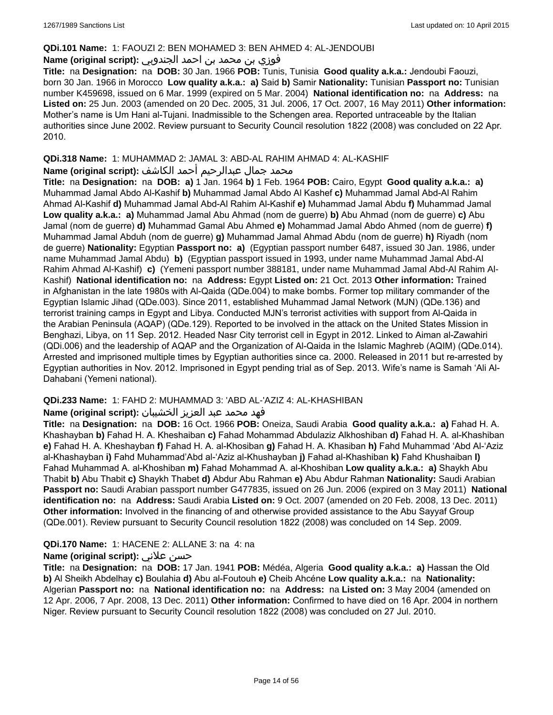#### **QDi.101 Name:** 1: FAOUZI 2: BEN MOHAMED 3: BEN AHMED 4: AL-JENDOUBI

# فوزي بن محمد بن احمد الجندوبي **:(script original (Name**

**Title:** na **Designation:** na **DOB:** 30 Jan. 1966 **POB:** Tunis, Tunisia **Good quality a.k.a.:** Jendoubi Faouzi, born 30 Jan. 1966 in Morocco **Low quality a.k.a.: a)** Said **b)** Samir **Nationality:** Tunisian **Passport no:** Tunisian number K459698, issued on 6 Mar. 1999 (expired on 5 Mar. 2004) **National identification no:** na **Address:** na **Listed on:** 25 Jun. 2003 (amended on 20 Dec. 2005, 31 Jul. 2006, 17 Oct. 2007, 16 May 2011) **Other information:** Mother's name is Um Hani al-Tujani. Inadmissible to the Schengen area. Reported untraceable by the Italian authorities since June 2002. Review pursuant to Security Council resolution 1822 (2008) was concluded on 22 Apr. 2010.

# **QDi.318 Name:** 1: MUHAMMAD 2: JAMAL 3: ABD-AL RAHIM AHMAD 4: AL-KASHIF

# محمد جمال عبدالرحيم أحمد الكاشف **:Name (original script**)

**Title:** na **Designation:** na **DOB: a)** 1 Jan. 1964 **b)** 1 Feb. 1964 **POB:** Cairo, Egypt **Good quality a.k.a.: a)** Muhammad Jamal Abdo Al-Kashif **b)** Muhammad Jamal Abdo Al Kashef **c)** Muhammad Jamal Abd-Al Rahim Ahmad Al-Kashif **d)** Muhammad Jamal Abd-Al Rahim Al-Kashif **e)** Muhammad Jamal Abdu **f)** Muhammad Jamal **Low quality a.k.a.: a)** Muhammad Jamal Abu Ahmad (nom de guerre) **b)** Abu Ahmad (nom de guerre) **c)** Abu Jamal (nom de guerre) **d)** Muhammad Gamal Abu Ahmed **e)** Mohammad Jamal Abdo Ahmed (nom de guerre) **f)** Muhammad Jamal Abduh (nom de guerre) **g)** Muhammad Jamal Ahmad Abdu (nom de guerre) **h)** Riyadh (nom de guerre) **Nationality:** Egyptian **Passport no: a)** (Egyptian passport number 6487, issued 30 Jan. 1986, under name Muhammad Jamal Abdu) **b)** (Egyptian passport issued in 1993, under name Muhammad Jamal Abd-Al Rahim Ahmad Al-Kashif) **c)** (Yemeni passport number 388181, under name Muhammad Jamal Abd-Al Rahim Al-Kashif) **National identification no:** na **Address:** Egypt **Listed on:** 21 Oct. 2013 **Other information:** Trained in Afghanistan in the late 1980s with Al-Qaida (QDe.004) to make bombs. Former top military commander of the Egyptian Islamic Jihad (QDe.003). Since 2011, established Muhammad Jamal Network (MJN) (QDe.136) and terrorist training camps in Egypt and Libya. Conducted MJN's terrorist activities with support from Al-Qaida in the Arabian Peninsula (AQAP) (QDe.129). Reported to be involved in the attack on the United States Mission in Benghazi, Libya, on 11 Sep. 2012. Headed Nasr City terrorist cell in Egypt in 2012. Linked to Aiman al-Zawahiri (QDi.006) and the leadership of AQAP and the Organization of Al-Qaida in the Islamic Maghreb (AQIM) (QDe.014). Arrested and imprisoned multiple times by Egyptian authorities since ca. 2000. Released in 2011 but re-arrested by Egyptian authorities in Nov. 2012. Imprisoned in Egypt pending trial as of Sep. 2013. Wife's name is Samah 'Ali Al-Dahabani (Yemeni national).

# **QDi.233 Name:** 1: FAHD 2: MUHAMMAD 3: 'ABD AL-'AZIZ 4: AL-KHASHIBAN

# فهد محمد عبد العزيز الخشيبان **:(script original (Name**

**Title:** na **Designation:** na **DOB:** 16 Oct. 1966 **POB:** Oneiza, Saudi Arabia **Good quality a.k.a.: a)** Fahad H. A. Khashayban **b)** Fahad H. A. Kheshaiban **c)** Fahad Mohammad Abdulaziz Alkhoshiban **d)** Fahad H. A. al-Khashiban **e)** Fahad H. A. Kheshayban **f)** Fahad H. A. al-Khosiban **g)** Fahad H. A. Khasiban **h)** Fahd Muhammad 'Abd Al-'Aziz al-Khashayban **i)** Fahd Muhammad'Abd al-'Aziz al-Khushayban **j)** Fahad al-Khashiban **k)** Fahd Khushaiban **l)** Fahad Muhammad A. al-Khoshiban **m)** Fahad Mohammad A. al-Khoshiban **Low quality a.k.a.: a)** Shaykh Abu Thabit **b)** Abu Thabit **c)** Shaykh Thabet **d)** Abdur Abu Rahman **e)** Abu Abdur Rahman **Nationality:** Saudi Arabian **Passport no:** Saudi Arabian passport number G477835, issued on 26 Jun. 2006 (expired on 3 May 2011) **National identification no:** na **Address:** Saudi Arabia **Listed on:** 9 Oct. 2007 (amended on 20 Feb. 2008, 13 Dec. 2011) **Other information:** Involved in the financing of and otherwise provided assistance to the Abu Sayyaf Group (QDe.001). Review pursuant to Security Council resolution 1822 (2008) was concluded on 14 Sep. 2009.

# **QDi.170 Name:** 1: HACENE 2: ALLANE 3: na 4: na

# **Name (original script):** علاني حسن

**Title:** na **Designation:** na **DOB:** 17 Jan. 1941 **POB:** Médéa, Algeria **Good quality a.k.a.: a)** Hassan the Old **b)** Al Sheikh Abdelhay **c)** Boulahia **d)** Abu al-Foutouh **e)** Cheib Ahcéne **Low quality a.k.a.:** na **Nationality:** Algerian **Passport no:** na **National identification no:** na **Address:** na **Listed on:** 3 May 2004 (amended on 12 Apr. 2006, 7 Apr. 2008, 13 Dec. 2011) **Other information:** Confirmed to have died on 16 Apr. 2004 in northern Niger. Review pursuant to Security Council resolution 1822 (2008) was concluded on 27 Jul. 2010.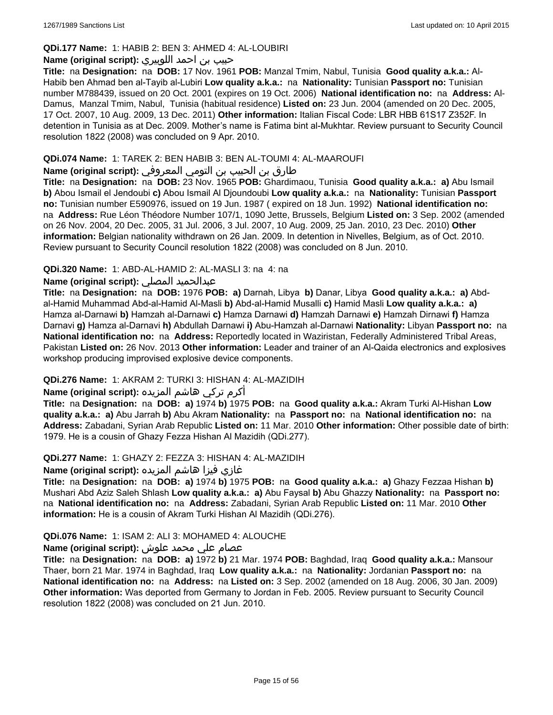# **QDi.177 Name:** 1: HABIB 2: BEN 3: AHMED 4: AL-LOUBIRI

### حبيب بن احمد اللوبيري **:(script original (Name**

**Title:** na **Designation:** na **DOB:** 17 Nov. 1961 **POB:** Manzal Tmim, Nabul, Tunisia **Good quality a.k.a.:** Al-Habib ben Ahmad ben al-Tayib al-Lubiri **Low quality a.k.a.:** na **Nationality:** Tunisian **Passport no:** Tunisian number M788439, issued on 20 Oct. 2001 (expires on 19 Oct. 2006) **National identification no:** na **Address:** Al-Damus, Manzal Tmim, Nabul, Tunisia (habitual residence) **Listed on:** 23 Jun. 2004 (amended on 20 Dec. 2005, 17 Oct. 2007, 10 Aug. 2009, 13 Dec. 2011) **Other information:** Italian Fiscal Code: LBR HBB 61S17 Z352F. In detention in Tunisia as at Dec. 2009. Mother's name is Fatima bint al-Mukhtar. Review pursuant to Security Council resolution 1822 (2008) was concluded on 9 Apr. 2010.

# **QDi.074 Name:** 1: TAREK 2: BEN HABIB 3: BEN AL-TOUMI 4: AL-MAAROUFI

# طارق بن الحبيب بن التومي المعروفي **:(script original (Name**

**Title:** na **Designation:** na **DOB:** 23 Nov. 1965 **POB:** Ghardimaou, Tunisia **Good quality a.k.a.: a)** Abu Ismail **b)** Abou Ismail el Jendoubi **c)** Abou Ismail Al Djoundoubi **Low quality a.k.a.:** na **Nationality:** Tunisian **Passport no:** Tunisian number E590976, issued on 19 Jun. 1987 ( expired on 18 Jun. 1992) **National identification no:**  na **Address:** Rue Léon Théodore Number 107/1, 1090 Jette, Brussels, Belgium **Listed on:** 3 Sep. 2002 (amended on 26 Nov. 2004, 20 Dec. 2005, 31 Jul. 2006, 3 Jul. 2007, 10 Aug. 2009, 25 Jan. 2010, 23 Dec. 2010) **Other information:** Belgian nationality withdrawn on 26 Jan. 2009. In detention in Nivelles, Belgium, as of Oct. 2010. Review pursuant to Security Council resolution 1822 (2008) was concluded on 8 Jun. 2010.

# **QDi.320 Name:** 1: ABD-AL-HAMID 2: AL-MASLI 3: na 4: na

# **Name (original script):** المصلي عبدالحميد

**Title:** na **Designation:** na **DOB:** 1976 **POB: a)** Darnah, Libya **b)** Danar, Libya **Good quality a.k.a.: a)** Abdal-Hamid Muhammad Abd-al-Hamid Al-Masli **b)** Abd-al-Hamid Musalli **c)** Hamid Masli **Low quality a.k.a.: a)** Hamza al-Darnawi **b)** Hamzah al-Darnawi **c)** Hamza Darnawi **d)** Hamzah Darnawi **e)** Hamzah Dirnawi **f)** Hamza Darnavi **g)** Hamza al-Darnavi **h)** Abdullah Darnawi **i)** Abu-Hamzah al-Darnawi **Nationality:** Libyan **Passport no:** na **National identification no:** na **Address:** Reportedly located in Waziristan, Federally Administered Tribal Areas, Pakistan **Listed on:** 26 Nov. 2013 **Other information:** Leader and trainer of an Al-Qaida electronics and explosives workshop producing improvised explosive device components.

# **QDi.276 Name:** 1: AKRAM 2: TURKI 3: HISHAN 4: AL-MAZIDIH

# أكرم تركي هاشم المزيده **:(script original (Name**

**Title:** na **Designation:** na **DOB: a)** 1974 **b)** 1975 **POB:** na **Good quality a.k.a.:** Akram Turki Al-Hishan **Low quality a.k.a.: a)** Abu Jarrah **b)** Abu Akram **Nationality:** na **Passport no:** na **National identification no:** na **Address:** Zabadani, Syrian Arab Republic **Listed on:** 11 Mar. 2010 **Other information:** Other possible date of birth: 1979. He is a cousin of Ghazy Fezza Hishan Al Mazidih (QDi.277).

#### **QDi.277 Name:** 1: GHAZY 2: FEZZA 3: HISHAN 4: AL-MAZIDIH

#### غازي فيزا هاشم المزيده **:(script original (Name**

**Title:** na **Designation:** na **DOB: a)** 1974 **b)** 1975 **POB:** na **Good quality a.k.a.: a)** Ghazy Fezzaa Hishan **b)** Mushari Abd Aziz Saleh Shlash **Low quality a.k.a.: a)** Abu Faysal **b)** Abu Ghazzy **Nationality:** na **Passport no:**  na **National identification no:** na **Address:** Zabadani, Syrian Arab Republic **Listed on:** 11 Mar. 2010 **Other information:** He is a cousin of Akram Turki Hishan Al Mazidih (QDi.276).

#### **QDi.076 Name:** 1: ISAM 2: ALI 3: MOHAMED 4: ALOUCHE

# عصام علي محمد علوش **:(script original (Name**

**Title:** na **Designation:** na **DOB: a)** 1972 **b)** 21 Mar. 1974 **POB:** Baghdad, Iraq **Good quality a.k.a.:** Mansour Thaer, born 21 Mar. 1974 in Baghdad, Iraq **Low quality a.k.a.:** na **Nationality:** Jordanian **Passport no:** na **National identification no:** na **Address:** na **Listed on:** 3 Sep. 2002 (amended on 18 Aug. 2006, 30 Jan. 2009) **Other information:** Was deported from Germany to Jordan in Feb. 2005. Review pursuant to Security Council resolution 1822 (2008) was concluded on 21 Jun. 2010.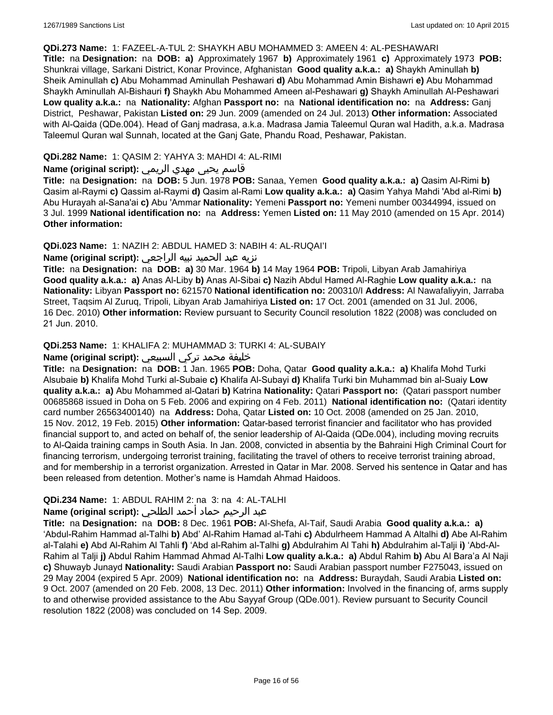#### **QDi.273 Name:** 1: FAZEEL-A-TUL 2: SHAYKH ABU MOHAMMED 3: AMEEN 4: AL-PESHAWARI

**Title:** na **Designation:** na **DOB: a)** Approximately 1967 **b)** Approximately 1961 **c)** Approximately 1973 **POB:** Shunkrai village, Sarkani District, Konar Province, Afghanistan **Good quality a.k.a.: a)** Shaykh Aminullah **b)** Sheik Aminullah **c)** Abu Mohammad Aminullah Peshawari **d)** Abu Mohammad Amin Bishawri **e)** Abu Mohammad Shaykh Aminullah Al-Bishauri **f)** Shaykh Abu Mohammed Ameen al-Peshawari **g)** Shaykh Aminullah Al-Peshawari **Low quality a.k.a.:** na **Nationality:** Afghan **Passport no:** na **National identification no:** na **Address:** Ganj District, Peshawar, Pakistan **Listed on:** 29 Jun. 2009 (amended on 24 Jul. 2013) **Other information:** Associated with Al-Qaida (QDe.004). Head of Ganj madrasa, a.k.a. Madrasa Jamia Taleemul Quran wal Hadith, a.k.a. Madrasa Taleemul Quran wal Sunnah, located at the Ganj Gate, Phandu Road, Peshawar, Pakistan.

### **QDi.282 Name:** 1: QASIM 2: YAHYA 3: MAHDI 4: AL-RIMI

# قاسم يحيى مهدي الريمي **:(script original (Name**

**Title:** na **Designation:** na **DOB:** 5 Jun. 1978 **POB:** Sanaa, Yemen **Good quality a.k.a.: a)** Qasim Al-Rimi **b)** Qasim al-Raymi **c)** Qassim al-Raymi **d)** Qasim al-Rami **Low quality a.k.a.: a)** Qasim Yahya Mahdi 'Abd al-Rimi **b)** Abu Hurayah al-Sana'ai **c)** Abu 'Ammar **Nationality:** Yemeni **Passport no:** Yemeni number 00344994, issued on 3 Jul. 1999 **National identification no:** na **Address:** Yemen **Listed on:** 11 May 2010 (amended on 15 Apr. 2014) **Other information:**

# **QDi.023 Name:** 1: NAZIH 2: ABDUL HAMED 3: NABIH 4: AL-RUQAI'I

# نزيه عبد الحميد نبيه الراجعي **:(script original (Name**

**Title:** na **Designation:** na **DOB: a)** 30 Mar. 1964 **b)** 14 May 1964 **POB:** Tripoli, Libyan Arab Jamahiriya **Good quality a.k.a.: a)** Anas Al-Liby **b)** Anas Al-Sibai **c)** Nazih Abdul Hamed Al-Raghie **Low quality a.k.a.:** na **Nationality:** Libyan **Passport no:** 621570 **National identification no:** 200310/I **Address:** Al Nawafaliyyin, Jarraba Street, Taqsim Al Zuruq, Tripoli, Libyan Arab Jamahiriya **Listed on:** 17 Oct. 2001 (amended on 31 Jul. 2006, 16 Dec. 2010) **Other information:** Review pursuant to Security Council resolution 1822 (2008) was concluded on 21 Jun. 2010.

# **QDi.253 Name:** 1: KHALIFA 2: MUHAMMAD 3: TURKI 4: AL-SUBAIY

# خليفة محمد تركي السبيعي **:(script original (Name**

**Title:** na **Designation:** na **DOB:** 1 Jan. 1965 **POB:** Doha, Qatar **Good quality a.k.a.: a)** Khalifa Mohd Turki Alsubaie **b)** Khalifa Mohd Turki al-Subaie **c)** Khalifa Al-Subayi **d)** Khalifa Turki bin Muhammad bin al-Suaiy **Low quality a.k.a.: a)** Abu Mohammed al-Qatari **b)** Katrina **Nationality:** Qatari **Passport no:** (Qatari passport number 00685868 issued in Doha on 5 Feb. 2006 and expiring on 4 Feb. 2011) **National identification no:** (Qatari identity card number 26563400140) na **Address:** Doha, Qatar **Listed on:** 10 Oct. 2008 (amended on 25 Jan. 2010, 15 Nov. 2012, 19 Feb. 2015) **Other information:** Qatar-based terrorist financier and facilitator who has provided financial support to, and acted on behalf of, the senior leadership of Al-Qaida (QDe.004), including moving recruits to Al-Qaida training camps in South Asia. In Jan. 2008, convicted in absentia by the Bahraini High Criminal Court for financing terrorism, undergoing terrorist training, facilitating the travel of others to receive terrorist training abroad, and for membership in a terrorist organization. Arrested in Qatar in Mar. 2008. Served his sentence in Qatar and has been released from detention. Mother's name is Hamdah Ahmad Haidoos.

#### **QDi.234 Name:** 1: ABDUL RAHIM 2: na 3: na 4: AL-TALHI

# عبد الرحيم حماد أحمد الطلحي **:(script original (Name**

**Title:** na **Designation:** na **DOB:** 8 Dec. 1961 **POB:** Al-Shefa, Al-Taif, Saudi Arabia **Good quality a.k.a.: a)** 'Abdul-Rahim Hammad al-Talhi **b)** Abd' Al-Rahim Hamad al-Tahi **c)** Abdulrheem Hammad A Altalhi **d)** Abe Al-Rahim al-Talahi **e)** Abd Al-Rahim Al Tahli **f)** 'Abd al-Rahim al-Talhi **g)** Abdulrahim Al Tahi **h)** Abdulrahim al-Talji **i)** 'Abd-Al-Rahim al Talji **j)** Abdul Rahim Hammad Ahmad Al-Talhi **Low quality a.k.a.: a)** Abdul Rahim **b)** Abu Al Bara'a Al Naji **c)** Shuwayb Junayd **Nationality:** Saudi Arabian **Passport no:** Saudi Arabian passport number F275043, issued on 29 May 2004 (expired 5 Apr. 2009) **National identification no:** na **Address:** Buraydah, Saudi Arabia **Listed on:** 9 Oct. 2007 (amended on 20 Feb. 2008, 13 Dec. 2011) **Other information:** Involved in the financing of, arms supply to and otherwise provided assistance to the Abu Sayyaf Group (QDe.001). Review pursuant to Security Council resolution 1822 (2008) was concluded on 14 Sep. 2009.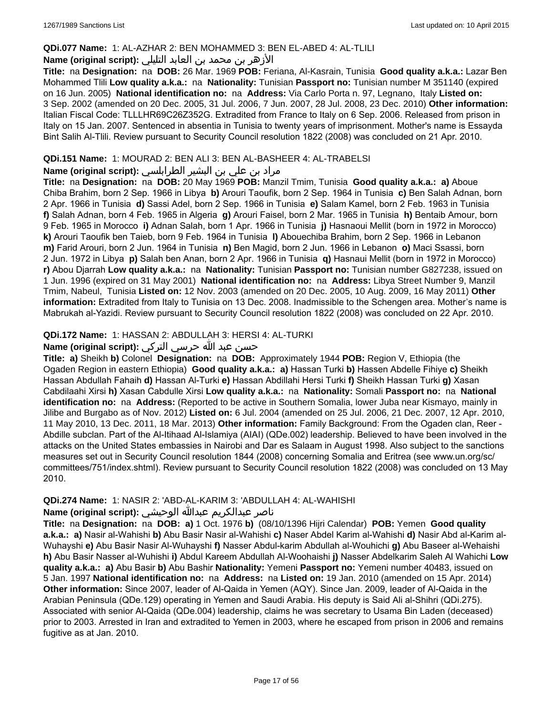# **QDi.077 Name:** 1: AL-AZHAR 2: BEN MOHAMMED 3: BEN EL-ABED 4: AL-TLILI

# الأزهر بن محمد بن العابد التليلي **:(script original (Name**

**Title:** na **Designation:** na **DOB:** 26 Mar. 1969 **POB:** Feriana, Al-Kasrain, Tunisia **Good quality a.k.a.:** Lazar Ben Mohammed Tlili **Low quality a.k.a.:** na **Nationality:** Tunisian **Passport no:** Tunisian number M 351140 (expired on 16 Jun. 2005) **National identification no:** na **Address:** Via Carlo Porta n. 97, Legnano, Italy **Listed on:** 3 Sep. 2002 (amended on 20 Dec. 2005, 31 Jul. 2006, 7 Jun. 2007, 28 Jul. 2008, 23 Dec. 2010) **Other information:** Italian Fiscal Code: TLLLHR69C26Z352G. Extradited from France to Italy on 6 Sep. 2006. Released from prison in Italy on 15 Jan. 2007. Sentenced in absentia in Tunisia to twenty years of imprisonment. Mother's name is Essayda Bint Salih Al-Tlili. Review pursuant to Security Council resolution 1822 (2008) was concluded on 21 Apr. 2010.

# **QDi.151 Name:** 1: MOURAD 2: BEN ALI 3: BEN AL-BASHEER 4: AL-TRABELSI

# مراد بن علي بن البشير الطرابلسي **:(script original (Name**

**Title:** na **Designation:** na **DOB:** 20 May 1969 **POB:** Manzil Tmim, Tunisia **Good quality a.k.a.: a)** Aboue Chiba Brahim, born 2 Sep. 1966 in Libya **b)** Arouri Taoufik, born 2 Sep. 1964 in Tunisia **c)** Ben Salah Adnan, born 2 Apr. 1966 in Tunisia **d)** Sassi Adel, born 2 Sep. 1966 in Tunisia **e)** Salam Kamel, born 2 Feb. 1963 in Tunisia **f)** Salah Adnan, born 4 Feb. 1965 in Algeria **g)** Arouri Faisel, born 2 Mar. 1965 in Tunisia **h)** Bentaib Amour, born 9 Feb. 1965 in Morocco **i)** Adnan Salah, born 1 Apr. 1966 in Tunisia **j)** Hasnaoui Mellit (born in 1972 in Morocco) **k)** Arouri Taoufik ben Taieb, born 9 Feb. 1964 in Tunisia **l)** Abouechiba Brahim, born 2 Sep. 1966 in Lebanon **m)** Farid Arouri, born 2 Jun. 1964 in Tunisia **n)** Ben Magid, born 2 Jun. 1966 in Lebanon **o)** Maci Ssassi, born 2 Jun. 1972 in Libya **p)** Salah ben Anan, born 2 Apr. 1966 in Tunisia **q)** Hasnaui Mellit (born in 1972 in Morocco) **r)** Abou Djarrah **Low quality a.k.a.:** na **Nationality:** Tunisian **Passport no:** Tunisian number G827238, issued on 1 Jun. 1996 (expired on 31 May 2001) **National identification no:** na **Address:** Libya Street Number 9, Manzil Tmim, Nabeul, Tunisia **Listed on:** 12 Nov. 2003 (amended on 20 Dec. 2005, 10 Aug. 2009, 16 May 2011) **Other information:** Extradited from Italy to Tunisia on 13 Dec. 2008. Inadmissible to the Schengen area. Mother's name is Mabrukah al-Yazidi. Review pursuant to Security Council resolution 1822 (2008) was concluded on 22 Apr. 2010.

# **QDi.172 Name:** 1: HASSAN 2: ABDULLAH 3: HERSI 4: AL-TURKI

# حسن عبد الله حرسي التركي **:(script original (Name**

**Title: a)** Sheikh **b)** Colonel **Designation:** na **DOB:** Approximately 1944 **POB:** Region V, Ethiopia (the Ogaden Region in eastern Ethiopia) **Good quality a.k.a.: a)** Hassan Turki **b)** Hassen Abdelle Fihiye **c)** Sheikh Hassan Abdullah Fahaih **d)** Hassan Al-Turki **e)** Hassan Abdillahi Hersi Turki **f)** Sheikh Hassan Turki **g)** Xasan Cabdilaahi Xirsi **h)** Xasan Cabdulle Xirsi **Low quality a.k.a.:** na **Nationality:** Somali **Passport no:** na **National identification no:** na **Address:** (Reported to be active in Southern Somalia, lower Juba near Kismayo, mainly in Jilibe and Burgabo as of Nov. 2012) **Listed on:** 6 Jul. 2004 (amended on 25 Jul. 2006, 21 Dec. 2007, 12 Apr. 2010, 11 May 2010, 13 Dec. 2011, 18 Mar. 2013) **Other information:** Family Background: From the Ogaden clan, Reer - Abdille subclan. Part of the Al-Itihaad Al-Islamiya (AIAI) (QDe.002) leadership. Believed to have been involved in the attacks on the United States embassies in Nairobi and Dar es Salaam in August 1998. Also subject to the sanctions measures set out in Security Council resolution 1844 (2008) concerning Somalia and Eritrea (see www.un.org/sc/ committees/751/index.shtml). Review pursuant to Security Council resolution 1822 (2008) was concluded on 13 May 2010.

#### **QDi.274 Name:** 1: NASIR 2: 'ABD-AL-KARIM 3: 'ABDULLAH 4: AL-WAHISHI

# ناصر عبدالكريم عبدالله الوحيشي **:(script original (Name**

**Title:** na **Designation:** na **DOB: a)** 1 Oct. 1976 **b)** (08/10/1396 Hijri Calendar) **POB:** Yemen **Good quality a.k.a.: a)** Nasir al-Wahishi **b)** Abu Basir Nasir al-Wahishi **c)** Naser Abdel Karim al-Wahishi **d)** Nasir Abd al-Karim al-Wuhayshi **e)** Abu Basir Nasir Al-Wuhayshi **f)** Nasser Abdul-karim Abdullah al-Wouhichi **g)** Abu Baseer al-Wehaishi **h)** Abu Basir Nasser al-Wuhishi **i)** Abdul Kareem Abdullah Al-Woohaishi **j)** Nasser Abdelkarim Saleh Al Wahichi **Low quality a.k.a.: a)** Abu Basir **b)** Abu Bashir **Nationality:** Yemeni **Passport no:** Yemeni number 40483, issued on 5 Jan. 1997 **National identification no:** na **Address:** na **Listed on:** 19 Jan. 2010 (amended on 15 Apr. 2014) **Other information:** Since 2007, leader of Al-Qaida in Yemen (AQY). Since Jan. 2009, leader of Al-Qaida in the Arabian Peninsula (QDe.129) operating in Yemen and Saudi Arabia. His deputy is Said Ali al-Shihri (QDi.275). Associated with senior Al-Qaida (QDe.004) leadership, claims he was secretary to Usama Bin Laden (deceased) prior to 2003. Arrested in Iran and extradited to Yemen in 2003, where he escaped from prison in 2006 and remains fugitive as at Jan. 2010.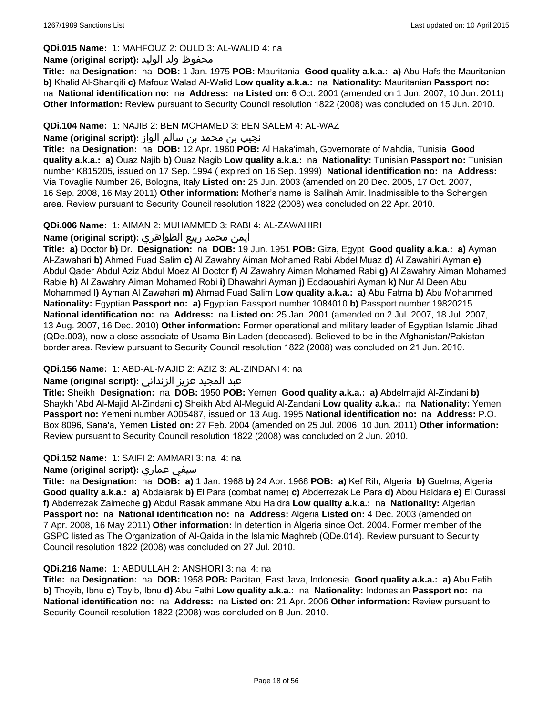# **QDi.015 Name:** 1: MAHFOUZ 2: OULD 3: AL-WALID 4: na

# محفوظ ولد الوليد **:**(Name (original script

**Title:** na **Designation:** na **DOB:** 1 Jan. 1975 **POB:** Mauritania **Good quality a.k.a.: a)** Abu Hafs the Mauritanian **b)** Khalid Al-Shanqiti **c)** Mafouz Walad Al-Walid **Low quality a.k.a.:** na **Nationality:** Mauritanian **Passport no:**  na **National identification no:** na **Address:** na **Listed on:** 6 Oct. 2001 (amended on 1 Jun. 2007, 10 Jun. 2011) **Other information:** Review pursuant to Security Council resolution 1822 (2008) was concluded on 15 Jun. 2010.

# **QDi.104 Name:** 1: NAJIB 2: BEN MOHAMED 3: BEN SALEM 4: AL-WAZ

# نجيب بن محمد بن سالم الواز **:(script original (Name**

**Title:** na **Designation:** na **DOB:** 12 Apr. 1960 **POB:** Al Haka'imah, Governorate of Mahdia, Tunisia **Good quality a.k.a.: a)** Ouaz Najib **b)** Ouaz Nagib **Low quality a.k.a.:** na **Nationality:** Tunisian **Passport no:** Tunisian number K815205, issued on 17 Sep. 1994 ( expired on 16 Sep. 1999) **National identification no:** na **Address:** Via Tovaglie Number 26, Bologna, Italy **Listed on:** 25 Jun. 2003 (amended on 20 Dec. 2005, 17 Oct. 2007, 16 Sep. 2008, 16 May 2011) **Other information:** Mother's name is Salihah Amir. Inadmissible to the Schengen area. Review pursuant to Security Council resolution 1822 (2008) was concluded on 22 Apr. 2010.

# **QDi.006 Name:** 1: AIMAN 2: MUHAMMED 3: RABI 4: AL-ZAWAHIRI

# أيمن محمد ربيع الظواهري **:(script original (Name**

**Title: a)** Doctor **b)** Dr. **Designation:** na **DOB:** 19 Jun. 1951 **POB:** Giza, Egypt **Good quality a.k.a.: a)** Ayman Al-Zawahari **b)** Ahmed Fuad Salim **c)** Al Zawahry Aiman Mohamed Rabi Abdel Muaz **d)** Al Zawahiri Ayman **e)** Abdul Qader Abdul Aziz Abdul Moez Al Doctor **f)** Al Zawahry Aiman Mohamed Rabi **g)** Al Zawahry Aiman Mohamed Rabie **h)** Al Zawahry Aiman Mohamed Robi **i)** Dhawahri Ayman **j)** Eddaouahiri Ayman **k)** Nur Al Deen Abu Mohammed **l)** Ayman Al Zawahari **m)** Ahmad Fuad Salim **Low quality a.k.a.: a)** Abu Fatma **b)** Abu Mohammed **Nationality:** Egyptian **Passport no: a)** Egyptian Passport number 1084010 **b)** Passport number 19820215 **National identification no:** na **Address:** na **Listed on:** 25 Jan. 2001 (amended on 2 Jul. 2007, 18 Jul. 2007, 13 Aug. 2007, 16 Dec. 2010) **Other information:** Former operational and military leader of Egyptian Islamic Jihad (QDe.003), now a close associate of Usama Bin Laden (deceased). Believed to be in the Afghanistan/Pakistan border area. Review pursuant to Security Council resolution 1822 (2008) was concluded on 21 Jun. 2010.

# **QDi.156 Name:** 1: ABD-AL-MAJID 2: AZIZ 3: AL-ZINDANI 4: na

#### عبد المجيد عزيز الزنداني **:(script original (Name**

**Title:** Sheikh **Designation:** na **DOB:** 1950 **POB:** Yemen **Good quality a.k.a.: a)** Abdelmajid Al-Zindani **b)** Shaykh 'Abd Al-Majid Al-Zindani **c)** Sheikh Abd Al-Meguid Al-Zandani **Low quality a.k.a.:** na **Nationality:** Yemeni **Passport no:** Yemeni number A005487, issued on 13 Aug. 1995 **National identification no:** na **Address:** P.O. Box 8096, Sana'a, Yemen **Listed on:** 27 Feb. 2004 (amended on 25 Jul. 2006, 10 Jun. 2011) **Other information:** Review pursuant to Security Council resolution 1822 (2008) was concluded on 2 Jun. 2010.

### **QDi.152 Name:** 1: SAIFI 2: AMMARI 3: na 4: na

#### **Name (original script):** عماري سيفي

**Title:** na **Designation:** na **DOB: a)** 1 Jan. 1968 **b)** 24 Apr. 1968 **POB: a)** Kef Rih, Algeria **b)** Guelma, Algeria **Good quality a.k.a.: a)** Abdalarak **b)** El Para (combat name) **c)** Abderrezak Le Para **d)** Abou Haidara **e)** El Ourassi **f)** Abderrezak Zaimeche **g)** Abdul Rasak ammane Abu Haidra **Low quality a.k.a.:** na **Nationality:** Algerian **Passport no:** na **National identification no:** na **Address:** Algeria **Listed on:** 4 Dec. 2003 (amended on 7 Apr. 2008, 16 May 2011) **Other information:** In detention in Algeria since Oct. 2004. Former member of the GSPC listed as The Organization of Al-Qaida in the Islamic Maghreb (QDe.014). Review pursuant to Security Council resolution 1822 (2008) was concluded on 27 Jul. 2010.

#### **QDi.216 Name:** 1: ABDULLAH 2: ANSHORI 3: na 4: na

**Title:** na **Designation:** na **DOB:** 1958 **POB:** Pacitan, East Java, Indonesia **Good quality a.k.a.: a)** Abu Fatih **b)** Thoyib, Ibnu **c)** Toyib, Ibnu **d)** Abu Fathi **Low quality a.k.a.:** na **Nationality:** Indonesian **Passport no:** na **National identification no:** na **Address:** na **Listed on:** 21 Apr. 2006 **Other information:** Review pursuant to Security Council resolution 1822 (2008) was concluded on 8 Jun. 2010.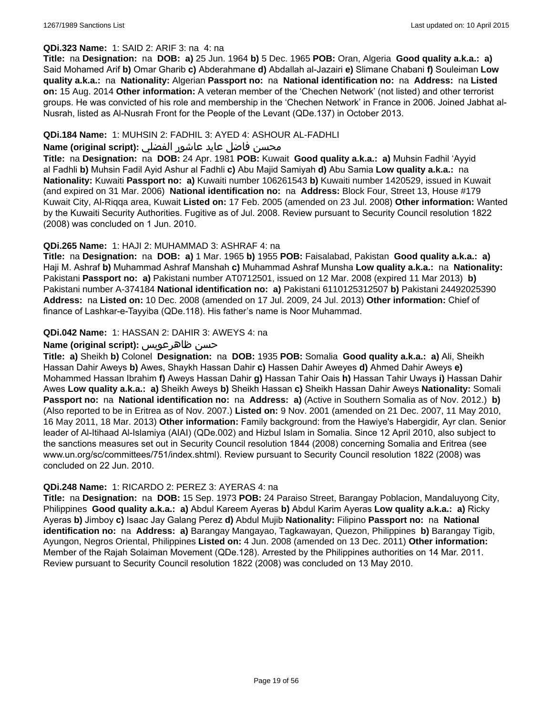# **QDi.323 Name:** 1: SAID 2: ARIF 3: na 4: na

**Title:** na **Designation:** na **DOB: a)** 25 Jun. 1964 **b)** 5 Dec. 1965 **POB:** Oran, Algeria **Good quality a.k.a.: a)** Said Mohamed Arif **b)** Omar Gharib **c)** Abderahmane **d)** Abdallah al-Jazairi **e)** Slimane Chabani **f)** Souleiman **Low quality a.k.a.:** na **Nationality:** Algerian **Passport no:** na **National identification no:** na **Address:** na **Listed on:** 15 Aug. 2014 **Other information:** A veteran member of the 'Chechen Network' (not listed) and other terrorist groups. He was convicted of his role and membership in the 'Chechen Network' in France in 2006. Joined Jabhat al-Nusrah, listed as Al-Nusrah Front for the People of the Levant (QDe.137) in October 2013.

# **QDi.184 Name:** 1: MUHSIN 2: FADHIL 3: AYED 4: ASHOUR AL-FADHLI

# محسن فاضل عايد عاشور الفضلي **:Name (original script**)

**Title:** na **Designation:** na **DOB:** 24 Apr. 1981 **POB:** Kuwait **Good quality a.k.a.: a)** Muhsin Fadhil 'Ayyid al Fadhli **b)** Muhsin Fadil Ayid Ashur al Fadhli **c)** Abu Majid Samiyah **d)** Abu Samia **Low quality a.k.a.:** na **Nationality:** Kuwaiti **Passport no: a)** Kuwaiti number 106261543 **b)** Kuwaiti number 1420529, issued in Kuwait (and expired on 31 Mar. 2006) **National identification no:** na **Address:** Block Four, Street 13, House #179 Kuwait City, Al-Riqqa area, Kuwait **Listed on:** 17 Feb. 2005 (amended on 23 Jul. 2008) **Other information:** Wanted by the Kuwaiti Security Authorities. Fugitive as of Jul. 2008. Review pursuant to Security Council resolution 1822 (2008) was concluded on 1 Jun. 2010.

# **QDi.265 Name:** 1: HAJI 2: MUHAMMAD 3: ASHRAF 4: na

**Title:** na **Designation:** na **DOB: a)** 1 Mar. 1965 **b)** 1955 **POB:** Faisalabad, Pakistan **Good quality a.k.a.: a)** Haji M. Ashraf **b)** Muhammad Ashraf Manshah **c)** Muhammad Ashraf Munsha **Low quality a.k.a.:** na **Nationality:** Pakistani **Passport no: a)** Pakistani number AT0712501, issued on 12 Mar. 2008 (expired 11 Mar 2013) **b)** Pakistani number A-374184 **National identification no: a)** Pakistani 6110125312507 **b)** Pakistani 24492025390 **Address:** na **Listed on:** 10 Dec. 2008 (amended on 17 Jul. 2009, 24 Jul. 2013) **Other information:** Chief of finance of Lashkar-e-Tayyiba (QDe.118). His father's name is Noor Muhammad.

# **QDi.042 Name:** 1: HASSAN 2: DAHIR 3: AWEYS 4: na

# **Name (original script):** ظاهرعويس حسن

**Title: a)** Sheikh **b)** Colonel **Designation:** na **DOB:** 1935 **POB:** Somalia **Good quality a.k.a.: a)** Ali, Sheikh Hassan Dahir Aweys **b)** Awes, Shaykh Hassan Dahir **c)** Hassen Dahir Aweyes **d)** Ahmed Dahir Aweys **e)** Mohammed Hassan Ibrahim **f)** Aweys Hassan Dahir **g)** Hassan Tahir Oais **h)** Hassan Tahir Uways **i)** Hassan Dahir Awes **Low quality a.k.a.: a)** Sheikh Aweys **b)** Sheikh Hassan **c)** Sheikh Hassan Dahir Aweys **Nationality:** Somali **Passport no:** na **National identification no:** na **Address: a)** (Active in Southern Somalia as of Nov. 2012.) **b)** (Also reported to be in Eritrea as of Nov. 2007.) **Listed on:** 9 Nov. 2001 (amended on 21 Dec. 2007, 11 May 2010, 16 May 2011, 18 Mar. 2013) **Other information:** Family background: from the Hawiye's Habergidir, Ayr clan. Senior leader of Al-Itihaad Al-Islamiya (AIAI) (QDe.002) and Hizbul Islam in Somalia. Since 12 April 2010, also subject to the sanctions measures set out in Security Council resolution 1844 (2008) concerning Somalia and Eritrea (see www.un.org/sc/committees/751/index.shtml). Review pursuant to Security Council resolution 1822 (2008) was concluded on 22 Jun. 2010.

# **QDi.248 Name:** 1: RICARDO 2: PEREZ 3: AYERAS 4: na

**Title:** na **Designation:** na **DOB:** 15 Sep. 1973 **POB:** 24 Paraiso Street, Barangay Poblacion, Mandaluyong City, Philippines **Good quality a.k.a.: a)** Abdul Kareem Ayeras **b)** Abdul Karim Ayeras **Low quality a.k.a.: a)** Ricky Ayeras **b)** Jimboy **c)** Isaac Jay Galang Perez **d)** Abdul Mujib **Nationality:** Filipino **Passport no:** na **National identification no:** na **Address: a)** Barangay Mangayao, Tagkawayan, Quezon, Philippines **b)** Barangay Tigib, Ayungon, Negros Oriental, Philippines **Listed on:** 4 Jun. 2008 (amended on 13 Dec. 2011) **Other information:** Member of the Rajah Solaiman Movement (QDe.128). Arrested by the Philippines authorities on 14 Mar. 2011. Review pursuant to Security Council resolution 1822 (2008) was concluded on 13 May 2010.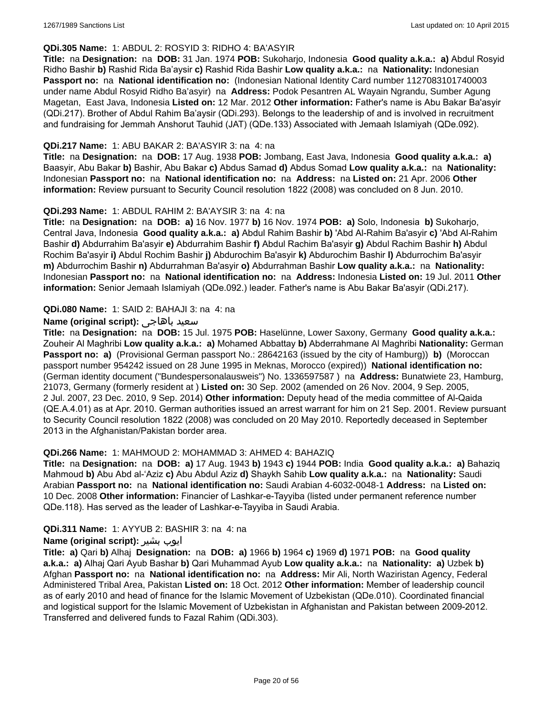# **QDi.305 Name:** 1: ABDUL 2: ROSYID 3: RIDHO 4: BA'ASYIR

**Title:** na **Designation:** na **DOB:** 31 Jan. 1974 **POB:** Sukoharjo, Indonesia **Good quality a.k.a.: a)** Abdul Rosyid Ridho Bashir **b)** Rashid Rida Ba'aysir **c)** Rashid Rida Bashir **Low quality a.k.a.:** na **Nationality:** Indonesian **Passport no:** na **National identification no:** (Indonesian National Identity Card number 1127083101740003 under name Abdul Rosyid Ridho Ba'asyir) na **Address:** Podok Pesantren AL Wayain Ngrandu, Sumber Agung Magetan, East Java, Indonesia **Listed on:** 12 Mar. 2012 **Other information:** Father's name is Abu Bakar Ba'asyir (QDi.217). Brother of Abdul Rahim Ba'aysir (QDi.293). Belongs to the leadership of and is involved in recruitment and fundraising for Jemmah Anshorut Tauhid (JAT) (QDe.133) Associated with Jemaah Islamiyah (QDe.092).

### **QDi.217 Name:** 1: ABU BAKAR 2: BA'ASYIR 3: na 4: na

**Title:** na **Designation:** na **DOB:** 17 Aug. 1938 **POB:** Jombang, East Java, Indonesia **Good quality a.k.a.: a)** Baasyir, Abu Bakar **b)** Bashir, Abu Bakar **c)** Abdus Samad **d)** Abdus Somad **Low quality a.k.a.:** na **Nationality:** Indonesian **Passport no:** na **National identification no:** na **Address:** na **Listed on:** 21 Apr. 2006 **Other information:** Review pursuant to Security Council resolution 1822 (2008) was concluded on 8 Jun. 2010.

# **QDi.293 Name:** 1: ABDUL RAHIM 2: BA'AYSIR 3: na 4: na

**Title:** na **Designation:** na **DOB: a)** 16 Nov. 1977 **b)** 16 Nov. 1974 **POB: a)** Solo, Indonesia **b)** Sukoharjo, Central Java, Indonesia **Good quality a.k.a.: a)** Abdul Rahim Bashir **b)** 'Abd Al-Rahim Ba'asyir **c)** 'Abd Al-Rahim Bashir **d)** Abdurrahim Ba'asyir **e)** Abdurrahim Bashir **f)** Abdul Rachim Ba'asyir **g)** Abdul Rachim Bashir **h)** Abdul Rochim Ba'asyir **i)** Abdul Rochim Bashir **j)** Abdurochim Ba'asyir **k)** Abdurochim Bashir **l)** Abdurrochim Ba'asyir **m)** Abdurrochim Bashir **n)** Abdurrahman Ba'asyir **o)** Abdurrahman Bashir **Low quality a.k.a.:** na **Nationality:** Indonesian **Passport no:** na **National identification no:** na **Address:** Indonesia **Listed on:** 19 Jul. 2011 **Other information:** Senior Jemaah Islamiyah (QDe.092.) leader. Father's name is Abu Bakar Ba'asyir (QDi.217).

# **QDi.080 Name:** 1: SAID 2: BAHAJI 3: na 4: na

# **Name (original script):** باهاجى سعيد

**Title:** na **Designation:** na **DOB:** 15 Jul. 1975 **POB:** Haselünne, Lower Saxony, Germany **Good quality a.k.a.:** Zouheir Al Maghribi **Low quality a.k.a.: a)** Mohamed Abbattay **b)** Abderrahmane Al Maghribi **Nationality:** German **Passport no: a)** (Provisional German passport No.: 28642163 (issued by the city of Hamburg)) **b)** (Moroccan passport number 954242 issued on 28 June 1995 in Meknas, Morocco (expired)) **National identification no:**  (German identity document ("Bundespersonalausweis") No. 1336597587 ) na **Address:** Bunatwiete 23, Hamburg, 21073, Germany (formerly resident at ) **Listed on:** 30 Sep. 2002 (amended on 26 Nov. 2004, 9 Sep. 2005, 2 Jul. 2007, 23 Dec. 2010, 9 Sep. 2014) **Other information:** Deputy head of the media committee of Al-Qaida (QE.A.4.01) as at Apr. 2010. German authorities issued an arrest warrant for him on 21 Sep. 2001. Review pursuant to Security Council resolution 1822 (2008) was concluded on 20 May 2010. Reportedly deceased in September 2013 in the Afghanistan/Pakistan border area.

#### **QDi.266 Name:** 1: MAHMOUD 2: MOHAMMAD 3: AHMED 4: BAHAZIQ

**Title:** na **Designation:** na **DOB: a)** 17 Aug. 1943 **b)** 1943 **c)** 1944 **POB:** India **Good quality a.k.a.: a)** Bahaziq Mahmoud **b)** Abu Abd al-'Aziz **c)** Abu Abdul Aziz **d)** Shaykh Sahib **Low quality a.k.a.:** na **Nationality:** Saudi Arabian **Passport no:** na **National identification no:** Saudi Arabian 4-6032-0048-1 **Address:** na **Listed on:** 10 Dec. 2008 **Other information:** Financier of Lashkar-e-Tayyiba (listed under permanent reference number QDe.118). Has served as the leader of Lashkar-e-Tayyiba in Saudi Arabia.

#### **QDi.311 Name:** 1: AYYUB 2: BASHIR 3: na 4: na

#### **Name (original script):** بشیر ایوب

**Title: a)** Qari **b)** Alhaj **Designation:** na **DOB: a)** 1966 **b)** 1964 **c)** 1969 **d)** 1971 **POB:** na **Good quality a.k.a.: a)** Alhaj Qari Ayub Bashar **b)** Qari Muhammad Ayub **Low quality a.k.a.:** na **Nationality: a)** Uzbek **b)** Afghan **Passport no:** na **National identification no:** na **Address:** Mir Ali, North Waziristan Agency, Federal Administered Tribal Area, Pakistan **Listed on:** 18 Oct. 2012 **Other information:** Member of leadership council as of early 2010 and head of finance for the Islamic Movement of Uzbekistan (QDe.010). Coordinated financial and logistical support for the Islamic Movement of Uzbekistan in Afghanistan and Pakistan between 2009-2012. Transferred and delivered funds to Fazal Rahim (QDi.303).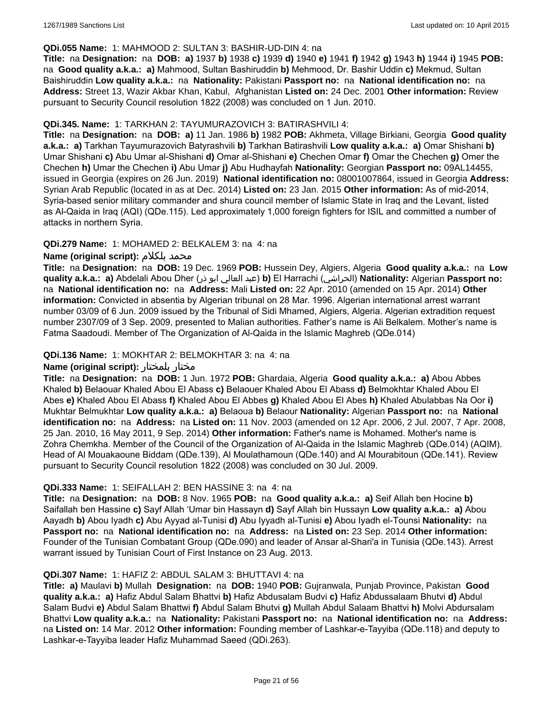#### **QDi.055 Name:** 1: MAHMOOD 2: SULTAN 3: BASHIR-UD-DIN 4: na

**Title:** na **Designation:** na **DOB: a)** 1937 **b)** 1938 **c)** 1939 **d)** 1940 **e)** 1941 **f)** 1942 **g)** 1943 **h)** 1944 **i)** 1945 **POB:**  na **Good quality a.k.a.: a)** Mahmood, Sultan Bashiruddin **b)** Mehmood, Dr. Bashir Uddin **c)** Mekmud, Sultan Baishiruddin **Low quality a.k.a.:** na **Nationality:** Pakistani **Passport no:** na **National identification no:** na **Address:** Street 13, Wazir Akbar Khan, Kabul, Afghanistan **Listed on:** 24 Dec. 2001 **Other information:** Review pursuant to Security Council resolution 1822 (2008) was concluded on 1 Jun. 2010.

# **QDi.345. Name:** 1: TARKHAN 2: TAYUMURAZOVICH 3: BATIRASHVILI 4:

**Title:** na **Designation:** na **DOB: a)** 11 Jan. 1986 **b)** 1982 **POB:** Akhmeta, Village Birkiani, Georgia **Good quality a.k.a.: a)** Tarkhan Tayumurazovich Batyrashvili **b)** Tarkhan Batirashvili **Low quality a.k.a.: a)** Omar Shishani **b)** Umar Shishani **c)** Abu Umar al-Shishani **d)** Omar al-Shishani **e)** Chechen Omar **f)** Omar the Chechen **g)** Omer the Chechen **h)** Umar the Chechen **i)** Abu Umar **j)** Abu Hudhayfah **Nationality:** Georgian **Passport no:** 09AL14455, issued in Georgia (expires on 26 Jun. 2019) **National identification no:** 08001007864, issued in Georgia **Address:** Syrian Arab Republic (located in as at Dec. 2014) **Listed on:** 23 Jan. 2015 **Other information:** As of mid-2014, Syria-based senior military commander and shura council member of Islamic State in Iraq and the Levant, listed as Al-Qaida in Iraq (AQI) (QDe.115). Led approximately 1,000 foreign fighters for ISIL and committed a number of attacks in northern Syria.

# **QDi.279 Name:** 1: MOHAMED 2: BELKALEM 3: na 4: na

# **Name (original script):** بلكلام محمد

**Title:** na **Designation:** na **DOB:** 19 Dec. 1969 **POB:** Hussein Dey, Algiers, Algeria **Good quality a.k.a.:** na **Low quality a.k.a.: a)** Abdelali Abou Dher (ذر ابو العالي عبد(**b)** El Harrachi (الحراشي(**Nationality:** Algerian **Passport no:**  na **National identification no:** na **Address:** Mali **Listed on:** 22 Apr. 2010 (amended on 15 Apr. 2014) **Other information:** Convicted in absentia by Algerian tribunal on 28 Mar. 1996. Algerian international arrest warrant number 03/09 of 6 Jun. 2009 issued by the Tribunal of Sidi Mhamed, Algiers, Algeria. Algerian extradition request number 2307/09 of 3 Sep. 2009, presented to Malian authorities. Father's name is Ali Belkalem. Mother's name is Fatma Saadoudi. Member of The Organization of Al-Qaida in the Islamic Maghreb (QDe.014)

# **QDi.136 Name:** 1: MOKHTAR 2: BELMOKHTAR 3: na 4: na

#### **Name (original script):** بلمختار مختار

**Title:** na **Designation:** na **DOB:** 1 Jun. 1972 **POB:** Ghardaia, Algeria **Good quality a.k.a.: a)** Abou Abbes Khaled **b)** Belaouar Khaled Abou El Abass **c)** Belaouer Khaled Abou El Abass **d)** Belmokhtar Khaled Abou El Abes **e)** Khaled Abou El Abass **f)** Khaled Abou El Abbes **g)** Khaled Abou El Abes **h)** Khaled Abulabbas Na Oor **i)** Mukhtar Belmukhtar **Low quality a.k.a.: a)** Belaoua **b)** Belaour **Nationality:** Algerian **Passport no:** na **National identification no:** na **Address:** na **Listed on:** 11 Nov. 2003 (amended on 12 Apr. 2006, 2 Jul. 2007, 7 Apr. 2008, 25 Jan. 2010, 16 May 2011, 9 Sep. 2014) **Other information:** Father's name is Mohamed. Mother's name is Zohra Chemkha. Member of the Council of the Organization of Al-Qaida in the Islamic Maghreb (QDe.014) (AQIM). Head of Al Mouakaoune Biddam (QDe.139), Al Moulathamoun (QDe.140) and Al Mourabitoun (QDe.141). Review pursuant to Security Council resolution 1822 (2008) was concluded on 30 Jul. 2009.

#### **QDi.333 Name:** 1: SEIFALLAH 2: BEN HASSINE 3: na 4: na

**Title:** na **Designation:** na **DOB:** 8 Nov. 1965 **POB:** na **Good quality a.k.a.: a)** Seif Allah ben Hocine **b)** Saifallah ben Hassine **c)** Sayf Allah 'Umar bin Hassayn **d)** Sayf Allah bin Hussayn **Low quality a.k.a.: a)** Abou Aayadh **b)** Abou Iyadh **c)** Abu Ayyad al-Tunisi **d)** Abu Iyyadh al-Tunisi **e)** Abou Iyadh el-Tounsi **Nationality:** na **Passport no:** na **National identification no:** na **Address:** na **Listed on:** 23 Sep. 2014 **Other information:** Founder of the Tunisian Combatant Group (QDe.090) and leader of Ansar al-Shari'a in Tunisia (QDe.143). Arrest warrant issued by Tunisian Court of First Instance on 23 Aug. 2013.

#### **QDi.307 Name:** 1: HAFIZ 2: ABDUL SALAM 3: BHUTTAVI 4: na

**Title: a)** Maulavi **b)** Mullah **Designation:** na **DOB:** 1940 **POB:** Gujranwala, Punjab Province, Pakistan **Good quality a.k.a.: a)** Hafiz Abdul Salam Bhattvi **b)** Hafiz Abdusalam Budvi **c)** Hafiz Abdussalaam Bhutvi **d)** Abdul Salam Budvi **e)** Abdul Salam Bhattwi **f)** Abdul Salam Bhutvi **g)** Mullah Abdul Salaam Bhattvi **h)** Molvi Abdursalam Bhattvi **Low quality a.k.a.:** na **Nationality:** Pakistani **Passport no:** na **National identification no:** na **Address:** na **Listed on:** 14 Mar. 2012 **Other information:** Founding member of Lashkar-e-Tayyiba (QDe.118) and deputy to Lashkar-e-Tayyiba leader Hafiz Muhammad Saeed (QDi.263).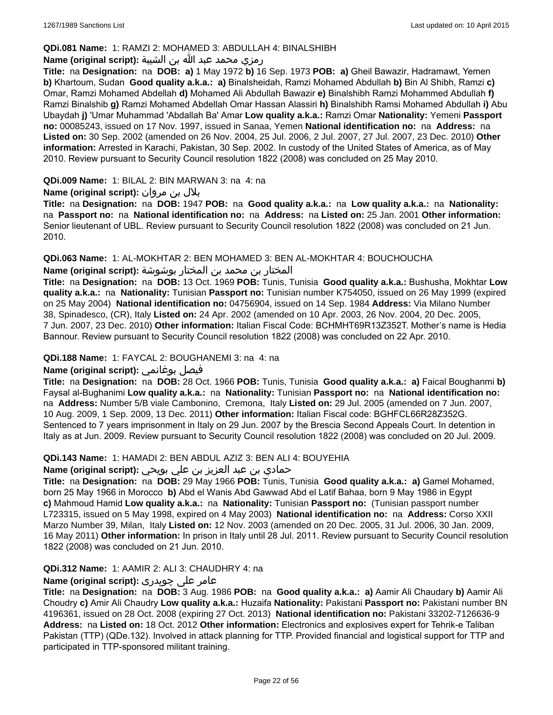# **QDi.081 Name:** 1: RAMZI 2: MOHAMED 3: ABDULLAH 4: BINALSHIBH

# رمزي محمد عبد الله بن الشيبة **:(script original (Name**

**Title:** na **Designation:** na **DOB: a)** 1 May 1972 **b)** 16 Sep. 1973 **POB: a)** Gheil Bawazir, Hadramawt, Yemen **b)** Khartoum, Sudan **Good quality a.k.a.: a)** Binalsheidah, Ramzi Mohamed Abdullah **b)** Bin Al Shibh, Ramzi **c)** Omar, Ramzi Mohamed Abdellah **d)** Mohamed Ali Abdullah Bawazir **e)** Binalshibh Ramzi Mohammed Abdullah **f)** Ramzi Binalshib **g)** Ramzi Mohamed Abdellah Omar Hassan Alassiri **h)** Binalshibh Ramsi Mohamed Abdullah **i)** Abu Ubaydah **j)** 'Umar Muhammad 'Abdallah Ba' Amar **Low quality a.k.a.:** Ramzi Omar **Nationality:** Yemeni **Passport no:** 00085243, issued on 17 Nov. 1997, issued in Sanaa, Yemen **National identification no:** na **Address:** na **Listed on:** 30 Sep. 2002 (amended on 26 Nov. 2004, 25 Jul. 2006, 2 Jul. 2007, 27 Jul. 2007, 23 Dec. 2010) **Other information:** Arrested in Karachi, Pakistan, 30 Sep. 2002. In custody of the United States of America, as of May 2010. Review pursuant to Security Council resolution 1822 (2008) was concluded on 25 May 2010.

# **QDi.009 Name:** 1: BILAL 2: BIN MARWAN 3: na 4: na

بلال بن مروان **:(script original (Name**

**Title:** na **Designation:** na **DOB:** 1947 **POB:** na **Good quality a.k.a.:** na **Low quality a.k.a.:** na **Nationality:**  na **Passport no:** na **National identification no:** na **Address:** na **Listed on:** 25 Jan. 2001 **Other information:** Senior lieutenant of UBL. Review pursuant to Security Council resolution 1822 (2008) was concluded on 21 Jun. 2010.

# **QDi.063 Name:** 1: AL-MOKHTAR 2: BEN MOHAMED 3: BEN AL-MOKHTAR 4: BOUCHOUCHA

# المختار بن محمد بن المختار بوشوشة **:(script original (Name**

**Title:** na **Designation:** na **DOB:** 13 Oct. 1969 **POB:** Tunis, Tunisia **Good quality a.k.a.:** Bushusha, Mokhtar **Low quality a.k.a.:** na **Nationality:** Tunisian **Passport no:** Tunisian number K754050, issued on 26 May 1999 (expired on 25 May 2004) **National identification no:** 04756904, issued on 14 Sep. 1984 **Address:** Via Milano Number 38, Spinadesco, (CR), Italy **Listed on:** 24 Apr. 2002 (amended on 10 Apr. 2003, 26 Nov. 2004, 20 Dec. 2005, 7 Jun. 2007, 23 Dec. 2010) **Other information:** Italian Fiscal Code: BCHMHT69R13Z352T. Mother's name is Hedia Bannour. Review pursuant to Security Council resolution 1822 (2008) was concluded on 22 Apr. 2010.

### **QDi.188 Name:** 1: FAYCAL 2: BOUGHANEMI 3: na 4: na

# **Name (original script):** بوغانمي فيصل

**Title:** na **Designation:** na **DOB:** 28 Oct. 1966 **POB:** Tunis, Tunisia **Good quality a.k.a.: a)** Faical Boughanmi **b)** Faysal al-Bughanimi **Low quality a.k.a.:** na **Nationality:** Tunisian **Passport no:** na **National identification no:**  na **Address:** Number 5/B viale Cambonino, Cremona, Italy **Listed on:** 29 Jul. 2005 (amended on 7 Jun. 2007, 10 Aug. 2009, 1 Sep. 2009, 13 Dec. 2011) **Other information:** Italian Fiscal code: BGHFCL66R28Z352G. Sentenced to 7 years imprisonment in Italy on 29 Jun. 2007 by the Brescia Second Appeals Court. In detention in Italy as at Jun. 2009. Review pursuant to Security Council resolution 1822 (2008) was concluded on 20 Jul. 2009.

#### **QDi.143 Name:** 1: HAMADI 2: BEN ABDUL AZIZ 3: BEN ALI 4: BOUYEHIA

# حمادي بن عبد العزيز بن علي بويحي **:(script original (Name**

**Title:** na **Designation:** na **DOB:** 29 May 1966 **POB:** Tunis, Tunisia **Good quality a.k.a.: a)** Gamel Mohamed, born 25 May 1966 in Morocco **b)** Abd el Wanis Abd Gawwad Abd el Latif Bahaa, born 9 May 1986 in Egypt **c)** Mahmoud Hamid **Low quality a.k.a.:** na **Nationality:** Tunisian **Passport no:** (Tunisian passport number L723315, issued on 5 May 1998, expired on 4 May 2003) **National identification no:** na **Address:** Corso XXII Marzo Number 39, Milan, Italy **Listed on:** 12 Nov. 2003 (amended on 20 Dec. 2005, 31 Jul. 2006, 30 Jan. 2009, 16 May 2011) **Other information:** In prison in Italy until 28 Jul. 2011. Review pursuant to Security Council resolution 1822 (2008) was concluded on 21 Jun. 2010.

#### **QDi.312 Name:** 1: AAMIR 2: ALI 3: CHAUDHRY 4: na

# عامر علی چوہدری **:(script original (Name**

**Title:** na **Designation:** na **DOB:** 3 Aug. 1986 **POB:** na **Good quality a.k.a.: a)** Aamir Ali Chaudary **b)** Aamir Ali Choudry **c)** Amir Ali Chaudry **Low quality a.k.a.:** Huzaifa **Nationality:** Pakistani **Passport no:** Pakistani number BN 4196361, issued on 28 Oct. 2008 (expiring 27 Oct. 2013) **National identification no:** Pakistani 33202-7126636-9 **Address:** na **Listed on:** 18 Oct. 2012 **Other information:** Electronics and explosives expert for Tehrik-e Taliban Pakistan (TTP) (QDe.132). Involved in attack planning for TTP. Provided financial and logistical support for TTP and participated in TTP-sponsored militant training.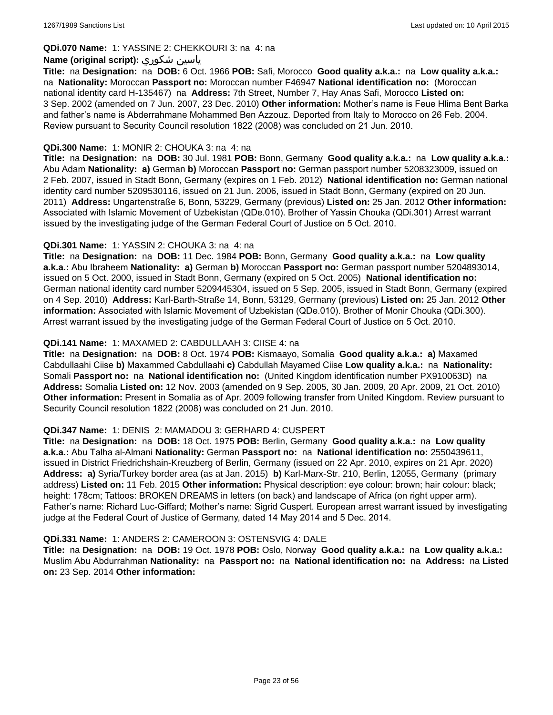# **QDi.070 Name:** 1: YASSINE 2: CHEKKOURI 3: na 4: na

# **Name (original script):** شكوري ياسين

**Title:** na **Designation:** na **DOB:** 6 Oct. 1966 **POB:** Safi, Morocco **Good quality a.k.a.:** na **Low quality a.k.a.:**  na **Nationality:** Moroccan **Passport no:** Moroccan number F46947 **National identification no:** (Moroccan national identity card H-135467) na **Address:** 7th Street, Number 7, Hay Anas Safi, Morocco **Listed on:** 3 Sep. 2002 (amended on 7 Jun. 2007, 23 Dec. 2010) **Other information:** Mother's name is Feue Hlima Bent Barka and father's name is Abderrahmane Mohammed Ben Azzouz. Deported from Italy to Morocco on 26 Feb. 2004. Review pursuant to Security Council resolution 1822 (2008) was concluded on 21 Jun. 2010.

### **QDi.300 Name:** 1: MONIR 2: CHOUKA 3: na 4: na

**Title:** na **Designation:** na **DOB:** 30 Jul. 1981 **POB:** Bonn, Germany **Good quality a.k.a.:** na **Low quality a.k.a.:** Abu Adam **Nationality: a)** German **b)** Moroccan **Passport no:** German passport number 5208323009, issued on 2 Feb. 2007, issued in Stadt Bonn, Germany (expires on 1 Feb. 2012) **National identification no:** German national identity card number 5209530116, issued on 21 Jun. 2006, issued in Stadt Bonn, Germany (expired on 20 Jun. 2011) **Address:** Ungartenstraße 6, Bonn, 53229, Germany (previous) **Listed on:** 25 Jan. 2012 **Other information:** Associated with Islamic Movement of Uzbekistan (QDe.010). Brother of Yassin Chouka (QDi.301) Arrest warrant issued by the investigating judge of the German Federal Court of Justice on 5 Oct. 2010.

# **QDi.301 Name:** 1: YASSIN 2: CHOUKA 3: na 4: na

**Title:** na **Designation:** na **DOB:** 11 Dec. 1984 **POB:** Bonn, Germany **Good quality a.k.a.:** na **Low quality a.k.a.:** Abu Ibraheem **Nationality: a)** German **b)** Moroccan **Passport no:** German passport number 5204893014, issued on 5 Oct. 2000, issued in Stadt Bonn, Germany (expired on 5 Oct. 2005) **National identification no:** German national identity card number 5209445304, issued on 5 Sep. 2005, issued in Stadt Bonn, Germany (expired on 4 Sep. 2010) **Address:** Karl-Barth-Straße 14, Bonn, 53129, Germany (previous) **Listed on:** 25 Jan. 2012 **Other information:** Associated with Islamic Movement of Uzbekistan (QDe.010). Brother of Monir Chouka (QDi.300). Arrest warrant issued by the investigating judge of the German Federal Court of Justice on 5 Oct. 2010.

# **QDi.141 Name:** 1: MAXAMED 2: CABDULLAAH 3: CIISE 4: na

**Title:** na **Designation:** na **DOB:** 8 Oct. 1974 **POB:** Kismaayo, Somalia **Good quality a.k.a.: a)** Maxamed Cabdullaahi Ciise **b)** Maxammed Cabdullaahi **c)** Cabdullah Mayamed Ciise **Low quality a.k.a.:** na **Nationality:** Somali **Passport no:** na **National identification no:** (United Kingdom identification number PX910063D) na **Address:** Somalia **Listed on:** 12 Nov. 2003 (amended on 9 Sep. 2005, 30 Jan. 2009, 20 Apr. 2009, 21 Oct. 2010) **Other information:** Present in Somalia as of Apr. 2009 following transfer from United Kingdom. Review pursuant to Security Council resolution 1822 (2008) was concluded on 21 Jun. 2010.

# **QDi.347 Name:** 1: DENIS 2: MAMADOU 3: GERHARD 4: CUSPERT

**Title:** na **Designation:** na **DOB:** 18 Oct. 1975 **POB:** Berlin, Germany **Good quality a.k.a.:** na **Low quality a.k.a.:** Abu Talha al-Almani **Nationality:** German **Passport no:** na **National identification no:** 2550439611, issued in District Friedrichshain-Kreuzberg of Berlin, Germany (issued on 22 Apr. 2010, expires on 21 Apr. 2020) **Address: a)** Syria/Turkey border area (as at Jan. 2015) **b)** Karl-Marx-Str. 210, Berlin, 12055, Germany (primary address) **Listed on:** 11 Feb. 2015 **Other information:** Physical description: eye colour: brown; hair colour: black; height: 178cm; Tattoos: BROKEN DREAMS in letters (on back) and landscape of Africa (on right upper arm). Father's name: Richard Luc-Giffard; Mother's name: Sigrid Cuspert. European arrest warrant issued by investigating judge at the Federal Court of Justice of Germany, dated 14 May 2014 and 5 Dec. 2014.

#### **QDi.331 Name:** 1: ANDERS 2: CAMEROON 3: OSTENSVIG 4: DALE

**Title:** na **Designation:** na **DOB:** 19 Oct. 1978 **POB:** Oslo, Norway **Good quality a.k.a.:** na **Low quality a.k.a.:** Muslim Abu Abdurrahman **Nationality:** na **Passport no:** na **National identification no:** na **Address:** na **Listed on:** 23 Sep. 2014 **Other information:**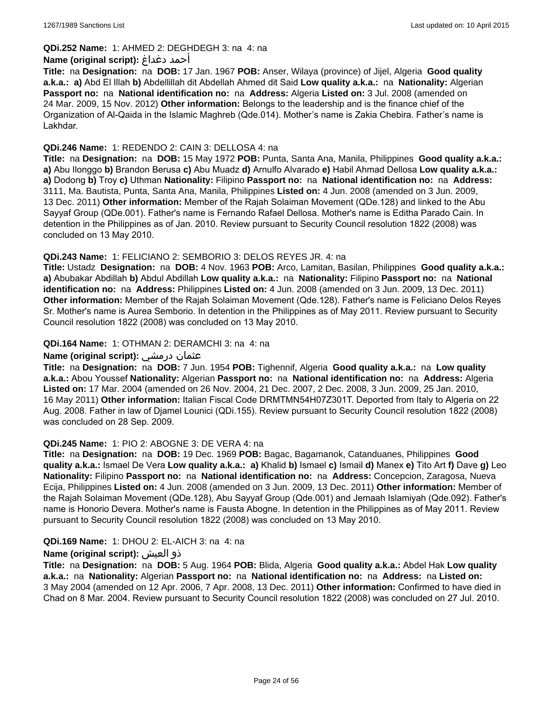# **QDi.252 Name:** 1: AHMED 2: DEGHDEGH 3: na 4: na

### **Name (original script):** دغداغ أحمد

**Title:** na **Designation:** na **DOB:** 17 Jan. 1967 **POB:** Anser, Wilaya (province) of Jijel, Algeria **Good quality a.k.a.: a)** Abd El Illah **b)** Abdellillah dit Abdellah Ahmed dit Said **Low quality a.k.a.:** na **Nationality:** Algerian **Passport no:** na **National identification no:** na **Address:** Algeria **Listed on:** 3 Jul. 2008 (amended on 24 Mar. 2009, 15 Nov. 2012) **Other information:** Belongs to the leadership and is the finance chief of the Organization of Al-Qaida in the Islamic Maghreb (Qde.014). Mother's name is Zakia Chebira. Father's name is Lakhdar.

# **QDi.246 Name:** 1: REDENDO 2: CAIN 3: DELLOSA 4: na

**Title:** na **Designation:** na **DOB:** 15 May 1972 **POB:** Punta, Santa Ana, Manila, Philippines **Good quality a.k.a.: a)** Abu Ilonggo **b)** Brandon Berusa **c)** Abu Muadz **d)** Arnulfo Alvarado **e)** Habil Ahmad Dellosa **Low quality a.k.a.: a)** Dodong **b)** Troy **c)** Uthman **Nationality:** Filipino **Passport no:** na **National identification no:** na **Address:** 3111, Ma. Bautista, Punta, Santa Ana, Manila, Philippines **Listed on:** 4 Jun. 2008 (amended on 3 Jun. 2009, 13 Dec. 2011) **Other information:** Member of the Rajah Solaiman Movement (QDe.128) and linked to the Abu Sayyaf Group (QDe.001). Father's name is Fernando Rafael Dellosa. Mother's name is Editha Parado Cain. In detention in the Philippines as of Jan. 2010. Review pursuant to Security Council resolution 1822 (2008) was concluded on 13 May 2010.

# **QDi.243 Name:** 1: FELICIANO 2: SEMBORIO 3: DELOS REYES JR. 4: na

**Title:** Ustadz **Designation:** na **DOB:** 4 Nov. 1963 **POB:** Arco, Lamitan, Basilan, Philippines **Good quality a.k.a.: a)** Abubakar Abdillah **b)** Abdul Abdillah **Low quality a.k.a.:** na **Nationality:** Filipino **Passport no:** na **National identification no:** na **Address:** Philippines **Listed on:** 4 Jun. 2008 (amended on 3 Jun. 2009, 13 Dec. 2011) **Other information:** Member of the Rajah Solaiman Movement (Qde.128). Father's name is Feliciano Delos Reyes Sr. Mother's name is Aurea Semborio. In detention in the Philippines as of May 2011. Review pursuant to Security Council resolution 1822 (2008) was concluded on 13 May 2010.

# **QDi.164 Name:** 1: OTHMAN 2: DERAMCHI 3: na 4: na

### **Name (original script):** درمشي عثمان

**Title:** na **Designation:** na **DOB:** 7 Jun. 1954 **POB:** Tighennif, Algeria **Good quality a.k.a.:** na **Low quality a.k.a.:** Abou Youssef **Nationality:** Algerian **Passport no:** na **National identification no:** na **Address:** Algeria **Listed on:** 17 Mar. 2004 (amended on 26 Nov. 2004, 21 Dec. 2007, 2 Dec. 2008, 3 Jun. 2009, 25 Jan. 2010, 16 May 2011) **Other information:** Italian Fiscal Code DRMTMN54H07Z301T. Deported from Italy to Algeria on 22 Aug. 2008. Father in law of Djamel Lounici (QDi.155). Review pursuant to Security Council resolution 1822 (2008) was concluded on 28 Sep. 2009.

#### **QDi.245 Name:** 1: PIO 2: ABOGNE 3: DE VERA 4: na

**Title:** na **Designation:** na **DOB:** 19 Dec. 1969 **POB:** Bagac, Bagamanok, Catanduanes, Philippines **Good quality a.k.a.:** Ismael De Vera **Low quality a.k.a.: a)** Khalid **b)** Ismael **c)** Ismail **d)** Manex **e)** Tito Art **f)** Dave **g)** Leo **Nationality:** Filipino **Passport no:** na **National identification no:** na **Address:** Concepcion, Zaragosa, Nueva Ecija, Philippines **Listed on:** 4 Jun. 2008 (amended on 3 Jun. 2009, 13 Dec. 2011) **Other information:** Member of the Rajah Solaiman Movement (QDe.128), Abu Sayyaf Group (Qde.001) and Jemaah Islamiyah (Qde.092). Father's name is Honorio Devera. Mother's name is Fausta Abogne. In detention in the Philippines as of May 2011. Review pursuant to Security Council resolution 1822 (2008) was concluded on 13 May 2010.

#### **QDi.169 Name:** 1: DHOU 2: EL-AICH 3: na 4: na

# **Name (original script):** العيش ذو

**Title:** na **Designation:** na **DOB:** 5 Aug. 1964 **POB:** Blida, Algeria **Good quality a.k.a.:** Abdel Hak **Low quality a.k.a.:** na **Nationality:** Algerian **Passport no:** na **National identification no:** na **Address:** na **Listed on:** 3 May 2004 (amended on 12 Apr. 2006, 7 Apr. 2008, 13 Dec. 2011) **Other information:** Confirmed to have died in Chad on 8 Mar. 2004. Review pursuant to Security Council resolution 1822 (2008) was concluded on 27 Jul. 2010.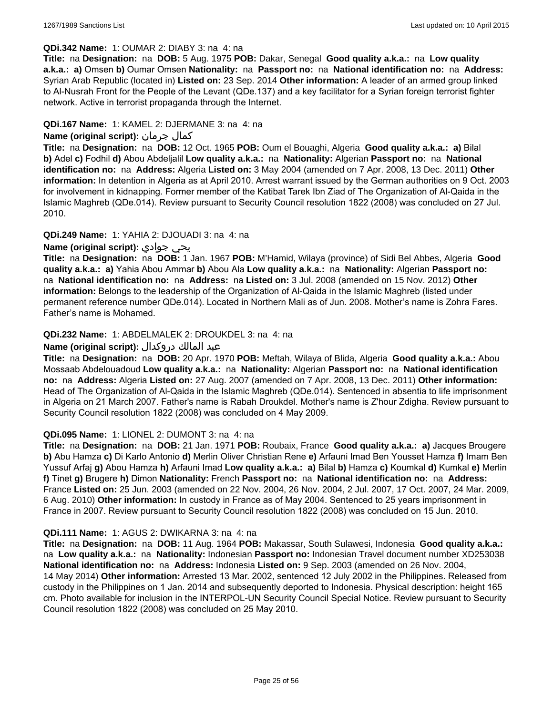# **QDi.342 Name:** 1: OUMAR 2: DIABY 3: na 4: na

**Title:** na **Designation:** na **DOB:** 5 Aug. 1975 **POB:** Dakar, Senegal **Good quality a.k.a.:** na **Low quality a.k.a.: a)** Omsen **b)** Oumar Omsen **Nationality:** na **Passport no:** na **National identification no:** na **Address:** Syrian Arab Republic (located in) **Listed on:** 23 Sep. 2014 **Other information:** A leader of an armed group linked to Al-Nusrah Front for the People of the Levant (QDe.137) and a key facilitator for a Syrian foreign terrorist fighter network. Active in terrorist propaganda through the Internet.

# **QDi.167 Name:** 1: KAMEL 2: DJERMANE 3: na 4: na

# **Name (original script):** جرمان كمال

**Title:** na **Designation:** na **DOB:** 12 Oct. 1965 **POB:** Oum el Bouaghi, Algeria **Good quality a.k.a.: a)** Bilal **b)** Adel **c)** Fodhil **d)** Abou Abdeljalil **Low quality a.k.a.:** na **Nationality:** Algerian **Passport no:** na **National identification no:** na **Address:** Algeria **Listed on:** 3 May 2004 (amended on 7 Apr. 2008, 13 Dec. 2011) **Other information:** In detention in Algeria as at April 2010. Arrest warrant issued by the German authorities on 9 Oct. 2003 for involvement in kidnapping. Former member of the Katibat Tarek Ibn Ziad of The Organization of Al-Qaida in the Islamic Maghreb (QDe.014). Review pursuant to Security Council resolution 1822 (2008) was concluded on 27 Jul. 2010.

# **QDi.249 Name:** 1: YAHIA 2: DJOUADI 3: na 4: na

# **Name (original script):** جوادي يحي

**Title:** na **Designation:** na **DOB:** 1 Jan. 1967 **POB:** M'Hamid, Wilaya (province) of Sidi Bel Abbes, Algeria **Good quality a.k.a.: a)** Yahia Abou Ammar **b)** Abou Ala **Low quality a.k.a.:** na **Nationality:** Algerian **Passport no:**  na **National identification no:** na **Address:** na **Listed on:** 3 Jul. 2008 (amended on 15 Nov. 2012) **Other information:** Belongs to the leadership of the Organization of Al-Qaida in the Islamic Maghreb (listed under permanent reference number QDe.014). Located in Northern Mali as of Jun. 2008. Mother's name is Zohra Fares. Father's name is Mohamed.

# **QDi.232 Name:** 1: ABDELMALEK 2: DROUKDEL 3: na 4: na

# عبد المالك دروكدال **:(script original (Name**

**Title:** na **Designation:** na **DOB:** 20 Apr. 1970 **POB:** Meftah, Wilaya of Blida, Algeria **Good quality a.k.a.:** Abou Mossaab Abdelouadoud **Low quality a.k.a.:** na **Nationality:** Algerian **Passport no:** na **National identification no:** na **Address:** Algeria **Listed on:** 27 Aug. 2007 (amended on 7 Apr. 2008, 13 Dec. 2011) **Other information:** Head of The Organization of Al-Qaida in the Islamic Maghreb (QDe.014). Sentenced in absentia to life imprisonment in Algeria on 21 March 2007. Father's name is Rabah Droukdel. Mother's name is Z'hour Zdigha. Review pursuant to Security Council resolution 1822 (2008) was concluded on 4 May 2009.

#### **QDi.095 Name:** 1: LIONEL 2: DUMONT 3: na 4: na

**Title:** na **Designation:** na **DOB:** 21 Jan. 1971 **POB:** Roubaix, France **Good quality a.k.a.: a)** Jacques Brougere **b)** Abu Hamza **c)** Di Karlo Antonio **d)** Merlin Oliver Christian Rene **e)** Arfauni Imad Ben Yousset Hamza **f)** Imam Ben Yussuf Arfaj **g)** Abou Hamza **h)** Arfauni Imad **Low quality a.k.a.: a)** Bilal **b)** Hamza **c)** Koumkal **d)** Kumkal **e)** Merlin **f)** Tinet **g)** Brugere **h)** Dimon **Nationality:** French **Passport no:** na **National identification no:** na **Address:** France **Listed on:** 25 Jun. 2003 (amended on 22 Nov. 2004, 26 Nov. 2004, 2 Jul. 2007, 17 Oct. 2007, 24 Mar. 2009, 6 Aug. 2010) **Other information:** In custody in France as of May 2004. Sentenced to 25 years imprisonment in France in 2007. Review pursuant to Security Council resolution 1822 (2008) was concluded on 15 Jun. 2010.

#### **QDi.111 Name:** 1: AGUS 2: DWIKARNA 3: na 4: na

**Title:** na **Designation:** na **DOB:** 11 Aug. 1964 **POB:** Makassar, South Sulawesi, Indonesia **Good quality a.k.a.:**  na **Low quality a.k.a.:** na **Nationality:** Indonesian **Passport no:** Indonesian Travel document number XD253038 **National identification no:** na **Address:** Indonesia **Listed on:** 9 Sep. 2003 (amended on 26 Nov. 2004, 14 May 2014) **Other information:** Arrested 13 Mar. 2002, sentenced 12 July 2002 in the Philippines. Released from custody in the Philippines on 1 Jan. 2014 and subsequently deported to Indonesia. Physical description: height 165 cm. Photo available for inclusion in the INTERPOL-UN Security Council Special Notice. Review pursuant to Security Council resolution 1822 (2008) was concluded on 25 May 2010.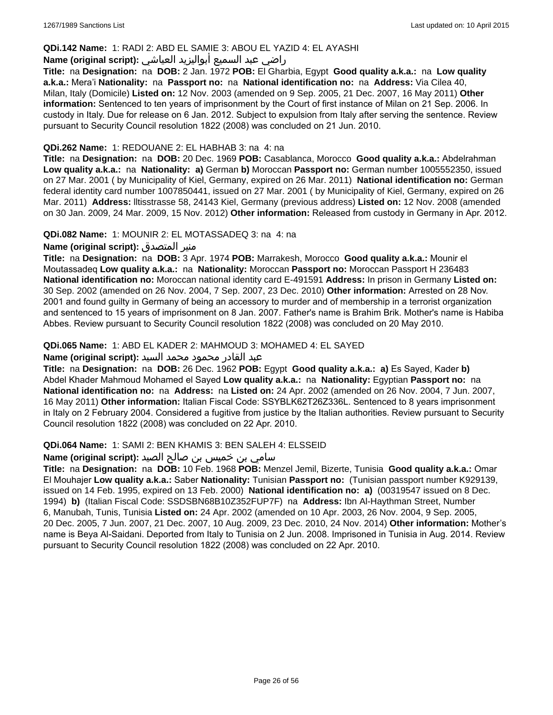#### **QDi.142 Name:** 1: RADI 2: ABD EL SAMIE 3: ABOU EL YAZID 4: EL AYASHI

# راضي عبد السميع أبواليزيد العياشي **:(script original (Name**

**Title:** na **Designation:** na **DOB:** 2 Jan. 1972 **POB:** El Gharbia, Egypt **Good quality a.k.a.:** na **Low quality a.k.a.:** Mera'i **Nationality:** na **Passport no:** na **National identification no:** na **Address:** Via Cilea 40, Milan, Italy (Domicile) **Listed on:** 12 Nov. 2003 (amended on 9 Sep. 2005, 21 Dec. 2007, 16 May 2011) **Other information:** Sentenced to ten years of imprisonment by the Court of first instance of Milan on 21 Sep. 2006. In custody in Italy. Due for release on 6 Jan. 2012. Subject to expulsion from Italy after serving the sentence. Review pursuant to Security Council resolution 1822 (2008) was concluded on 21 Jun. 2010.

### **QDi.262 Name:** 1: REDOUANE 2: EL HABHAB 3: na 4: na

**Title:** na **Designation:** na **DOB:** 20 Dec. 1969 **POB:** Casablanca, Morocco **Good quality a.k.a.:** Abdelrahman **Low quality a.k.a.:** na **Nationality: a)** German **b)** Moroccan **Passport no:** German number 1005552350, issued on 27 Mar. 2001 ( by Municipality of Kiel, Germany, expired on 26 Mar. 2011) **National identification no:** German federal identity card number 1007850441, issued on 27 Mar. 2001 ( by Municipality of Kiel, Germany, expired on 26 Mar. 2011) **Address:** lltisstrasse 58, 24143 Kiel, Germany (previous address) **Listed on:** 12 Nov. 2008 (amended on 30 Jan. 2009, 24 Mar. 2009, 15 Nov. 2012) **Other information:** Released from custody in Germany in Apr. 2012.

**QDi.082 Name:** 1: MOUNIR 2: EL MOTASSADEQ 3: na 4: na

# **Name (original script):** المتصدق منير

**Title:** na **Designation:** na **DOB:** 3 Apr. 1974 **POB:** Marrakesh, Morocco **Good quality a.k.a.:** Mounir el Moutassadeq **Low quality a.k.a.:** na **Nationality:** Moroccan **Passport no:** Moroccan Passport H 236483 **National identification no:** Moroccan national identity card E-491591 **Address:** In prison in Germany **Listed on:** 30 Sep. 2002 (amended on 26 Nov. 2004, 7 Sep. 2007, 23 Dec. 2010) **Other information:** Arrested on 28 Nov. 2001 and found guilty in Germany of being an accessory to murder and of membership in a terrorist organization and sentenced to 15 years of imprisonment on 8 Jan. 2007. Father's name is Brahim Brik. Mother's name is Habiba Abbes. Review pursuant to Security Council resolution 1822 (2008) was concluded on 20 May 2010.

# **QDi.065 Name:** 1: ABD EL KADER 2: MAHMOUD 3: MOHAMED 4: EL SAYED

### عبد القادر محمود محمد السيد **:(script original (Name**

**Title:** na **Designation:** na **DOB:** 26 Dec. 1962 **POB:** Egypt **Good quality a.k.a.: a)** Es Sayed, Kader **b)** Abdel Khader Mahmoud Mohamed el Sayed **Low quality a.k.a.:** na **Nationality:** Egyptian **Passport no:** na **National identification no:** na **Address:** na **Listed on:** 24 Apr. 2002 (amended on 26 Nov. 2004, 7 Jun. 2007, 16 May 2011) **Other information:** Italian Fiscal Code: SSYBLK62T26Z336L. Sentenced to 8 years imprisonment in Italy on 2 February 2004. Considered a fugitive from justice by the Italian authorities. Review pursuant to Security Council resolution 1822 (2008) was concluded on 22 Apr. 2010.

#### **QDi.064 Name:** 1: SAMI 2: BEN KHAMIS 3: BEN SALEH 4: ELSSEID

### سامي بن خميس بن صالح الصيد **:(script original (Name**

**Title:** na **Designation:** na **DOB:** 10 Feb. 1968 **POB:** Menzel Jemil, Bizerte, Tunisia **Good quality a.k.a.:** Omar El Mouhajer **Low quality a.k.a.:** Saber **Nationality:** Tunisian **Passport no:** (Tunisian passport number K929139, issued on 14 Feb. 1995, expired on 13 Feb. 2000) **National identification no: a)** (00319547 issued on 8 Dec. 1994) **b)** (Italian Fiscal Code: SSDSBN68B10Z352FUP7F) na **Address:** Ibn Al-Haythman Street, Number 6, Manubah, Tunis, Tunisia **Listed on:** 24 Apr. 2002 (amended on 10 Apr. 2003, 26 Nov. 2004, 9 Sep. 2005, 20 Dec. 2005, 7 Jun. 2007, 21 Dec. 2007, 10 Aug. 2009, 23 Dec. 2010, 24 Nov. 2014) **Other information:** Mother's name is Beya Al-Saidani. Deported from Italy to Tunisia on 2 Jun. 2008. Imprisoned in Tunisia in Aug. 2014. Review pursuant to Security Council resolution 1822 (2008) was concluded on 22 Apr. 2010.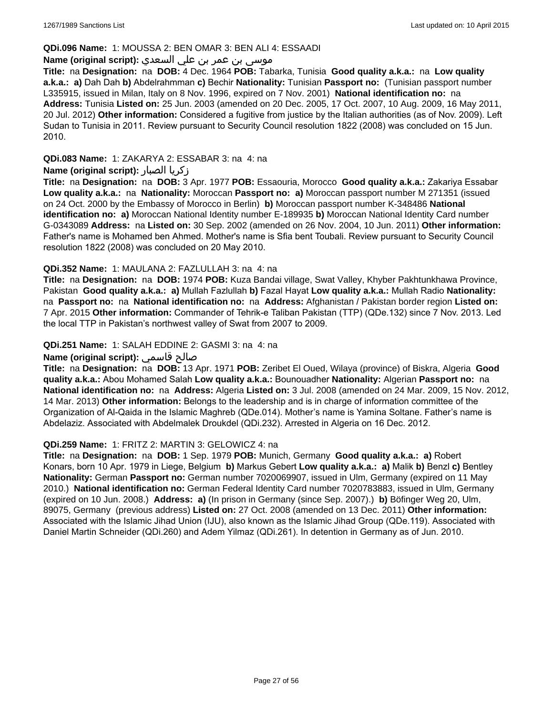# **QDi.096 Name:** 1: MOUSSA 2: BEN OMAR 3: BEN ALI 4: ESSAADI

# موسى بن عمر بن علي السعدي **:**Name (original script)

**Title:** na **Designation:** na **DOB:** 4 Dec. 1964 **POB:** Tabarka, Tunisia **Good quality a.k.a.:** na **Low quality a.k.a.: a)** Dah Dah **b)** Abdelrahmman **c)** Bechir **Nationality:** Tunisian **Passport no:** (Tunisian passport number L335915, issued in Milan, Italy on 8 Nov. 1996, expired on 7 Nov. 2001) **National identification no:** na **Address:** Tunisia **Listed on:** 25 Jun. 2003 (amended on 20 Dec. 2005, 17 Oct. 2007, 10 Aug. 2009, 16 May 2011, 20 Jul. 2012) **Other information:** Considered a fugitive from justice by the Italian authorities (as of Nov. 2009). Left Sudan to Tunisia in 2011. Review pursuant to Security Council resolution 1822 (2008) was concluded on 15 Jun. 2010.

**QDi.083 Name:** 1: ZAKARYA 2: ESSABAR 3: na 4: na

# **Name (original script):** الصبار زكريا

**Title:** na **Designation:** na **DOB:** 3 Apr. 1977 **POB:** Essaouria, Morocco **Good quality a.k.a.:** Zakariya Essabar **Low quality a.k.a.:** na **Nationality:** Moroccan **Passport no: a)** Moroccan passport number M 271351 (issued on 24 Oct. 2000 by the Embassy of Morocco in Berlin) **b)** Moroccan passport number K-348486 **National identification no: a)** Moroccan National Identity number E-189935 **b)** Moroccan National Identity Card number G-0343089 **Address:** na **Listed on:** 30 Sep. 2002 (amended on 26 Nov. 2004, 10 Jun. 2011) **Other information:** Father's name is Mohamed ben Ahmed. Mother's name is Sfia bent Toubali. Review pursuant to Security Council resolution 1822 (2008) was concluded on 20 May 2010.

# **QDi.352 Name:** 1: MAULANA 2: FAZLULLAH 3: na 4: na

**Title:** na **Designation:** na **DOB:** 1974 **POB:** Kuza Bandai village, Swat Valley, Khyber Pakhtunkhawa Province, Pakistan **Good quality a.k.a.: a)** Mullah Fazlullah **b)** Fazal Hayat **Low quality a.k.a.:** Mullah Radio **Nationality:**  na **Passport no:** na **National identification no:** na **Address:** Afghanistan / Pakistan border region **Listed on:** 7 Apr. 2015 **Other information:** Commander of Tehrik-e Taliban Pakistan (TTP) (QDe.132) since 7 Nov. 2013. Led the local TTP in Pakistan's northwest valley of Swat from 2007 to 2009.

# **QDi.251 Name:** 1: SALAH EDDINE 2: GASMI 3: na 4: na

# **Name (original script):** قاسمي صالح

**Title:** na **Designation:** na **DOB:** 13 Apr. 1971 **POB:** Zeribet El Oued, Wilaya (province) of Biskra, Algeria **Good quality a.k.a.:** Abou Mohamed Salah **Low quality a.k.a.:** Bounouadher **Nationality:** Algerian **Passport no:** na **National identification no:** na **Address:** Algeria **Listed on:** 3 Jul. 2008 (amended on 24 Mar. 2009, 15 Nov. 2012, 14 Mar. 2013) **Other information:** Belongs to the leadership and is in charge of information committee of the Organization of Al-Qaida in the Islamic Maghreb (QDe.014). Mother's name is Yamina Soltane. Father's name is Abdelaziz. Associated with Abdelmalek Droukdel (QDi.232). Arrested in Algeria on 16 Dec. 2012.

#### **QDi.259 Name:** 1: FRITZ 2: MARTIN 3: GELOWICZ 4: na

**Title:** na **Designation:** na **DOB:** 1 Sep. 1979 **POB:** Munich, Germany **Good quality a.k.a.: a)** Robert Konars, born 10 Apr. 1979 in Liege, Belgium **b)** Markus Gebert **Low quality a.k.a.: a)** Malik **b)** Benzl **c)** Bentley **Nationality:** German **Passport no:** German number 7020069907, issued in Ulm, Germany (expired on 11 May 2010.) **National identification no:** German Federal Identity Card number 7020783883, issued in Ulm, Germany (expired on 10 Jun. 2008.) **Address: a)** (In prison in Germany (since Sep. 2007).) **b)** Böfinger Weg 20, Ulm, 89075, Germany (previous address) **Listed on:** 27 Oct. 2008 (amended on 13 Dec. 2011) **Other information:** Associated with the Islamic Jihad Union (IJU), also known as the Islamic Jihad Group (QDe.119). Associated with Daniel Martin Schneider (QDi.260) and Adem Yilmaz (QDi.261). In detention in Germany as of Jun. 2010.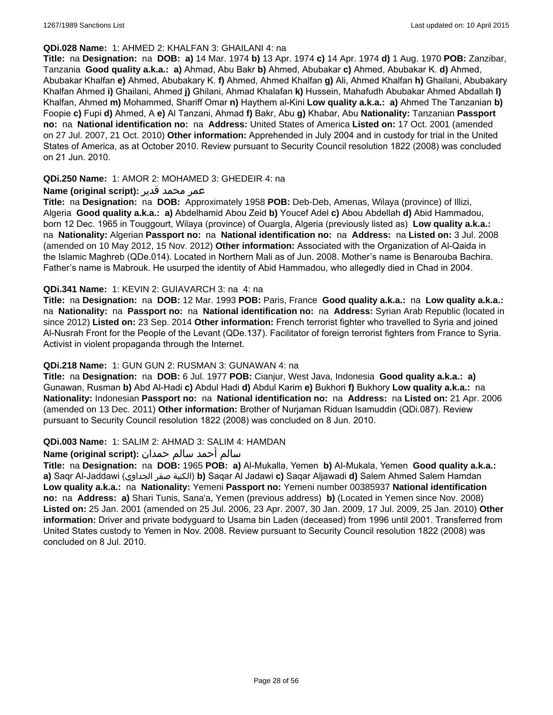#### **QDi.028 Name:** 1: AHMED 2: KHALFAN 3: GHAILANI 4: na

**Title:** na **Designation:** na **DOB: a)** 14 Mar. 1974 **b)** 13 Apr. 1974 **c)** 14 Apr. 1974 **d)** 1 Aug. 1970 **POB:** Zanzibar, Tanzania **Good quality a.k.a.: a)** Ahmad, Abu Bakr **b)** Ahmed, Abubakar **c)** Ahmed, Abubakar K. **d)** Ahmed, Abubakar Khalfan **e)** Ahmed, Abubakary K. **f)** Ahmed, Ahmed Khalfan **g)** Ali, Ahmed Khalfan **h)** Ghailani, Abubakary Khalfan Ahmed **i)** Ghailani, Ahmed **j)** Ghilani, Ahmad Khalafan **k)** Hussein, Mahafudh Abubakar Ahmed Abdallah **l)** Khalfan, Ahmed **m)** Mohammed, Shariff Omar **n)** Haythem al-Kini **Low quality a.k.a.: a)** Ahmed The Tanzanian **b)** Foopie **c)** Fupi **d)** Ahmed, A **e)** Al Tanzani, Ahmad **f)** Bakr, Abu **g)** Khabar, Abu **Nationality:** Tanzanian **Passport no:** na **National identification no:** na **Address:** United States of America **Listed on:** 17 Oct. 2001 (amended on 27 Jul. 2007, 21 Oct. 2010) **Other information:** Apprehended in July 2004 and in custody for trial in the United States of America, as at October 2010. Review pursuant to Security Council resolution 1822 (2008) was concluded on 21 Jun. 2010.

# **QDi.250 Name:** 1: AMOR 2: MOHAMED 3: GHEDEIR 4: na

# عمر محمد قدير **:(script original (Name**

**Title:** na **Designation:** na **DOB:** Approximately 1958 **POB:** Deb-Deb, Amenas, Wilaya (province) of Illizi, Algeria **Good quality a.k.a.: a)** Abdelhamid Abou Zeid **b)** Youcef Adel **c)** Abou Abdellah **d)** Abid Hammadou, born 12 Dec. 1965 in Touggourt, Wilaya (province) of Ouargla, Algeria (previously listed as) **Low quality a.k.a.:**  na **Nationality:** Algerian **Passport no:** na **National identification no:** na **Address:** na **Listed on:** 3 Jul. 2008 (amended on 10 May 2012, 15 Nov. 2012) **Other information:** Associated with the Organization of Al-Qaida in the Islamic Maghreb (QDe.014). Located in Northern Mali as of Jun. 2008. Mother's name is Benarouba Bachira. Father's name is Mabrouk. He usurped the identity of Abid Hammadou, who allegedly died in Chad in 2004.

# **QDi.341 Name:** 1: KEVIN 2: GUIAVARCH 3: na 4: na

**Title:** na **Designation:** na **DOB:** 12 Mar. 1993 **POB:** Paris, France **Good quality a.k.a.:** na **Low quality a.k.a.:**  na **Nationality:** na **Passport no:** na **National identification no:** na **Address:** Syrian Arab Republic (located in since 2012) **Listed on:** 23 Sep. 2014 **Other information:** French terrorist fighter who travelled to Syria and joined Al-Nusrah Front for the People of the Levant (QDe.137). Facilitator of foreign terrorist fighters from France to Syria. Activist in violent propaganda through the Internet.

#### **QDi.218 Name:** 1: GUN GUN 2: RUSMAN 3: GUNAWAN 4: na

**Title:** na **Designation:** na **DOB:** 6 Jul. 1977 **POB:** Cianjur, West Java, Indonesia **Good quality a.k.a.: a)** Gunawan, Rusman **b)** Abd Al-Hadi **c)** Abdul Hadi **d)** Abdul Karim **e)** Bukhori **f)** Bukhory **Low quality a.k.a.:** na **Nationality:** Indonesian **Passport no:** na **National identification no:** na **Address:** na **Listed on:** 21 Apr. 2006 (amended on 13 Dec. 2011) **Other information:** Brother of Nurjaman Riduan Isamuddin (QDi.087). Review pursuant to Security Council resolution 1822 (2008) was concluded on 8 Jun. 2010.

#### **QDi.003 Name:** 1: SALIM 2: AHMAD 3: SALIM 4: HAMDAN

# سالم أحمد سالم حمدان **:(script original (Name**

**Title:** na **Designation:** na **DOB:** 1965 **POB: a)** Al-Mukalla, Yemen **b)** AI-Mukala, Yemen **Good quality a.k.a.: a)** Saqr Al-Jaddawi (الجداوي صقر الكنية(**b)** Saqar Al Jadawi **c)** Saqar Aljawadi **d)** Salem Ahmed Salem Hamdan **Low quality a.k.a.:** na **Nationality:** Yemeni **Passport no:** Yemeni number 00385937 **National identification no:** na **Address: a)** Shari Tunis, Sana'a, Yemen (previous address) **b)** (Located in Yemen since Nov. 2008) **Listed on:** 25 Jan. 2001 (amended on 25 Jul. 2006, 23 Apr. 2007, 30 Jan. 2009, 17 Jul. 2009, 25 Jan. 2010) **Other information:** Driver and private bodyguard to Usama bin Laden (deceased) from 1996 until 2001. Transferred from United States custody to Yemen in Nov. 2008. Review pursuant to Security Council resolution 1822 (2008) was concluded on 8 Jul. 2010.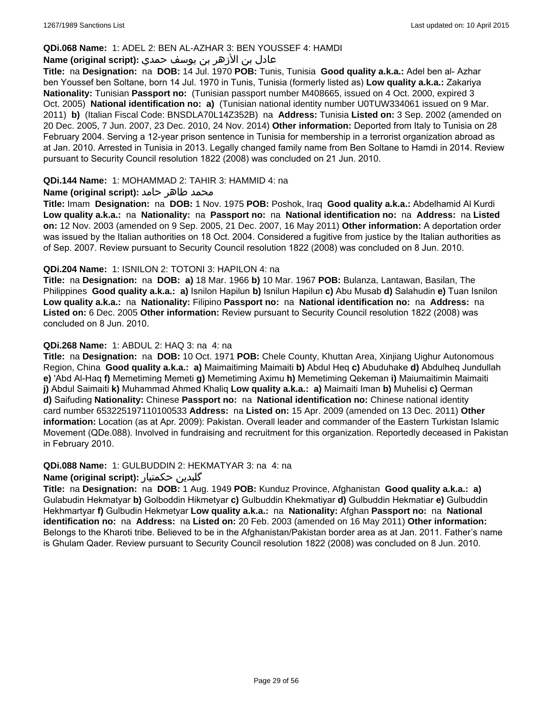### **QDi.068 Name:** 1: ADEL 2: BEN AL-AZHAR 3: BEN YOUSSEF 4: HAMDI

# عادل بن الأزهر بن يوسف حمدي **:(script original (Name**

**Title:** na **Designation:** na **DOB:** 14 Jul. 1970 **POB:** Tunis, Tunisia **Good quality a.k.a.:** Adel ben al- Azhar ben Youssef ben Soltane, born 14 Jul. 1970 in Tunis, Tunisia (formerly listed as) **Low quality a.k.a.:** Zakariya **Nationality:** Tunisian **Passport no:** (Tunisian passport number M408665, issued on 4 Oct. 2000, expired 3 Oct. 2005) **National identification no: a)** (Tunisian national identity number U0TUW334061 issued on 9 Mar. 2011) **b)** (Italian Fiscal Code: BNSDLA70L14Z352B) na **Address:** Tunisia **Listed on:** 3 Sep. 2002 (amended on 20 Dec. 2005, 7 Jun. 2007, 23 Dec. 2010, 24 Nov. 2014) **Other information:** Deported from Italy to Tunisia on 28 February 2004. Serving a 12-year prison sentence in Tunisia for membership in a terrorist organization abroad as at Jan. 2010. Arrested in Tunisia in 2013. Legally changed family name from Ben Soltane to Hamdi in 2014. Review pursuant to Security Council resolution 1822 (2008) was concluded on 21 Jun. 2010.

#### **QDi.144 Name:** 1: MOHAMMAD 2: TAHIR 3: HAMMID 4: na

# **محمد طاهر حامد :(Name (original script**

**Title:** Imam **Designation:** na **DOB:** 1 Nov. 1975 **POB:** Poshok, Iraq **Good quality a.k.a.:** Abdelhamid Al Kurdi **Low quality a.k.a.:** na **Nationality:** na **Passport no:** na **National identification no:** na **Address:** na **Listed on:** 12 Nov. 2003 (amended on 9 Sep. 2005, 21 Dec. 2007, 16 May 2011) **Other information:** A deportation order was issued by the Italian authorities on 18 Oct. 2004. Considered a fugitive from justice by the Italian authorities as of Sep. 2007. Review pursuant to Security Council resolution 1822 (2008) was concluded on 8 Jun. 2010.

#### **QDi.204 Name:** 1: ISNILON 2: TOTONI 3: HAPILON 4: na

**Title:** na **Designation:** na **DOB: a)** 18 Mar. 1966 **b)** 10 Mar. 1967 **POB:** Bulanza, Lantawan, Basilan, The Philippines **Good quality a.k.a.: a)** Isnilon Hapilun **b)** Isnilun Hapilun **c)** Abu Musab **d)** Salahudin **e)** Tuan Isnilon **Low quality a.k.a.:** na **Nationality:** Filipino **Passport no:** na **National identification no:** na **Address:** na **Listed on:** 6 Dec. 2005 **Other information:** Review pursuant to Security Council resolution 1822 (2008) was concluded on 8 Jun. 2010.

# **QDi.268 Name:** 1: ABDUL 2: HAQ 3: na 4: na

**Title:** na **Designation:** na **DOB:** 10 Oct. 1971 **POB:** Chele County, Khuttan Area, Xinjiang Uighur Autonomous Region, China **Good quality a.k.a.: a)** Maimaitiming Maimaiti **b)** Abdul Heq **c)** Abuduhake **d)** Abdulheq Jundullah **e)** 'Abd Al-Haq **f)** Memetiming Memeti **g)** Memetiming Aximu **h)** Memetiming Qekeman **i)** Maiumaitimin Maimaiti **j)** Abdul Saimaiti **k)** Muhammad Ahmed Khaliq **Low quality a.k.a.: a)** Maimaiti Iman **b)** Muhelisi **c)** Qerman **d)** Saifuding **Nationality:** Chinese **Passport no:** na **National identification no:** Chinese national identity card number 653225197110100533 **Address:** na **Listed on:** 15 Apr. 2009 (amended on 13 Dec. 2011) **Other information:** Location (as at Apr. 2009): Pakistan. Overall leader and commander of the Eastern Turkistan Islamic Movement (QDe.088). Involved in fundraising and recruitment for this organization. Reportedly deceased in Pakistan in February 2010.

#### **QDi.088 Name:** 1: GULBUDDIN 2: HEKMATYAR 3: na 4: na

# **Name (original script):** حکمتیار گلبدین

**Title:** na **Designation:** na **DOB:** 1 Aug. 1949 **POB:** Kunduz Province, Afghanistan **Good quality a.k.a.: a)** Gulabudin Hekmatyar **b)** Golboddin Hikmetyar **c)** Gulbuddin Khekmatiyar **d)** Gulbuddin Hekmatiar **e)** Gulbuddin Hekhmartyar **f)** Gulbudin Hekmetyar **Low quality a.k.a.:** na **Nationality:** Afghan **Passport no:** na **National identification no:** na **Address:** na **Listed on:** 20 Feb. 2003 (amended on 16 May 2011) **Other information:** Belongs to the Kharoti tribe. Believed to be in the Afghanistan/Pakistan border area as at Jan. 2011. Father's name is Ghulam Qader. Review pursuant to Security Council resolution 1822 (2008) was concluded on 8 Jun. 2010.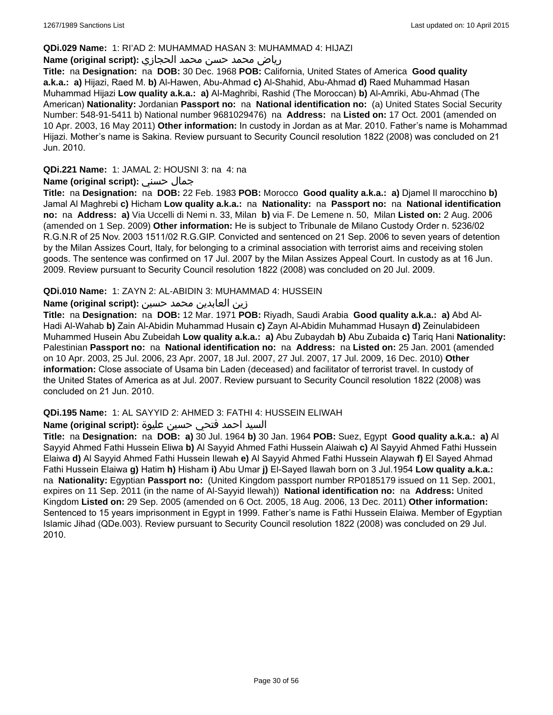### **QDi.029 Name:** 1: RI'AD 2: MUHAMMAD HASAN 3: MUHAMMAD 4: HIJAZI

# رياض محمد حسن محمد الحجازي **:(script original (Name**

**Title:** na **Designation:** na **DOB:** 30 Dec. 1968 **POB:** California, United States of America **Good quality a.k.a.: a)** Hijazi, Raed M. **b)** Al-Hawen, Abu-Ahmad **c)** Al-Shahid, Abu-Ahmad **d)** Raed Muhammad Hasan Muhammad Hijazi **Low quality a.k.a.: a)** Al-Maghribi, Rashid (The Moroccan) **b)** Al-Amriki, Abu-Ahmad (The American) **Nationality:** Jordanian **Passport no:** na **National identification no:** (a) United States Social Security Number: 548-91-5411 b) National number 9681029476) na **Address:** na **Listed on:** 17 Oct. 2001 (amended on 10 Apr. 2003, 16 May 2011) **Other information:** In custody in Jordan as at Mar. 2010. Father's name is Mohammad Hijazi. Mother's name is Sakina. Review pursuant to Security Council resolution 1822 (2008) was concluded on 21 Jun. 2010.

# **QDi.221 Name:** 1: JAMAL 2: HOUSNI 3: na 4: na

# **Name (original script):** حسني جمال

**Title:** na **Designation:** na **DOB:** 22 Feb. 1983 **POB:** Morocco **Good quality a.k.a.: a)** Djamel Il marocchino **b)** Jamal Al Maghrebi **c)** Hicham **Low quality a.k.a.:** na **Nationality:** na **Passport no:** na **National identification no:** na **Address: a)** Via Uccelli di Nemi n. 33, Milan **b)** via F. De Lemene n. 50, Milan **Listed on:** 2 Aug. 2006 (amended on 1 Sep. 2009) **Other information:** He is subject to Tribunale de Milano Custody Order n. 5236/02 R.G.N.R of 25 Nov. 2003 1511/02 R.G.GIP. Convicted and sentenced on 21 Sep. 2006 to seven years of detention by the Milan Assizes Court, Italy, for belonging to a criminal association with terrorist aims and receiving stolen goods. The sentence was confirmed on 17 Jul. 2007 by the Milan Assizes Appeal Court. In custody as at 16 Jun. 2009. Review pursuant to Security Council resolution 1822 (2008) was concluded on 20 Jul. 2009.

# **QDi.010 Name:** 1: ZAYN 2: AL-ABIDIN 3: MUHAMMAD 4: HUSSEIN

# زين العابدين محمد حسين **:(script original (Name**

**Title:** na **Designation:** na **DOB:** 12 Mar. 1971 **POB:** Riyadh, Saudi Arabia **Good quality a.k.a.: a)** Abd Al-Hadi Al-Wahab **b)** Zain Al-Abidin Muhammad Husain **c)** Zayn Al-Abidin Muhammad Husayn **d)** Zeinulabideen Muhammed Husein Abu Zubeidah **Low quality a.k.a.: a)** Abu Zubaydah **b)** Abu Zubaida **c)** Tariq Hani **Nationality:** Palestinian **Passport no:** na **National identification no:** na **Address:** na **Listed on:** 25 Jan. 2001 (amended on 10 Apr. 2003, 25 Jul. 2006, 23 Apr. 2007, 18 Jul. 2007, 27 Jul. 2007, 17 Jul. 2009, 16 Dec. 2010) **Other information:** Close associate of Usama bin Laden (deceased) and facilitator of terrorist travel. In custody of the United States of America as at Jul. 2007. Review pursuant to Security Council resolution 1822 (2008) was concluded on 21 Jun. 2010.

#### **QDi.195 Name:** 1: AL SAYYID 2: AHMED 3: FATHI 4: HUSSEIN ELIWAH

# السيد احمد فتحي حسين عليوة **:(script original (Name**

**Title:** na **Designation:** na **DOB: a)** 30 Jul. 1964 **b)** 30 Jan. 1964 **POB:** Suez, Egypt **Good quality a.k.a.: a)** Al Sayyid Ahmed Fathi Hussein Eliwa **b)** Al Sayyid Ahmed Fathi Hussein Alaiwah **c)** Al Sayyid Ahmed Fathi Hussein Elaiwa **d)** Al Sayyid Ahmed Fathi Hussein Ilewah **e)** Al Sayyid Ahmed Fathi Hussein Alaywah **f)** El Sayed Ahmad Fathi Hussein Elaiwa **g)** Hatim **h)** Hisham **i)** Abu Umar **j)** El-Sayed Ilawah born on 3 Jul.1954 **Low quality a.k.a.:**  na **Nationality:** Egyptian **Passport no:** (United Kingdom passport number RP0185179 issued on 11 Sep. 2001, expires on 11 Sep. 2011 (in the name of Al-Sayyid Ilewah)) **National identification no:** na **Address:** United Kingdom **Listed on:** 29 Sep. 2005 (amended on 6 Oct. 2005, 18 Aug. 2006, 13 Dec. 2011) **Other information:** Sentenced to 15 years imprisonment in Egypt in 1999. Father's name is Fathi Hussein Elaiwa. Member of Egyptian Islamic Jihad (QDe.003). Review pursuant to Security Council resolution 1822 (2008) was concluded on 29 Jul. 2010.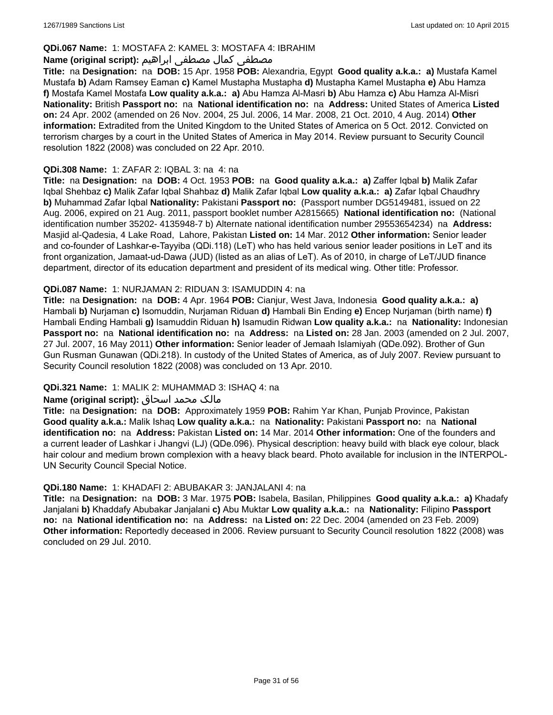# **QDi.067 Name:** 1: MOSTAFA 2: KAMEL 3: MOSTAFA 4: IBRAHIM

# مصطفى كمال مصطفى ابراهيم **:Name (original script**)

**Title:** na **Designation:** na **DOB:** 15 Apr. 1958 **POB:** Alexandria, Egypt **Good quality a.k.a.: a)** Mustafa Kamel Mustafa **b)** Adam Ramsey Eaman **c)** Kamel Mustapha Mustapha **d)** Mustapha Kamel Mustapha **e)** Abu Hamza **f)** Mostafa Kamel Mostafa **Low quality a.k.a.: a)** Abu Hamza Al-Masri **b)** Abu Hamza **c)** Abu Hamza Al-Misri **Nationality:** British **Passport no:** na **National identification no:** na **Address:** United States of America **Listed on:** 24 Apr. 2002 (amended on 26 Nov. 2004, 25 Jul. 2006, 14 Mar. 2008, 21 Oct. 2010, 4 Aug. 2014) **Other information:** Extradited from the United Kingdom to the United States of America on 5 Oct. 2012. Convicted on terrorism charges by a court in the United States of America in May 2014. Review pursuant to Security Council resolution 1822 (2008) was concluded on 22 Apr. 2010.

### **QDi.308 Name:** 1: ZAFAR 2: IQBAL 3: na 4: na

**Title:** na **Designation:** na **DOB:** 4 Oct. 1953 **POB:** na **Good quality a.k.a.: a)** Zaffer Iqbal **b)** Malik Zafar Iqbal Shehbaz **c)** Malik Zafar Iqbal Shahbaz **d)** Malik Zafar Iqbal **Low quality a.k.a.: a)** Zafar Iqbal Chaudhry **b)** Muhammad Zafar Iqbal **Nationality:** Pakistani **Passport no:** (Passport number DG5149481, issued on 22 Aug. 2006, expired on 21 Aug. 2011, passport booklet number A2815665) **National identification no:** (National identification number 35202- 4135948-7 b) Alternate national identification number 29553654234) na **Address:** Masjid al-Qadesia, 4 Lake Road, Lahore, Pakistan **Listed on:** 14 Mar. 2012 **Other information:** Senior leader and co-founder of Lashkar-e-Tayyiba (QDi.118) (LeT) who has held various senior leader positions in LeT and its front organization, Jamaat-ud-Dawa (JUD) (listed as an alias of LeT). As of 2010, in charge of LeT/JUD finance department, director of its education department and president of its medical wing. Other title: Professor.

# **QDi.087 Name:** 1: NURJAMAN 2: RIDUAN 3: ISAMUDDIN 4: na

**Title:** na **Designation:** na **DOB:** 4 Apr. 1964 **POB:** Cianjur, West Java, Indonesia **Good quality a.k.a.: a)** Hambali **b)** Nurjaman **c)** Isomuddin, Nurjaman Riduan **d)** Hambali Bin Ending **e)** Encep Nurjaman (birth name) **f)** Hambali Ending Hambali **g)** Isamuddin Riduan **h)** Isamudin Ridwan **Low quality a.k.a.:** na **Nationality:** Indonesian **Passport no:** na **National identification no:** na **Address:** na **Listed on:** 28 Jan. 2003 (amended on 2 Jul. 2007, 27 Jul. 2007, 16 May 2011) **Other information:** Senior leader of Jemaah Islamiyah (QDe.092). Brother of Gun Gun Rusman Gunawan (QDi.218). In custody of the United States of America, as of July 2007. Review pursuant to Security Council resolution 1822 (2008) was concluded on 13 Apr. 2010.

# **QDi.321 Name:** 1: MALIK 2: MUHAMMAD 3: ISHAQ 4: na

#### مالک محمد اسحاق : Name (original script)

**Title:** na **Designation:** na **DOB:** Approximately 1959 **POB:** Rahim Yar Khan, Punjab Province, Pakistan **Good quality a.k.a.:** Malik Ishaq **Low quality a.k.a.:** na **Nationality:** Pakistani **Passport no:** na **National identification no:** na **Address:** Pakistan **Listed on:** 14 Mar. 2014 **Other information:** One of the founders and a current leader of Lashkar i Jhangvi (LJ) (QDe.096). Physical description: heavy build with black eye colour, black hair colour and medium brown complexion with a heavy black beard. Photo available for inclusion in the INTERPOL-UN Security Council Special Notice.

#### **QDi.180 Name:** 1: KHADAFI 2: ABUBAKAR 3: JANJALANI 4: na

**Title:** na **Designation:** na **DOB:** 3 Mar. 1975 **POB:** Isabela, Basilan, Philippines **Good quality a.k.a.: a)** Khadafy Janjalani **b)** Khaddafy Abubakar Janjalani **c)** Abu Muktar **Low quality a.k.a.:** na **Nationality:** Filipino **Passport no:** na **National identification no:** na **Address:** na **Listed on:** 22 Dec. 2004 (amended on 23 Feb. 2009) **Other information:** Reportedly deceased in 2006. Review pursuant to Security Council resolution 1822 (2008) was concluded on 29 Jul. 2010.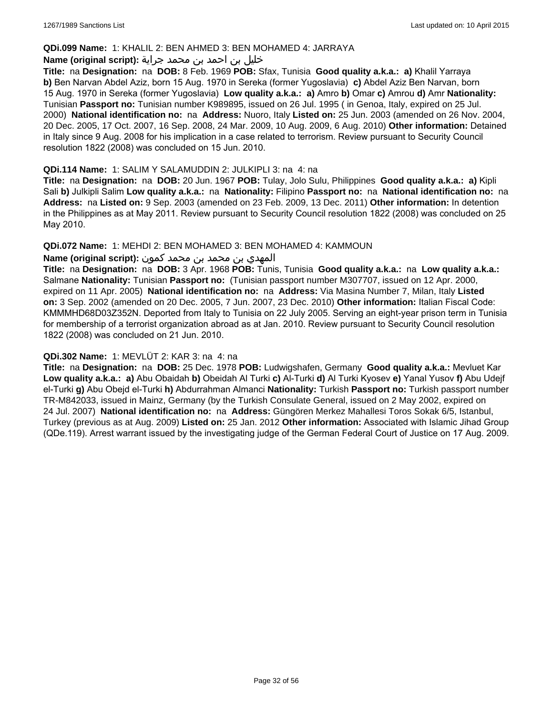### **QDi.099 Name:** 1: KHALIL 2: BEN AHMED 3: BEN MOHAMED 4: JARRAYA

# خليل بن احمد بن محمد جراية **:(script original (Name**

**Title:** na **Designation:** na **DOB:** 8 Feb. 1969 **POB:** Sfax, Tunisia **Good quality a.k.a.: a)** Khalil Yarraya **b)** Ben Narvan Abdel Aziz, born 15 Aug. 1970 in Sereka (former Yugoslavia) **c)** Abdel Aziz Ben Narvan, born 15 Aug. 1970 in Sereka (former Yugoslavia) **Low quality a.k.a.: a)** Amro **b)** Omar **c)** Amrou **d)** Amr **Nationality:** Tunisian **Passport no:** Tunisian number K989895, issued on 26 Jul. 1995 ( in Genoa, Italy, expired on 25 Jul. 2000) **National identification no:** na **Address:** Nuoro, Italy **Listed on:** 25 Jun. 2003 (amended on 26 Nov. 2004, 20 Dec. 2005, 17 Oct. 2007, 16 Sep. 2008, 24 Mar. 2009, 10 Aug. 2009, 6 Aug. 2010) **Other information:** Detained in Italy since 9 Aug. 2008 for his implication in a case related to terrorism. Review pursuant to Security Council resolution 1822 (2008) was concluded on 15 Jun. 2010.

### **QDi.114 Name:** 1: SALIM Y SALAMUDDIN 2: JULKIPLI 3: na 4: na

**Title:** na **Designation:** na **DOB:** 20 Jun. 1967 **POB:** Tulay, Jolo Sulu, Philippines **Good quality a.k.a.: a)** Kipli Sali **b)** Julkipli Salim **Low quality a.k.a.:** na **Nationality:** Filipino **Passport no:** na **National identification no:** na **Address:** na **Listed on:** 9 Sep. 2003 (amended on 23 Feb. 2009, 13 Dec. 2011) **Other information:** In detention in the Philippines as at May 2011. Review pursuant to Security Council resolution 1822 (2008) was concluded on 25 May 2010.

# **QDi.072 Name:** 1: MEHDI 2: BEN MOHAMED 3: BEN MOHAMED 4: KAMMOUN

# المهدي بن محمد بن محمد كمون **:(script original (Name**

**Title:** na **Designation:** na **DOB:** 3 Apr. 1968 **POB:** Tunis, Tunisia **Good quality a.k.a.:** na **Low quality a.k.a.:** Salmane **Nationality:** Tunisian **Passport no:** (Tunisian passport number M307707, issued on 12 Apr. 2000, expired on 11 Apr. 2005) **National identification no:** na **Address:** Via Masina Number 7, Milan, Italy **Listed on:** 3 Sep. 2002 (amended on 20 Dec. 2005, 7 Jun. 2007, 23 Dec. 2010) **Other information:** Italian Fiscal Code: KMMMHD68D03Z352N. Deported from Italy to Tunisia on 22 July 2005. Serving an eight-year prison term in Tunisia for membership of a terrorist organization abroad as at Jan. 2010. Review pursuant to Security Council resolution 1822 (2008) was concluded on 21 Jun. 2010.

#### **QDi.302 Name:** 1: MEVLÜT 2: KAR 3: na 4: na

**Title:** na **Designation:** na **DOB:** 25 Dec. 1978 **POB:** Ludwigshafen, Germany **Good quality a.k.a.:** Mevluet Kar **Low quality a.k.a.: a)** Abu Obaidah **b)** Obeidah Al Turki **c)** Al-Turki **d)** Al Turki Kyosev **e)** Yanal Yusov **f)** Abu Udejf el-Turki **g)** Abu Obejd el-Turki **h)** Abdurrahman Almanci **Nationality:** Turkish **Passport no:** Turkish passport number TR-M842033, issued in Mainz, Germany (by the Turkish Consulate General, issued on 2 May 2002, expired on 24 Jul. 2007) **National identification no:** na **Address:** Güngören Merkez Mahallesi Toros Sokak 6/5, Istanbul, Turkey (previous as at Aug. 2009) **Listed on:** 25 Jan. 2012 **Other information:** Associated with Islamic Jihad Group (QDe.119). Arrest warrant issued by the investigating judge of the German Federal Court of Justice on 17 Aug. 2009.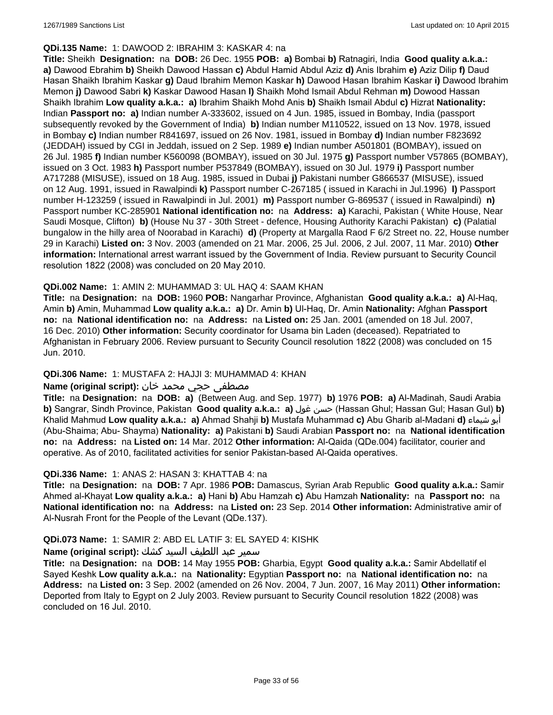### **QDi.135 Name:** 1: DAWOOD 2: IBRAHIM 3: KASKAR 4: na

**Title:** Sheikh **Designation:** na **DOB:** 26 Dec. 1955 **POB: a)** Bombai **b)** Ratnagiri, India **Good quality a.k.a.: a)** Dawood Ebrahim **b)** Sheikh Dawood Hassan **c)** Abdul Hamid Abdul Aziz **d)** Anis Ibrahim **e)** Aziz Dilip **f)** Daud Hasan Shaikh Ibrahim Kaskar **g)** Daud Ibrahim Memon Kaskar **h)** Dawood Hasan Ibrahim Kaskar **i)** Dawood Ibrahim Memon **j)** Dawood Sabri **k)** Kaskar Dawood Hasan **l)** Shaikh Mohd Ismail Abdul Rehman **m)** Dowood Hassan Shaikh Ibrahim **Low quality a.k.a.: a)** Ibrahim Shaikh Mohd Anis **b)** Shaikh Ismail Abdul **c)** Hizrat **Nationality:** Indian **Passport no: a)** Indian number A-333602, issued on 4 Jun. 1985, issued in Bombay, India (passport subsequently revoked by the Government of India) **b)** Indian number M110522, issued on 13 Nov. 1978, issued in Bombay **c)** Indian number R841697, issued on 26 Nov. 1981, issued in Bombay **d)** Indian number F823692 (JEDDAH) issued by CGI in Jeddah, issued on 2 Sep. 1989 **e)** Indian number A501801 (BOMBAY), issued on 26 Jul. 1985 **f)** Indian number K560098 (BOMBAY), issued on 30 Jul. 1975 **g)** Passport number V57865 (BOMBAY), issued on 3 Oct. 1983 **h)** Passport number P537849 (BOMBAY), issued on 30 Jul. 1979 **i)** Passport number A717288 (MISUSE), issued on 18 Aug. 1985, issued in Dubai **j)** Pakistani number G866537 (MISUSE), issued on 12 Aug. 1991, issued in Rawalpindi **k)** Passport number C-267185 ( issued in Karachi in Jul.1996) **l)** Passport number H-123259 ( issued in Rawalpindi in Jul. 2001) **m)** Passport number G-869537 ( issued in Rawalpindi) **n)** Passport number KC-285901 **National identification no:** na **Address: a)** Karachi, Pakistan ( White House, Near Saudi Mosque, Clifton) **b)** (House Nu 37 - 30th Street - defence, Housing Authority Karachi Pakistan) **c)** (Palatial bungalow in the hilly area of Noorabad in Karachi) **d)** (Property at Margalla Raod F 6/2 Street no. 22, House number 29 in Karachi) **Listed on:** 3 Nov. 2003 (amended on 21 Mar. 2006, 25 Jul. 2006, 2 Jul. 2007, 11 Mar. 2010) **Other information:** International arrest warrant issued by the Government of India. Review pursuant to Security Council resolution 1822 (2008) was concluded on 20 May 2010.

# **QDi.002 Name:** 1: AMIN 2: MUHAMMAD 3: UL HAQ 4: SAAM KHAN

**Title:** na **Designation:** na **DOB:** 1960 **POB:** Nangarhar Province, Afghanistan **Good quality a.k.a.: a)** Al-Haq, Amin **b)** Amin, Muhammad **Low quality a.k.a.: a)** Dr. Amin **b)** Ul-Haq, Dr. Amin **Nationality:** Afghan **Passport no:** na **National identification no:** na **Address:** na **Listed on:** 25 Jan. 2001 (amended on 18 Jul. 2007, 16 Dec. 2010) **Other information:** Security coordinator for Usama bin Laden (deceased). Repatriated to Afghanistan in February 2006. Review pursuant to Security Council resolution 1822 (2008) was concluded on 15 Jun. 2010.

#### **QDi.306 Name:** 1: MUSTAFA 2: HAJJI 3: MUHAMMAD 4: KHAN

# مصطفى حجي محمد خان **:**Name (original script)

**Title:** na **Designation:** na **DOB: a)** (Between Aug. and Sep. 1977) **b)** 1976 **POB: a)** Al-Madinah, Saudi Arabia **b)** Sangrar, Sindh Province, Pakistan **Good quality a.k.a.: a)** غول حسن) Hassan Ghul; Hassan Gul; Hasan Gul) **b)** Khalid Mahmud **Low quality a.k.a.: a)** Ahmad Shahji **b)** Mustafa Muhammad **c)** Abu Gharib al-Madani **d)** شيماء أبو (Abu-Shaima; Abu- Shayma) **Nationality: a)** Pakistani **b)** Saudi Arabian **Passport no:** na **National identification no:** na **Address:** na **Listed on:** 14 Mar. 2012 **Other information:** Al-Qaida (QDe.004) facilitator, courier and operative. As of 2010, facilitated activities for senior Pakistan-based Al-Qaida operatives.

#### **QDi.336 Name:** 1: ANAS 2: HASAN 3: KHATTAB 4: na

**Title:** na **Designation:** na **DOB:** 7 Apr. 1986 **POB:** Damascus, Syrian Arab Republic **Good quality a.k.a.:** Samir Ahmed al-Khayat **Low quality a.k.a.: a)** Hani **b)** Abu Hamzah **c)** Abu Hamzah **Nationality:** na **Passport no:** na **National identification no:** na **Address:** na **Listed on:** 23 Sep. 2014 **Other information:** Administrative amir of Al-Nusrah Front for the People of the Levant (QDe.137).

#### **QDi.073 Name:** 1: SAMIR 2: ABD EL LATIF 3: EL SAYED 4: KISHK

# سمير عبد اللطيف السيد كشك **:(script original (Name**

**Title:** na **Designation:** na **DOB:** 14 May 1955 **POB:** Gharbia, Egypt **Good quality a.k.a.:** Samir Abdellatif el Sayed Keshk **Low quality a.k.a.:** na **Nationality:** Egyptian **Passport no:** na **National identification no:** na **Address:** na **Listed on:** 3 Sep. 2002 (amended on 26 Nov. 2004, 7 Jun. 2007, 16 May 2011) **Other information:** Deported from Italy to Egypt on 2 July 2003. Review pursuant to Security Council resolution 1822 (2008) was concluded on 16 Jul. 2010.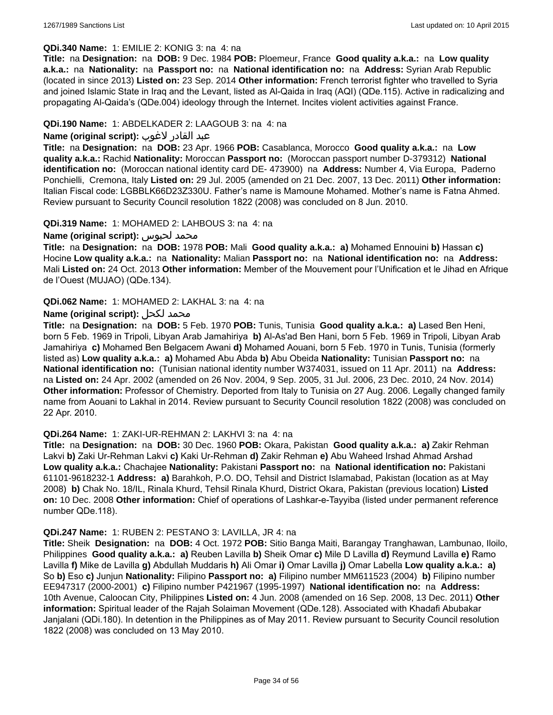# **QDi.340 Name:** 1: EMILIE 2: KONIG 3: na 4: na

**Title:** na **Designation:** na **DOB:** 9 Dec. 1984 **POB:** Ploemeur, France **Good quality a.k.a.:** na **Low quality a.k.a.:** na **Nationality:** na **Passport no:** na **National identification no:** na **Address:** Syrian Arab Republic (located in since 2013) **Listed on:** 23 Sep. 2014 **Other information:** French terrorist fighter who travelled to Syria and joined Islamic State in Iraq and the Levant, listed as Al-Qaida in Iraq (AQI) (QDe.115). Active in radicalizing and propagating Al-Qaida's (QDe.004) ideology through the Internet. Incites violent activities against France.

### **QDi.190 Name:** 1: ABDELKADER 2: LAAGOUB 3: na 4: na

# عبد القادر لاغوب **:(script original (Name**

**Title:** na **Designation:** na **DOB:** 23 Apr. 1966 **POB:** Casablanca, Morocco **Good quality a.k.a.:** na **Low quality a.k.a.:** Rachid **Nationality:** Moroccan **Passport no:** (Moroccan passport number D-379312) **National identification no:** (Moroccan national identity card DE- 473900) na **Address:** Number 4, Via Europa, Paderno Ponchielli, Cremona, Italy **Listed on:** 29 Jul. 2005 (amended on 21 Dec. 2007, 13 Dec. 2011) **Other information:** Italian Fiscal code: LGBBLK66D23Z330U. Father's name is Mamoune Mohamed. Mother's name is Fatna Ahmed. Review pursuant to Security Council resolution 1822 (2008) was concluded on 8 Jun. 2010.

#### **QDi.319 Name:** 1: MOHAMED 2: LAHBOUS 3: na 4: na

# **Name (original script):** لحبوس محمد

**Title:** na **Designation:** na **DOB:** 1978 **POB:** Mali **Good quality a.k.a.: a)** Mohamed Ennouini **b)** Hassan **c)** Hocine **Low quality a.k.a.:** na **Nationality:** Malian **Passport no:** na **National identification no:** na **Address:** Mali **Listed on:** 24 Oct. 2013 **Other information:** Member of the Mouvement pour l'Unification et le Jihad en Afrique de l'Ouest (MUJAO) (QDe.134).

#### **QDi.062 Name:** 1: MOHAMED 2: LAKHAL 3: na 4: na

# **Name (original script):** لكحل محمد

**Title:** na **Designation:** na **DOB:** 5 Feb. 1970 **POB:** Tunis, Tunisia **Good quality a.k.a.: a)** Lased Ben Heni, born 5 Feb. 1969 in Tripoli, Libyan Arab Jamahiriya **b)** Al-As'ad Ben Hani, born 5 Feb. 1969 in Tripoli, Libyan Arab Jamahiriya **c)** Mohamed Ben Belgacem Awani **d)** Mohamed Aouani, born 5 Feb. 1970 in Tunis, Tunisia (formerly listed as) **Low quality a.k.a.: a)** Mohamed Abu Abda **b)** Abu Obeida **Nationality:** Tunisian **Passport no:** na **National identification no:** (Tunisian national identity number W374031, issued on 11 Apr. 2011) na **Address:**  na **Listed on:** 24 Apr. 2002 (amended on 26 Nov. 2004, 9 Sep. 2005, 31 Jul. 2006, 23 Dec. 2010, 24 Nov. 2014) **Other information:** Professor of Chemistry. Deported from Italy to Tunisia on 27 Aug. 2006. Legally changed family name from Aouani to Lakhal in 2014. Review pursuant to Security Council resolution 1822 (2008) was concluded on 22 Apr. 2010.

#### **QDi.264 Name:** 1: ZAKI-UR-REHMAN 2: LAKHVI 3: na 4: na

**Title:** na **Designation:** na **DOB:** 30 Dec. 1960 **POB:** Okara, Pakistan **Good quality a.k.a.: a)** Zakir Rehman Lakvi **b)** Zaki Ur-Rehman Lakvi **c)** Kaki Ur-Rehman **d)** Zakir Rehman **e)** Abu Waheed Irshad Ahmad Arshad **Low quality a.k.a.:** Chachajee **Nationality:** Pakistani **Passport no:** na **National identification no:** Pakistani 61101-9618232-1 **Address: a)** Barahkoh, P.O. DO, Tehsil and District Islamabad, Pakistan (location as at May 2008) **b)** Chak No. 18/IL, Rinala Khurd, Tehsil Rinala Khurd, District Okara, Pakistan (previous location) **Listed on:** 10 Dec. 2008 **Other information:** Chief of operations of Lashkar-e-Tayyiba (listed under permanent reference number QDe.118).

#### **QDi.247 Name:** 1: RUBEN 2: PESTANO 3: LAVILLA, JR 4: na

**Title:** Sheik **Designation:** na **DOB:** 4 Oct. 1972 **POB:** Sitio Banga Maiti, Barangay Tranghawan, Lambunao, Iloilo, Philippines **Good quality a.k.a.: a)** Reuben Lavilla **b)** Sheik Omar **c)** Mile D Lavilla **d)** Reymund Lavilla **e)** Ramo Lavilla **f)** Mike de Lavilla **g)** Abdullah Muddaris **h)** Ali Omar **i)** Omar Lavilla **j)** Omar Labella **Low quality a.k.a.: a)** So **b)** Eso **c)** Junjun **Nationality:** Filipino **Passport no: a)** Filipino number MM611523 (2004) **b)** Filipino number EE947317 (2000-2001) **c)** Filipino number P421967 (1995-1997) **National identification no:** na **Address:** 10th Avenue, Caloocan City, Philippines **Listed on:** 4 Jun. 2008 (amended on 16 Sep. 2008, 13 Dec. 2011) **Other information:** Spiritual leader of the Rajah Solaiman Movement (QDe.128). Associated with Khadafi Abubakar Janjalani (QDi.180). In detention in the Philippines as of May 2011. Review pursuant to Security Council resolution 1822 (2008) was concluded on 13 May 2010.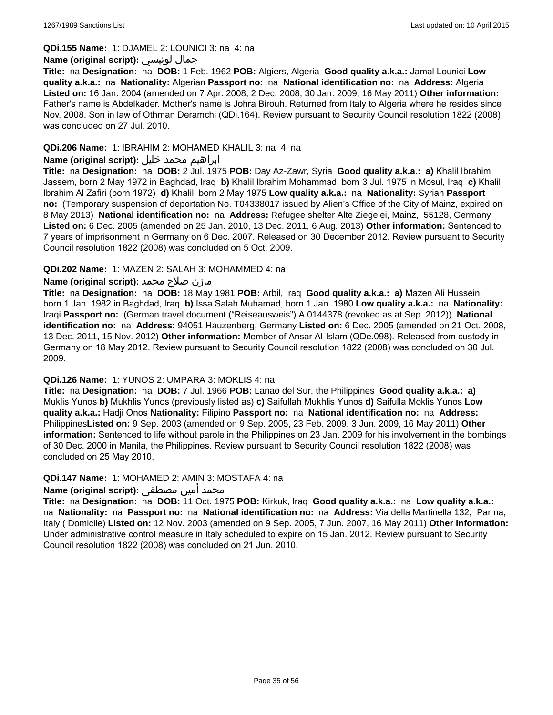#### **QDi.155 Name:** 1: DJAMEL 2: LOUNICI 3: na 4: na

# **Name (original script):** لونيسي جمال

**Title:** na **Designation:** na **DOB:** 1 Feb. 1962 **POB:** Algiers, Algeria **Good quality a.k.a.:** Jamal Lounici **Low quality a.k.a.:** na **Nationality:** Algerian **Passport no:** na **National identification no:** na **Address:** Algeria **Listed on:** 16 Jan. 2004 (amended on 7 Apr. 2008, 2 Dec. 2008, 30 Jan. 2009, 16 May 2011) **Other information:** Father's name is Abdelkader. Mother's name is Johra Birouh. Returned from Italy to Algeria where he resides since Nov. 2008. Son in law of Othman Deramchi (QDi.164). Review pursuant to Security Council resolution 1822 (2008) was concluded on 27 Jul. 2010.

# **QDi.206 Name:** 1: IBRAHIM 2: MOHAMED KHALIL 3: na 4: na

# ابراهيم محمد خليل **:(script original (Name**

**Title:** na **Designation:** na **DOB:** 2 Jul. 1975 **POB:** Day Az-Zawr, Syria **Good quality a.k.a.: a)** Khalil Ibrahim Jassem, born 2 May 1972 in Baghdad, Iraq **b)** Khalil Ibrahim Mohammad, born 3 Jul. 1975 in Mosul, Iraq **c)** Khalil Ibrahim Al Zafiri (born 1972) **d)** Khalil, born 2 May 1975 **Low quality a.k.a.:** na **Nationality:** Syrian **Passport no:** (Temporary suspension of deportation No. T04338017 issued by Alien's Office of the City of Mainz, expired on 8 May 2013) **National identification no:** na **Address:** Refugee shelter Alte Ziegelei, Mainz, 55128, Germany **Listed on:** 6 Dec. 2005 (amended on 25 Jan. 2010, 13 Dec. 2011, 6 Aug. 2013) **Other information:** Sentenced to 7 years of imprisonment in Germany on 6 Dec. 2007. Released on 30 December 2012. Review pursuant to Security Council resolution 1822 (2008) was concluded on 5 Oct. 2009.

# **QDi.202 Name:** 1: MAZEN 2: SALAH 3: MOHAMMED 4: na

# مازن صلاح محمد **:(Name (original script**

**Title:** na **Designation:** na **DOB:** 18 May 1981 **POB:** Arbil, Iraq **Good quality a.k.a.: a)** Mazen Ali Hussein, born 1 Jan. 1982 in Baghdad, Iraq **b)** Issa Salah Muhamad, born 1 Jan. 1980 **Low quality a.k.a.:** na **Nationality:** Iraqi **Passport no:** (German travel document ("Reiseausweis") A 0144378 (revoked as at Sep. 2012)) **National identification no:** na **Address:** 94051 Hauzenberg, Germany **Listed on:** 6 Dec. 2005 (amended on 21 Oct. 2008, 13 Dec. 2011, 15 Nov. 2012) **Other information:** Member of Ansar Al-Islam (QDe.098). Released from custody in Germany on 18 May 2012. Review pursuant to Security Council resolution 1822 (2008) was concluded on 30 Jul. 2009.

#### **QDi.126 Name:** 1: YUNOS 2: UMPARA 3: MOKLIS 4: na

**Title:** na **Designation:** na **DOB:** 7 Jul. 1966 **POB:** Lanao del Sur, the Philippines **Good quality a.k.a.: a)** Muklis Yunos **b)** Mukhlis Yunos (previously listed as) **c)** Saifullah Mukhlis Yunos **d)** Saifulla Moklis Yunos **Low quality a.k.a.:** Hadji Onos **Nationality:** Filipino **Passport no:** na **National identification no:** na **Address:** Philippines**Listed on:** 9 Sep. 2003 (amended on 9 Sep. 2005, 23 Feb. 2009, 3 Jun. 2009, 16 May 2011) **Other information:** Sentenced to life without parole in the Philippines on 23 Jan. 2009 for his involvement in the bombings of 30 Dec. 2000 in Manila, the Philippines. Review pursuant to Security Council resolution 1822 (2008) was concluded on 25 May 2010.

# **QDi.147 Name:** 1: MOHAMED 2: AMIN 3: MOSTAFA 4: na

# محمد أمين مصطفى **:Name (original script)**

**Title:** na **Designation:** na **DOB:** 11 Oct. 1975 **POB:** Kirkuk, Iraq **Good quality a.k.a.:** na **Low quality a.k.a.:**  na **Nationality:** na **Passport no:** na **National identification no:** na **Address:** Via della Martinella 132, Parma, Italy ( Domicile) **Listed on:** 12 Nov. 2003 (amended on 9 Sep. 2005, 7 Jun. 2007, 16 May 2011) **Other information:** Under administrative control measure in Italy scheduled to expire on 15 Jan. 2012. Review pursuant to Security Council resolution 1822 (2008) was concluded on 21 Jun. 2010.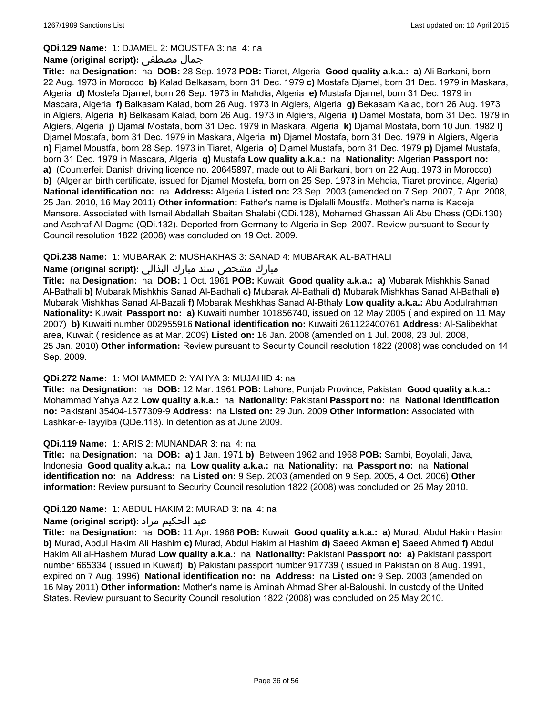### **QDi.129 Name:** 1: DJAMEL 2: MOUSTFA 3: na 4: na

# **Name (original script):** مصطفى جمال

**Title:** na **Designation:** na **DOB:** 28 Sep. 1973 **POB:** Tiaret, Algeria **Good quality a.k.a.: a)** Ali Barkani, born 22 Aug. 1973 in Morocco **b)** Kalad Belkasam, born 31 Dec. 1979 **c)** Mostafa Djamel, born 31 Dec. 1979 in Maskara, Algeria **d)** Mostefa Djamel, born 26 Sep. 1973 in Mahdia, Algeria **e)** Mustafa Djamel, born 31 Dec. 1979 in Mascara, Algeria **f)** Balkasam Kalad, born 26 Aug. 1973 in Algiers, Algeria **g)** Bekasam Kalad, born 26 Aug. 1973 in Algiers, Algeria **h)** Belkasam Kalad, born 26 Aug. 1973 in Algiers, Algeria **i)** Damel Mostafa, born 31 Dec. 1979 in Algiers, Algeria **j)** Djamal Mostafa, born 31 Dec. 1979 in Maskara, Algeria **k)** Djamal Mostafa, born 10 Jun. 1982 **l)** Djamel Mostafa, born 31 Dec. 1979 in Maskara, Algeria **m)** Djamel Mostafa, born 31 Dec. 1979 in Algiers, Algeria **n)** Fjamel Moustfa, born 28 Sep. 1973 in Tiaret, Algeria **o)** Djamel Mustafa, born 31 Dec. 1979 **p)** Djamel Mustafa, born 31 Dec. 1979 in Mascara, Algeria **q)** Mustafa **Low quality a.k.a.:** na **Nationality:** Algerian **Passport no: a)** (Counterfeit Danish driving licence no. 20645897, made out to Ali Barkani, born on 22 Aug. 1973 in Morocco) **b)** (Algerian birth certificate, issued for Djamel Mostefa, born on 25 Sep. 1973 in Mehdia, Tiaret province, Algeria) **National identification no:** na **Address:** Algeria **Listed on:** 23 Sep. 2003 (amended on 7 Sep. 2007, 7 Apr. 2008, 25 Jan. 2010, 16 May 2011) **Other information:** Father's name is Djelalli Moustfa. Mother's name is Kadeja Mansore. Associated with Ismail Abdallah Sbaitan Shalabi (QDi.128), Mohamed Ghassan Ali Abu Dhess (QDi.130) and Aschraf Al-Dagma (QDi.132). Deported from Germany to Algeria in Sep. 2007. Review pursuant to Security Council resolution 1822 (2008) was concluded on 19 Oct. 2009.

# **QDi.238 Name:** 1: MUBARAK 2: MUSHAKHAS 3: SANAD 4: MUBARAK AL-BATHALI

# مبارك مشخص سند مبارك البذالي **:Name (original script)**

**Title:** na **Designation:** na **DOB:** 1 Oct. 1961 **POB:** Kuwait **Good quality a.k.a.: a)** Mubarak Mishkhis Sanad Al-Bathali **b)** Mubarak Mishkhis Sanad Al-Badhali **c)** Mubarak Al-Bathali **d)** Mubarak Mishkhas Sanad Al-Bathali **e)** Mubarak Mishkhas Sanad Al-Bazali **f)** Mobarak Meshkhas Sanad Al-Bthaly **Low quality a.k.a.:** Abu Abdulrahman **Nationality:** Kuwaiti **Passport no: a)** Kuwaiti number 101856740, issued on 12 May 2005 ( and expired on 11 May 2007) **b)** Kuwaiti number 002955916 **National identification no:** Kuwaiti 261122400761 **Address:** Al-Salibekhat area, Kuwait ( residence as at Mar. 2009) **Listed on:** 16 Jan. 2008 (amended on 1 Jul. 2008, 23 Jul. 2008, 25 Jan. 2010) **Other information:** Review pursuant to Security Council resolution 1822 (2008) was concluded on 14 Sep. 2009.

#### **QDi.272 Name:** 1: MOHAMMED 2: YAHYA 3: MUJAHID 4: na

**Title:** na **Designation:** na **DOB:** 12 Mar. 1961 **POB:** Lahore, Punjab Province, Pakistan **Good quality a.k.a.:** Mohammad Yahya Aziz **Low quality a.k.a.:** na **Nationality:** Pakistani **Passport no:** na **National identification no:** Pakistani 35404-1577309-9 **Address:** na **Listed on:** 29 Jun. 2009 **Other information:** Associated with Lashkar-e-Tayyiba (QDe.118). In detention as at June 2009.

#### **QDi.119 Name:** 1: ARIS 2: MUNANDAR 3: na 4: na

**Title:** na **Designation:** na **DOB: a)** 1 Jan. 1971 **b)** Between 1962 and 1968 **POB:** Sambi, Boyolali, Java, Indonesia **Good quality a.k.a.:** na **Low quality a.k.a.:** na **Nationality:** na **Passport no:** na **National identification no:** na **Address:** na **Listed on:** 9 Sep. 2003 (amended on 9 Sep. 2005, 4 Oct. 2006) **Other information:** Review pursuant to Security Council resolution 1822 (2008) was concluded on 25 May 2010.

#### **QDi.120 Name:** 1: ABDUL HAKIM 2: MURAD 3: na 4: na

# عبد الحكيم مراد **:(script original (Name**

**Title:** na **Designation:** na **DOB:** 11 Apr. 1968 **POB:** Kuwait **Good quality a.k.a.: a)** Murad, Abdul Hakim Hasim **b)** Murad, Abdul Hakim Ali Hashim **c)** Murad, Abdul Hakim al Hashim **d)** Saeed Akman **e)** Saeed Ahmed **f)** Abdul Hakim Ali al-Hashem Murad **Low quality a.k.a.:** na **Nationality:** Pakistani **Passport no: a)** Pakistani passport number 665334 ( issued in Kuwait) **b)** Pakistani passport number 917739 ( issued in Pakistan on 8 Aug. 1991, expired on 7 Aug. 1996) **National identification no:** na **Address:** na **Listed on:** 9 Sep. 2003 (amended on 16 May 2011) **Other information:** Mother's name is Aminah Ahmad Sher al-Baloushi. In custody of the United States. Review pursuant to Security Council resolution 1822 (2008) was concluded on 25 May 2010.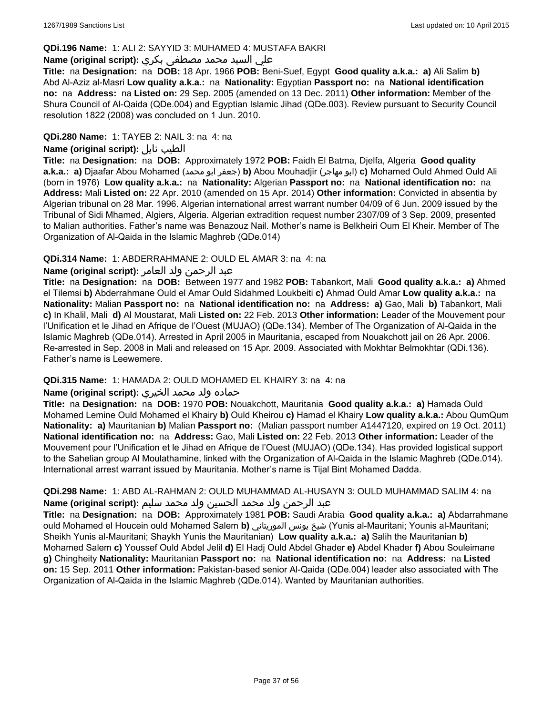# **QDi.196 Name:** 1: ALI 2: SAYYID 3: MUHAMED 4: MUSTAFA BAKRI

# علي السيد محمد مصطفى بكري **:(script original (Name**

**Title:** na **Designation:** na **DOB:** 18 Apr. 1966 **POB:** Beni-Suef, Egypt **Good quality a.k.a.: a)** Ali Salim **b)** Abd Al-Aziz al-Masri **Low quality a.k.a.:** na **Nationality:** Egyptian **Passport no:** na **National identification no:** na **Address:** na **Listed on:** 29 Sep. 2005 (amended on 13 Dec. 2011) **Other information:** Member of the Shura Council of Al-Qaida (QDe.004) and Egyptian Islamic Jihad (QDe.003). Review pursuant to Security Council resolution 1822 (2008) was concluded on 1 Jun. 2010.

# **QDi.280 Name:** 1: TAYEB 2: NAIL 3: na 4: na

# **Name (original script):** نايل الطيب

**Title:** na **Designation:** na **DOB:** Approximately 1972 **POB:** Faidh El Batma, Djelfa, Algeria **Good quality a.k.a.: a)** Djaafar Abou Mohamed (محمد ابو جعفر(**b)** Abou Mouhadjir (مهاجر ابو(**c)** Mohamed Ould Ahmed Ould Ali (born in 1976) **Low quality a.k.a.:** na **Nationality:** Algerian **Passport no:** na **National identification no:** na **Address:** Mali **Listed on:** 22 Apr. 2010 (amended on 15 Apr. 2014) **Other information:** Convicted in absentia by Algerian tribunal on 28 Mar. 1996. Algerian international arrest warrant number 04/09 of 6 Jun. 2009 issued by the Tribunal of Sidi Mhamed, Algiers, Algeria. Algerian extradition request number 2307/09 of 3 Sep. 2009, presented to Malian authorities. Father's name was Benazouz Nail. Mother's name is Belkheiri Oum El Kheir. Member of The Organization of Al-Qaida in the Islamic Maghreb (QDe.014)

# **QDi.314 Name:** 1: ABDERRAHMANE 2: OULD EL AMAR 3: na 4: na

# عبد الرحمن ولد العامر **:(script original (Name**

**Title:** na **Designation:** na **DOB:** Between 1977 and 1982 **POB:** Tabankort, Mali **Good quality a.k.a.: a)** Ahmed el Tilemsi **b)** Abderrahmane Ould el Amar Ould Sidahmed Loukbeiti **c)** Ahmad Ould Amar **Low quality a.k.a.:** na **Nationality:** Malian **Passport no:** na **National identification no:** na **Address: a)** Gao, Mali **b)** Tabankort, Mali **c)** In Khalil, Mali **d)** Al Moustarat, Mali **Listed on:** 22 Feb. 2013 **Other information:** Leader of the Mouvement pour l'Unification et le Jihad en Afrique de l'Ouest (MUJAO) (QDe.134). Member of The Organization of Al-Qaida in the Islamic Maghreb (QDe.014). Arrested in April 2005 in Mauritania, escaped from Nouakchott jail on 26 Apr. 2006. Re-arrested in Sep. 2008 in Mali and released on 15 Apr. 2009. Associated with Mokhtar Belmokhtar (QDi.136). Father's name is Leewemere.

# **QDi.315 Name:** 1: HAMADA 2: OULD MOHAMED EL KHAIRY 3: na 4: na

# حماده ولد محمد الخيري **:(script original (Name**

**Title:** na **Designation:** na **DOB:** 1970 **POB:** Nouakchott, Mauritania **Good quality a.k.a.: a)** Hamada Ould Mohamed Lemine Ould Mohamed el Khairy **b)** Ould Kheirou **c)** Hamad el Khairy **Low quality a.k.a.:** Abou QumQum **Nationality: a)** Mauritanian **b)** Malian **Passport no:** (Malian passport number A1447120, expired on 19 Oct. 2011) **National identification no:** na **Address:** Gao, Mali **Listed on:** 22 Feb. 2013 **Other information:** Leader of the Mouvement pour l'Unification et le Jihad en Afrique de l'Ouest (MUJAO) (QDe.134). Has provided logistical support to the Sahelian group Al Moulathamine, linked with the Organization of Al-Qaida in the Islamic Maghreb (QDe.014). International arrest warrant issued by Mauritania. Mother's name is Tijal Bint Mohamed Dadda.

# **QDi.298 Name:** 1: ABD AL-RAHMAN 2: OULD MUHAMMAD AL-HUSAYN 3: OULD MUHAMMAD SALIM 4: na عبد الرحمن ولد محمد الحسين ولد محمد سليم **:(script original (Name**

**Title:** na **Designation:** na **DOB:** Approximately 1981 **POB:** Saudi Arabia **Good quality a.k.a.: a)** Abdarrahmane ould Mohamed el Houcein ould Mohamed Salem **b)** الموريتاني يونس شيخ) Yunis al-Mauritani; Younis al-Mauritani; Sheikh Yunis al-Mauritani; Shaykh Yunis the Mauritanian) **Low quality a.k.a.: a)** Salih the Mauritanian **b)** Mohamed Salem **c)** Youssef Ould Abdel Jelil **d)** El Hadj Ould Abdel Ghader **e)** Abdel Khader **f)** Abou Souleimane **g)** Chingheity **Nationality:** Mauritanian **Passport no:** na **National identification no:** na **Address:** na **Listed on:** 15 Sep. 2011 **Other information:** Pakistan-based senior Al-Qaida (QDe.004) leader also associated with The Organization of Al-Qaida in the Islamic Maghreb (QDe.014). Wanted by Mauritanian authorities.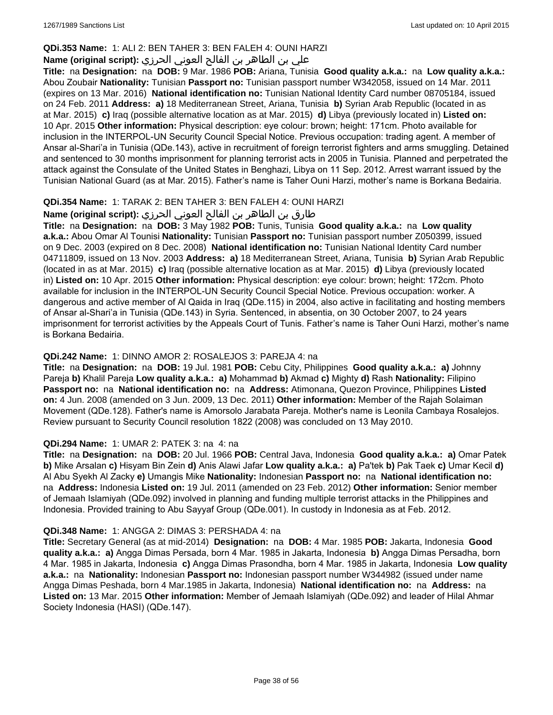# **QDi.353 Name:** 1: ALI 2: BEN TAHER 3: BEN FALEH 4: OUNI HARZI

# علي بن الطاھر بن الفالح العوني الحرزي **:(script original (Name**

**Title:** na **Designation:** na **DOB:** 9 Mar. 1986 **POB:** Ariana, Tunisia **Good quality a.k.a.:** na **Low quality a.k.a.:** Abou Zoubair **Nationality:** Tunisian **Passport no:** Tunisian passport number W342058, issued on 14 Mar. 2011 (expires on 13 Mar. 2016) **National identification no:** Tunisian National Identity Card number 08705184, issued on 24 Feb. 2011 **Address: a)** 18 Mediterranean Street, Ariana, Tunisia **b)** Syrian Arab Republic (located in as at Mar. 2015) **c)** Iraq (possible alternative location as at Mar. 2015) **d)** Libya (previously located in) **Listed on:** 10 Apr. 2015 **Other information:** Physical description: eye colour: brown; height: 171cm. Photo available for inclusion in the INTERPOL-UN Security Council Special Notice. Previous occupation: trading agent. A member of Ansar al-Shari'a in Tunisia (QDe.143), active in recruitment of foreign terrorist fighters and arms smuggling. Detained and sentenced to 30 months imprisonment for planning terrorist acts in 2005 in Tunisia. Planned and perpetrated the attack against the Consulate of the United States in Benghazi, Libya on 11 Sep. 2012. Arrest warrant issued by the Tunisian National Guard (as at Mar. 2015). Father's name is Taher Ouni Harzi, mother's name is Borkana Bedairia.

# **QDi.354 Name:** 1: TARAK 2: BEN TAHER 3: BEN FALEH 4: OUNI HARZI

# طارق بن الطاھر بن الفالح العوني الحرزي **:(script original (Name**

**Title:** na **Designation:** na **DOB:** 3 May 1982 **POB:** Tunis, Tunisia **Good quality a.k.a.:** na **Low quality a.k.a.:** Abou Omar Al Tounisi **Nationality:** Tunisian **Passport no:** Tunisian passport number Z050399, issued on 9 Dec. 2003 (expired on 8 Dec. 2008) **National identification no:** Tunisian National Identity Card number 04711809, issued on 13 Nov. 2003 **Address: a)** 18 Mediterranean Street, Ariana, Tunisia **b)** Syrian Arab Republic (located in as at Mar. 2015) **c)** Iraq (possible alternative location as at Mar. 2015) **d)** Libya (previously located in) **Listed on:** 10 Apr. 2015 **Other information:** Physical description: eye colour: brown; height: 172cm. Photo available for inclusion in the INTERPOL-UN Security Council Special Notice. Previous occupation: worker. A dangerous and active member of Al Qaida in Iraq (QDe.115) in 2004, also active in facilitating and hosting members of Ansar al-Shari'a in Tunisia (QDe.143) in Syria. Sentenced, in absentia, on 30 October 2007, to 24 years imprisonment for terrorist activities by the Appeals Court of Tunis. Father's name is Taher Ouni Harzi, mother's name is Borkana Bedairia.

# **QDi.242 Name:** 1: DINNO AMOR 2: ROSALEJOS 3: PAREJA 4: na

**Title:** na **Designation:** na **DOB:** 19 Jul. 1981 **POB:** Cebu City, Philippines **Good quality a.k.a.: a)** Johnny Pareja **b)** Khalil Pareja **Low quality a.k.a.: a)** Mohammad **b)** Akmad **c)** Mighty **d)** Rash **Nationality:** Filipino **Passport no:** na **National identification no:** na **Address:** Atimonana, Quezon Province, Philippines **Listed on:** 4 Jun. 2008 (amended on 3 Jun. 2009, 13 Dec. 2011) **Other information:** Member of the Rajah Solaiman Movement (QDe.128). Father's name is Amorsolo Jarabata Pareja. Mother's name is Leonila Cambaya Rosalejos. Review pursuant to Security Council resolution 1822 (2008) was concluded on 13 May 2010.

# **QDi.294 Name:** 1: UMAR 2: PATEK 3: na 4: na

**Title:** na **Designation:** na **DOB:** 20 Jul. 1966 **POB:** Central Java, Indonesia **Good quality a.k.a.: a)** Omar Patek **b)** Mike Arsalan **c)** Hisyam Bin Zein **d)** Anis Alawi Jafar **Low quality a.k.a.: a)** Pa'tek **b)** Pak Taek **c)** Umar Kecil **d)** Al Abu Syekh Al Zacky **e)** Umangis Mike **Nationality:** Indonesian **Passport no:** na **National identification no:**  na **Address:** Indonesia **Listed on:** 19 Jul. 2011 (amended on 23 Feb. 2012) **Other information:** Senior member of Jemaah Islamiyah (QDe.092) involved in planning and funding multiple terrorist attacks in the Philippines and Indonesia. Provided training to Abu Sayyaf Group (QDe.001). In custody in Indonesia as at Feb. 2012.

# **QDi.348 Name:** 1: ANGGA 2: DIMAS 3: PERSHADA 4: na

**Title:** Secretary General (as at mid-2014) **Designation:** na **DOB:** 4 Mar. 1985 **POB:** Jakarta, Indonesia **Good quality a.k.a.: a)** Angga Dimas Persada, born 4 Mar. 1985 in Jakarta, Indonesia **b)** Angga Dimas Persadha, born 4 Mar. 1985 in Jakarta, Indonesia **c)** Angga Dimas Prasondha, born 4 Mar. 1985 in Jakarta, Indonesia **Low quality a.k.a.:** na **Nationality:** Indonesian **Passport no:** Indonesian passport number W344982 (issued under name Angga Dimas Peshada, born 4 Mar.1985 in Jakarta, Indonesia) **National identification no:** na **Address:** na **Listed on:** 13 Mar. 2015 **Other information:** Member of Jemaah Islamiyah (QDe.092) and leader of Hilal Ahmar Society Indonesia (HASI) (QDe.147).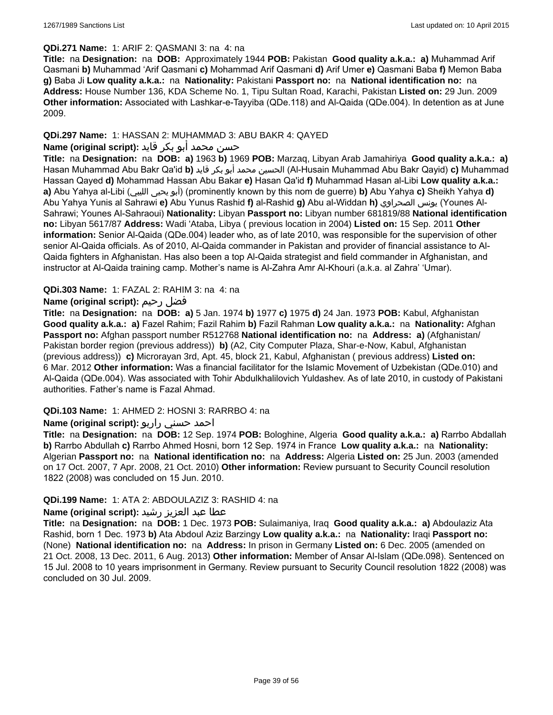# **QDi.271 Name:** 1: ARIF 2: QASMANI 3: na 4: na

**Title:** na **Designation:** na **DOB:** Approximately 1944 **POB:** Pakistan **Good quality a.k.a.: a)** Muhammad Arif Qasmani **b)** Muhammad 'Arif Qasmani **c)** Mohammad Arif Qasmani **d)** Arif Umer **e)** Qasmani Baba **f)** Memon Baba **g)** Baba Ji **Low quality a.k.a.:** na **Nationality:** Pakistani **Passport no:** na **National identification no:** na **Address:** House Number 136, KDA Scheme No. 1, Tipu Sultan Road, Karachi, Pakistan **Listed on:** 29 Jun. 2009 **Other information:** Associated with Lashkar-e-Tayyiba (QDe.118) and Al-Qaida (QDe.004). In detention as at June 2009.

# **QDi.297 Name:** 1: HASSAN 2: MUHAMMAD 3: ABU BAKR 4: QAYED

# حسن محمد أبو بكر قايد **:(script original (Name**

**Title:** na **Designation:** na **DOB: a)** 1963 **b)** 1969 **POB:** Marzaq, Libyan Arab Jamahiriya **Good quality a.k.a.: a)** Hasan Muhammad Abu Bakr Qa'id **b)** قايد بكر أبو محمد الحسين) Al-Husain Muhammad Abu Bakr Qayid) **c)** Muhammad Hassan Qayed **d)** Mohammad Hassan Abu Bakar **e)** Hasan Qa'id **f)** Muhammad Hasan al-Libi **Low quality a.k.a.: a)** Abu Yahya al-Libi (الليبي يحيى أبو) (prominently known by this nom de guerre) **b)** Abu Yahya **c)** Sheikh Yahya **d)** Abu Yahya Yunis al Sahrawi **e)** Abu Yunus Rashid **f)** al-Rashid **g)** Abu al-Widdan **h)** الصحراوي يونس) Younes Al-Sahrawi; Younes Al-Sahraoui) **Nationality:** Libyan **Passport no:** Libyan number 681819/88 **National identification no:** Libyan 5617/87 **Address:** Wadi 'Ataba, Libya ( previous location in 2004) **Listed on:** 15 Sep. 2011 **Other information:** Senior Al-Qaida (QDe.004) leader who, as of late 2010, was responsible for the supervision of other senior Al-Qaida officials. As of 2010, Al-Qaida commander in Pakistan and provider of financial assistance to Al-Qaida fighters in Afghanistan. Has also been a top Al-Qaida strategist and field commander in Afghanistan, and instructor at Al-Qaida training camp. Mother's name is Al-Zahra Amr Al-Khouri (a.k.a. al Zahra' 'Umar).

# **QDi.303 Name:** 1: FAZAL 2: RAHIM 3: na 4: na

# **Name (original script):** رحيم فضل

**Title:** na **Designation:** na **DOB: a)** 5 Jan. 1974 **b)** 1977 **c)** 1975 **d)** 24 Jan. 1973 **POB:** Kabul, Afghanistan **Good quality a.k.a.: a)** Fazel Rahim; Fazil Rahim **b)** Fazil Rahman **Low quality a.k.a.:** na **Nationality:** Afghan **Passport no:** Afghan passport number R512768 **National identification no:** na **Address: a)** (Afghanistan/ Pakistan border region (previous address)) **b)** (A2, City Computer Plaza, Shar-e-Now, Kabul, Afghanistan (previous address)) **c)** Microrayan 3rd, Apt. 45, block 21, Kabul, Afghanistan ( previous address) **Listed on:** 6 Mar. 2012 **Other information:** Was a financial facilitator for the Islamic Movement of Uzbekistan (QDe.010) and Al-Qaida (QDe.004). Was associated with Tohir Abdulkhalilovich Yuldashev. As of late 2010, in custody of Pakistani authorities. Father's name is Fazal Ahmad.

#### **QDi.103 Name:** 1: AHMED 2: HOSNI 3: RARRBO 4: na

### احمد حسني راربو **:(script original (Name**

**Title:** na **Designation:** na **DOB:** 12 Sep. 1974 **POB:** Bologhine, Algeria **Good quality a.k.a.: a)** Rarrbo Abdallah **b)** Rarrbo Abdullah **c)** Rarrbo Ahmed Hosni, born 12 Sep. 1974 in France **Low quality a.k.a.:** na **Nationality:** Algerian **Passport no:** na **National identification no:** na **Address:** Algeria **Listed on:** 25 Jun. 2003 (amended on 17 Oct. 2007, 7 Apr. 2008, 21 Oct. 2010) **Other information:** Review pursuant to Security Council resolution 1822 (2008) was concluded on 15 Jun. 2010.

#### **QDi.199 Name:** 1: ATA 2: ABDOULAZIZ 3: RASHID 4: na

# عطا عبد العزيز رشيد **:(script original (Name**

**Title:** na **Designation:** na **DOB:** 1 Dec. 1973 **POB:** Sulaimaniya, Iraq **Good quality a.k.a.: a)** Abdoulaziz Ata Rashid, born 1 Dec. 1973 **b)** Ata Abdoul Aziz Barzingy **Low quality a.k.a.:** na **Nationality:** Iraqi **Passport no:**  (None) **National identification no:** na **Address:** In prison in Germany **Listed on:** 6 Dec. 2005 (amended on 21 Oct. 2008, 13 Dec. 2011, 6 Aug. 2013) **Other information:** Member of Ansar Al-Islam (QDe.098). Sentenced on 15 Jul. 2008 to 10 years imprisonment in Germany. Review pursuant to Security Council resolution 1822 (2008) was concluded on 30 Jul. 2009.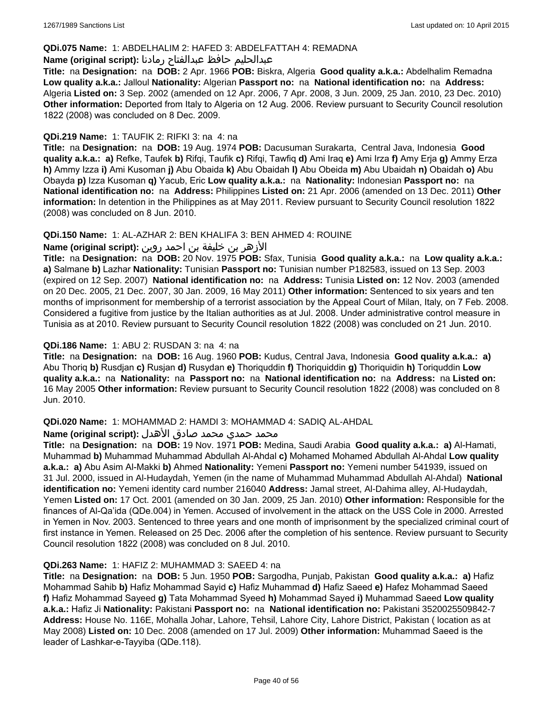# **QDi.075 Name:** 1: ABDELHALIM 2: HAFED 3: ABDELFATTAH 4: REMADNA

# عبدالحليم حافظ عبدالفتاح رمادنا **:(script original (Name**

**Title:** na **Designation:** na **DOB:** 2 Apr. 1966 **POB:** Biskra, Algeria **Good quality a.k.a.:** Abdelhalim Remadna **Low quality a.k.a.:** Jalloul **Nationality:** Algerian **Passport no:** na **National identification no:** na **Address:** Algeria **Listed on:** 3 Sep. 2002 (amended on 12 Apr. 2006, 7 Apr. 2008, 3 Jun. 2009, 25 Jan. 2010, 23 Dec. 2010) **Other information:** Deported from Italy to Algeria on 12 Aug. 2006. Review pursuant to Security Council resolution 1822 (2008) was concluded on 8 Dec. 2009.

# **QDi.219 Name:** 1: TAUFIK 2: RIFKI 3: na 4: na

**Title:** na **Designation:** na **DOB:** 19 Aug. 1974 **POB:** Dacusuman Surakarta, Central Java, Indonesia **Good quality a.k.a.: a)** Refke, Taufek **b)** Rifqi, Taufik **c)** Rifqi, Tawfiq **d)** Ami Iraq **e)** Ami Irza **f)** Amy Erja **g)** Ammy Erza **h)** Ammy Izza **i)** Ami Kusoman **j)** Abu Obaida **k)** Abu Obaidah **l)** Abu Obeida **m)** Abu Ubaidah **n)** Obaidah **o)** Abu Obayda **p)** Izza Kusoman **q)** Yacub, Eric **Low quality a.k.a.:** na **Nationality:** Indonesian **Passport no:** na **National identification no:** na **Address:** Philippines **Listed on:** 21 Apr. 2006 (amended on 13 Dec. 2011) **Other information:** In detention in the Philippines as at May 2011. Review pursuant to Security Council resolution 1822 (2008) was concluded on 8 Jun. 2010.

# **QDi.150 Name:** 1: AL-AZHAR 2: BEN KHALIFA 3: BEN AHMED 4: ROUINE

# الأزهر بن خليفة بن احمد روين **:(script original (Name**

**Title:** na **Designation:** na **DOB:** 20 Nov. 1975 **POB:** Sfax, Tunisia **Good quality a.k.a.:** na **Low quality a.k.a.: a)** Salmane **b)** Lazhar **Nationality:** Tunisian **Passport no:** Tunisian number P182583, issued on 13 Sep. 2003 (expired on 12 Sep. 2007) **National identification no:** na **Address:** Tunisia **Listed on:** 12 Nov. 2003 (amended on 20 Dec. 2005, 21 Dec. 2007, 30 Jan. 2009, 16 May 2011) **Other information:** Sentenced to six years and ten months of imprisonment for membership of a terrorist association by the Appeal Court of Milan, Italy, on 7 Feb. 2008. Considered a fugitive from justice by the Italian authorities as at Jul. 2008. Under administrative control measure in Tunisia as at 2010. Review pursuant to Security Council resolution 1822 (2008) was concluded on 21 Jun. 2010.

# **QDi.186 Name:** 1: ABU 2: RUSDAN 3: na 4: na

**Title:** na **Designation:** na **DOB:** 16 Aug. 1960 **POB:** Kudus, Central Java, Indonesia **Good quality a.k.a.: a)** Abu Thoriq **b)** Rusdjan **c)** Rusjan **d)** Rusydan **e)** Thoriquddin **f)** Thoriquiddin **g)** Thoriquidin **h)** Toriquddin **Low quality a.k.a.:** na **Nationality:** na **Passport no:** na **National identification no:** na **Address:** na **Listed on:** 16 May 2005 **Other information:** Review pursuant to Security Council resolution 1822 (2008) was concluded on 8 Jun. 2010.

#### **QDi.020 Name:** 1: MOHAMMAD 2: HAMDI 3: MOHAMMAD 4: SADIQ AL-AHDAL

#### محمد حمدي محمد صادق الأهدل **:Name (original script)**

**Title:** na **Designation:** na **DOB:** 19 Nov. 1971 **POB:** Medina, Saudi Arabia **Good quality a.k.a.: a)** Al-Hamati, Muhammad **b)** Muhammad Muhammad Abdullah Al-Ahdal **c)** Mohamed Mohamed Abdullah Al-Ahdal **Low quality a.k.a.: a)** Abu Asim Al-Makki **b)** Ahmed **Nationality:** Yemeni **Passport no:** Yemeni number 541939, issued on 31 Jul. 2000, issued in Al-Hudaydah, Yemen (in the name of Muhammad Muhammad Abdullah Al-Ahdal) **National identification no:** Yemeni identity card number 216040 **Address:** Jamal street, Al-Dahima alley, Al-Hudaydah, Yemen **Listed on:** 17 Oct. 2001 (amended on 30 Jan. 2009, 25 Jan. 2010) **Other information:** Responsible for the finances of Al-Qa'ida (QDe.004) in Yemen. Accused of involvement in the attack on the USS Cole in 2000. Arrested in Yemen in Nov. 2003. Sentenced to three years and one month of imprisonment by the specialized criminal court of first instance in Yemen. Released on 25 Dec. 2006 after the completion of his sentence. Review pursuant to Security Council resolution 1822 (2008) was concluded on 8 Jul. 2010.

#### **QDi.263 Name:** 1: HAFIZ 2: MUHAMMAD 3: SAEED 4: na

**Title:** na **Designation:** na **DOB:** 5 Jun. 1950 **POB:** Sargodha, Punjab, Pakistan **Good quality a.k.a.: a)** Hafiz Mohammad Sahib **b)** Hafiz Mohammad Sayid **c)** Hafiz Muhammad **d)** Hafiz Saeed **e)** Hafez Mohammad Saeed **f)** Hafiz Mohammad Sayeed **g)** Tata Mohammad Syeed **h)** Mohammad Sayed **i)** Muhammad Saeed **Low quality a.k.a.:** Hafiz Ji **Nationality:** Pakistani **Passport no:** na **National identification no:** Pakistani 3520025509842-7 **Address:** House No. 116E, Mohalla Johar, Lahore, Tehsil, Lahore City, Lahore District, Pakistan ( location as at May 2008) **Listed on:** 10 Dec. 2008 (amended on 17 Jul. 2009) **Other information:** Muhammad Saeed is the leader of Lashkar-e-Tayyiba (QDe.118).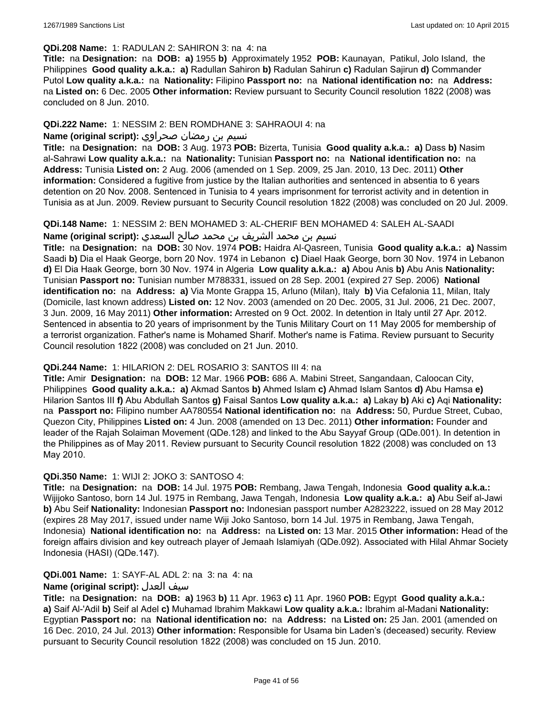#### **QDi.208 Name:** 1: RADULAN 2: SAHIRON 3: na 4: na

**Title:** na **Designation:** na **DOB: a)** 1955 **b)** Approximately 1952 **POB:** Kaunayan, Patikul, Jolo Island, the Philippines **Good quality a.k.a.: a)** Radullan Sahiron **b)** Radulan Sahirun **c)** Radulan Sajirun **d)** Commander Putol **Low quality a.k.a.:** na **Nationality:** Filipino **Passport no:** na **National identification no:** na **Address:**  na **Listed on:** 6 Dec. 2005 **Other information:** Review pursuant to Security Council resolution 1822 (2008) was concluded on 8 Jun. 2010.

### **QDi.222 Name:** 1: NESSIM 2: BEN ROMDHANE 3: SAHRAOUI 4: na

# نسيم بن رمضان صحراوي **:(script original (Name**

**Title:** na **Designation:** na **DOB:** 3 Aug. 1973 **POB:** Bizerta, Tunisia **Good quality a.k.a.: a)** Dass **b)** Nasim al-Sahrawi **Low quality a.k.a.:** na **Nationality:** Tunisian **Passport no:** na **National identification no:** na **Address:** Tunisia **Listed on:** 2 Aug. 2006 (amended on 1 Sep. 2009, 25 Jan. 2010, 13 Dec. 2011) **Other information:** Considered a fugitive from justice by the Italian authorities and sentenced in absentia to 6 years detention on 20 Nov. 2008. Sentenced in Tunisia to 4 years imprisonment for terrorist activity and in detention in Tunisia as at Jun. 2009. Review pursuant to Security Council resolution 1822 (2008) was concluded on 20 Jul. 2009.

**QDi.148 Name:** 1: NESSIM 2: BEN MOHAMED 3: AL-CHERIF BEN MOHAMED 4: SALEH AL-SAADI

نسيم بن محمد الشريف بن محمد صالح السعدي **:(script original (Name**

**Title:** na **Designation:** na **DOB:** 30 Nov. 1974 **POB:** Haidra Al-Qasreen, Tunisia **Good quality a.k.a.: a)** Nassim Saadi **b)** Dia el Haak George, born 20 Nov. 1974 in Lebanon **c)** Diael Haak George, born 30 Nov. 1974 in Lebanon **d)** El Dia Haak George, born 30 Nov. 1974 in Algeria **Low quality a.k.a.: a)** Abou Anis **b)** Abu Anis **Nationality:** Tunisian **Passport no:** Tunisian number M788331, issued on 28 Sep. 2001 (expired 27 Sep. 2006) **National identification no:** na **Address: a)** Via Monte Grappa 15, Arluno (Milan), Italy **b)** Via Cefalonia 11, Milan, Italy (Domicile, last known address) **Listed on:** 12 Nov. 2003 (amended on 20 Dec. 2005, 31 Jul. 2006, 21 Dec. 2007, 3 Jun. 2009, 16 May 2011) **Other information:** Arrested on 9 Oct. 2002. In detention in Italy until 27 Apr. 2012. Sentenced in absentia to 20 years of imprisonment by the Tunis Military Court on 11 May 2005 for membership of a terrorist organization. Father's name is Mohamed Sharif. Mother's name is Fatima. Review pursuant to Security Council resolution 1822 (2008) was concluded on 21 Jun. 2010.

#### **QDi.244 Name:** 1: HILARION 2: DEL ROSARIO 3: SANTOS III 4: na

**Title:** Amir **Designation:** na **DOB:** 12 Mar. 1966 **POB:** 686 A. Mabini Street, Sangandaan, Caloocan City, Philippines **Good quality a.k.a.: a)** Akmad Santos **b)** Ahmed Islam **c)** Ahmad Islam Santos **d)** Abu Hamsa **e)** Hilarion Santos III **f)** Abu Abdullah Santos **g)** Faisal Santos **Low quality a.k.a.: a)** Lakay **b)** Aki **c)** Aqi **Nationality:**  na **Passport no:** Filipino number AA780554 **National identification no:** na **Address:** 50, Purdue Street, Cubao, Quezon City, Philippines **Listed on:** 4 Jun. 2008 (amended on 13 Dec. 2011) **Other information:** Founder and leader of the Rajah Solaiman Movement (QDe.128) and linked to the Abu Sayyaf Group (QDe.001). In detention in the Philippines as of May 2011. Review pursuant to Security Council resolution 1822 (2008) was concluded on 13 May 2010.

#### **QDi.350 Name:** 1: WIJI 2: JOKO 3: SANTOSO 4:

**Title:** na **Designation:** na **DOB:** 14 Jul. 1975 **POB:** Rembang, Jawa Tengah, Indonesia **Good quality a.k.a.:** Wijijoko Santoso, born 14 Jul. 1975 in Rembang, Jawa Tengah, Indonesia **Low quality a.k.a.: a)** Abu Seif al-Jawi **b)** Abu Seif **Nationality:** Indonesian **Passport no:** Indonesian passport number A2823222, issued on 28 May 2012 (expires 28 May 2017, issued under name Wiji Joko Santoso, born 14 Jul. 1975 in Rembang, Jawa Tengah, Indonesia) **National identification no:** na **Address:** na **Listed on:** 13 Mar. 2015 **Other information:** Head of the foreign affairs division and key outreach player of Jemaah Islamiyah (QDe.092). Associated with Hilal Ahmar Society Indonesia (HASI) (QDe.147).

#### **QDi.001 Name:** 1: SAYF-AL ADL 2: na 3: na 4: na

#### **Name (original script):** العدل سيف

**Title:** na **Designation:** na **DOB: a)** 1963 **b)** 11 Apr. 1963 **c)** 11 Apr. 1960 **POB:** Egypt **Good quality a.k.a.: a)** Saif Al-'Adil **b)** Seif al Adel **c)** Muhamad Ibrahim Makkawi **Low quality a.k.a.:** Ibrahim al-Madani **Nationality:** Egyptian **Passport no:** na **National identification no:** na **Address:** na **Listed on:** 25 Jan. 2001 (amended on 16 Dec. 2010, 24 Jul. 2013) **Other information:** Responsible for Usama bin Laden's (deceased) security. Review pursuant to Security Council resolution 1822 (2008) was concluded on 15 Jun. 2010.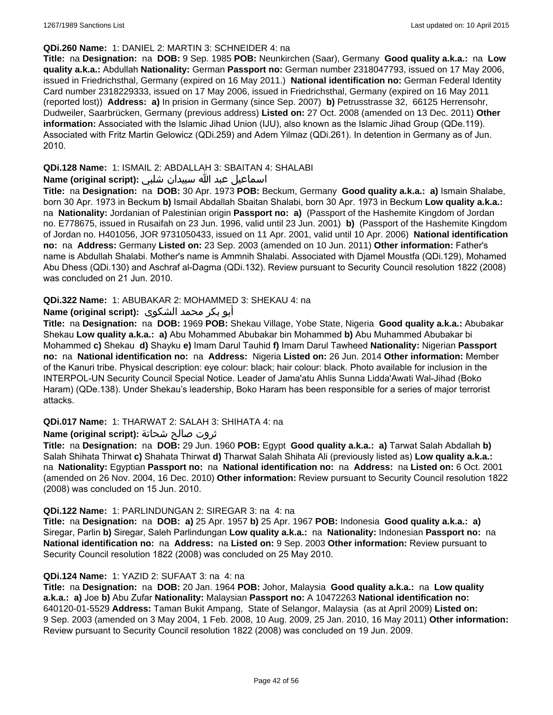### **QDi.260 Name:** 1: DANIEL 2: MARTIN 3: SCHNEIDER 4: na

**Title:** na **Designation:** na **DOB:** 9 Sep. 1985 **POB:** Neunkirchen (Saar), Germany **Good quality a.k.a.:** na **Low quality a.k.a.:** Abdullah **Nationality:** German **Passport no:** German number 2318047793, issued on 17 May 2006, issued in Friedrichsthal, Germany (expired on 16 May 2011.) **National identification no:** German Federal Identity Card number 2318229333, issued on 17 May 2006, issued in Friedrichsthal, Germany (expired on 16 May 2011 (reported lost)) **Address: a)** In prision in Germany (since Sep. 2007) **b)** Petrusstrasse 32, 66125 Herrensohr, Dudweiler, Saarbrücken, Germany (previous address) **Listed on:** 27 Oct. 2008 (amended on 13 Dec. 2011) **Other information:** Associated with the Islamic Jihad Union (IJU), also known as the Islamic Jihad Group (QDe.119). Associated with Fritz Martin Gelowicz (QDi.259) and Adem Yilmaz (QDi.261). In detention in Germany as of Jun. 2010.

# **QDi.128 Name:** 1: ISMAIL 2: ABDALLAH 3: SBAITAN 4: SHALABI

# اسماعيل عبد الله سبيدان شلبي **:(script original (Name**

**Title:** na **Designation:** na **DOB:** 30 Apr. 1973 **POB:** Beckum, Germany **Good quality a.k.a.: a)** Ismain Shalabe, born 30 Apr. 1973 in Beckum **b)** Ismail Abdallah Sbaitan Shalabi, born 30 Apr. 1973 in Beckum **Low quality a.k.a.:**  na **Nationality:** Jordanian of Palestinian origin **Passport no: a)** (Passport of the Hashemite Kingdom of Jordan no. E778675, issued in Rusaifah on 23 Jun. 1996, valid until 23 Jun. 2001) **b)** (Passport of the Hashemite Kingdom of Jordan no. H401056, JOR 9731050433, issued on 11 Apr. 2001, valid until 10 Apr. 2006) **National identification no:** na **Address:** Germany **Listed on:** 23 Sep. 2003 (amended on 10 Jun. 2011) **Other information:** Father's name is Abdullah Shalabi. Mother's name is Ammnih Shalabi. Associated with Djamel Moustfa (QDi.129), Mohamed Abu Dhess (QDi.130) and Aschraf al-Dagma (QDi.132). Review pursuant to Security Council resolution 1822 (2008) was concluded on 21 Jun. 2010.

# **QDi.322 Name:** 1: ABUBAKAR 2: MOHAMMED 3: SHEKAU 4: na

# أبو بكر محمد الشكوى **:(script original (Name**

**Title:** na **Designation:** na **DOB:** 1969 **POB:** Shekau Village, Yobe State, Nigeria **Good quality a.k.a.:** Abubakar Shekau **Low quality a.k.a.: a)** Abu Mohammed Abubakar bin Mohammed **b)** Abu Muhammed Abubakar bi Mohammed **c)** Shekau **d)** Shayku **e)** Imam Darul Tauhid **f)** Imam Darul Tawheed **Nationality:** Nigerian **Passport no:** na **National identification no:** na **Address:** Nigeria **Listed on:** 26 Jun. 2014 **Other information:** Member of the Kanuri tribe. Physical description: eye colour: black; hair colour: black. Photo available for inclusion in the INTERPOL-UN Security Council Special Notice. Leader of Jama'atu Ahlis Sunna Lidda'Awati Wal-Jihad (Boko Haram) (QDe.138). Under Shekau's leadership, Boko Haram has been responsible for a series of major terrorist attacks.

#### **QDi.017 Name:** 1: THARWAT 2: SALAH 3: SHIHATA 4: na

# ثروت صالح شحاتة **:(script original (Name**

**Title:** na **Designation:** na **DOB:** 29 Jun. 1960 **POB:** Egypt **Good quality a.k.a.: a)** Tarwat Salah Abdallah **b)** Salah Shihata Thirwat **c)** Shahata Thirwat **d)** Tharwat Salah Shihata Ali (previously listed as) **Low quality a.k.a.:**  na **Nationality:** Egyptian **Passport no:** na **National identification no:** na **Address:** na **Listed on:** 6 Oct. 2001 (amended on 26 Nov. 2004, 16 Dec. 2010) **Other information:** Review pursuant to Security Council resolution 1822 (2008) was concluded on 15 Jun. 2010.

#### **QDi.122 Name:** 1: PARLINDUNGAN 2: SIREGAR 3: na 4: na

**Title:** na **Designation:** na **DOB: a)** 25 Apr. 1957 **b)** 25 Apr. 1967 **POB:** Indonesia **Good quality a.k.a.: a)** Siregar, Parlin **b)** Siregar, Saleh Parlindungan **Low quality a.k.a.:** na **Nationality:** Indonesian **Passport no:** na **National identification no:** na **Address:** na **Listed on:** 9 Sep. 2003 **Other information:** Review pursuant to Security Council resolution 1822 (2008) was concluded on 25 May 2010.

#### **QDi.124 Name:** 1: YAZID 2: SUFAAT 3: na 4: na

**Title:** na **Designation:** na **DOB:** 20 Jan. 1964 **POB:** Johor, Malaysia **Good quality a.k.a.:** na **Low quality a.k.a.: a)** Joe **b)** Abu Zufar **Nationality:** Malaysian **Passport no:** A 10472263 **National identification no:** 640120-01-5529 **Address:** Taman Bukit Ampang, State of Selangor, Malaysia (as at April 2009) **Listed on:** 9 Sep. 2003 (amended on 3 May 2004, 1 Feb. 2008, 10 Aug. 2009, 25 Jan. 2010, 16 May 2011) **Other information:** Review pursuant to Security Council resolution 1822 (2008) was concluded on 19 Jun. 2009.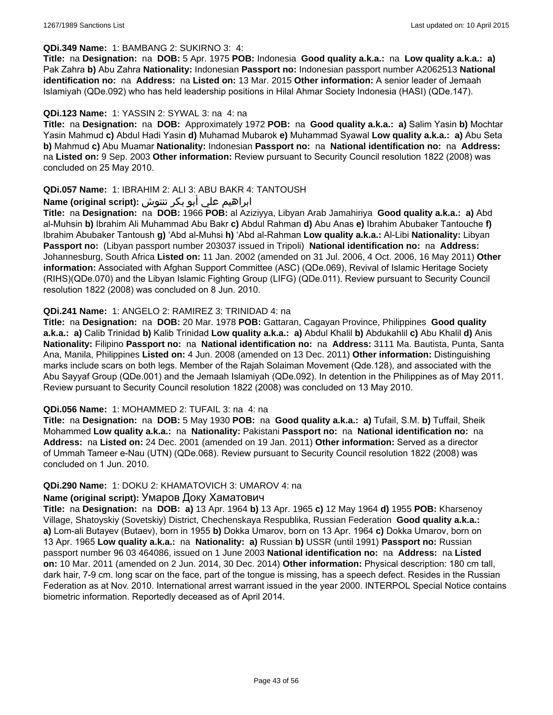# **QDi.349 Name:** 1: BAMBANG 2: SUKIRNO 3: 4:

**Title:** na **Designation:** na **DOB:** 5 Apr. 1975 **POB:** Indonesia **Good quality a.k.a.:** na **Low quality a.k.a.: a)** Pak Zahra **b)** Abu Zahra **Nationality:** Indonesian **Passport no:** Indonesian passport number A2062513 **National identification no:** na **Address:** na **Listed on:** 13 Mar. 2015 **Other information:** A senior leader of Jemaah Islamiyah (QDe.092) who has held leadership positions in Hilal Ahmar Society Indonesia (HASI) (QDe.147).

# **QDi.123 Name:** 1: YASSIN 2: SYWAL 3: na 4: na

**Title:** na **Designation:** na **DOB:** Approximately 1972 **POB:** na **Good quality a.k.a.: a)** Salim Yasin **b)** Mochtar Yasin Mahmud **c)** Abdul Hadi Yasin **d)** Muhamad Mubarok **e)** Muhammad Syawal **Low quality a.k.a.: a)** Abu Seta **b)** Mahmud **c)** Abu Muamar **Nationality:** Indonesian **Passport no:** na **National identification no:** na **Address:**  na **Listed on:** 9 Sep. 2003 **Other information:** Review pursuant to Security Council resolution 1822 (2008) was concluded on 25 May 2010.

# **QDi.057 Name:** 1: IBRAHIM 2: ALI 3: ABU BAKR 4: TANTOUSH

# ابراهيم علي أبو بكر تنتوش **:(script original (Name**

**Title:** na **Designation:** na **DOB:** 1966 **POB:** al Aziziyya, Libyan Arab Jamahiriya **Good quality a.k.a.: a)** Abd al-Muhsin **b)** Ibrahim Ali Muhammad Abu Bakr **c)** Abdul Rahman **d)** Abu Anas **e)** Ibrahim Abubaker Tantouche **f)** Ibrahim Abubaker Tantoush **g)** 'Abd al-Muhsi **h)** 'Abd al-Rahman **Low quality a.k.a.:** Al-Libi **Nationality:** Libyan **Passport no:** (Libyan passport number 203037 issued in Tripoli) **National identification no:** na **Address:** Johannesburg, South Africa **Listed on:** 11 Jan. 2002 (amended on 31 Jul. 2006, 4 Oct. 2006, 16 May 2011) **Other information:** Associated with Afghan Support Committee (ASC) (QDe.069), Revival of Islamic Heritage Society (RIHS)(QDe.070) and the Libyan Islamic Fighting Group (LIFG) (QDe.011). Review pursuant to Security Council resolution 1822 (2008) was concluded on 8 Jun. 2010.

# **QDi.241 Name:** 1: ANGELO 2: RAMIREZ 3: TRINIDAD 4: na

**Title:** na **Designation:** na **DOB:** 20 Mar. 1978 **POB:** Gattaran, Cagayan Province, Philippines **Good quality a.k.a.: a)** Calib Trinidad **b)** Kalib Trinidad **Low quality a.k.a.: a)** Abdul Khalil **b)** Abdukahlil **c)** Abu Khalil **d)** Anis **Nationality:** Filipino **Passport no:** na **National identification no:** na **Address:** 3111 Ma. Bautista, Punta, Santa Ana, Manila, Philippines **Listed on:** 4 Jun. 2008 (amended on 13 Dec. 2011) **Other information:** Distinguishing marks include scars on both legs. Member of the Rajah Solaiman Movement (Qde.128), and associated with the Abu Sayyaf Group (QDe.001) and the Jemaah Islamiyah (QDe.092). In detention in the Philippines as of May 2011. Review pursuant to Security Council resolution 1822 (2008) was concluded on 13 May 2010.

#### **QDi.056 Name:** 1: MOHAMMED 2: TUFAIL 3: na 4: na

**Title:** na **Designation:** na **DOB:** 5 May 1930 **POB:** na **Good quality a.k.a.: a)** Tufail, S.M. **b)** Tuffail, Sheik Mohammed **Low quality a.k.a.:** na **Nationality:** Pakistani **Passport no:** na **National identification no:** na **Address:** na **Listed on:** 24 Dec. 2001 (amended on 19 Jan. 2011) **Other information:** Served as a director of Ummah Tameer e-Nau (UTN) (QDe.068). Review pursuant to Security Council resolution 1822 (2008) was concluded on 1 Jun. 2010.

# **QDi.290 Name:** 1: DOKU 2: KHAMATOVICH 3: UMAROV 4: na

#### **Name (original script):** Умаров Доку Хаматович

**Title:** na **Designation:** na **DOB: a)** 13 Apr. 1964 **b)** 13 Apr. 1965 **c)** 12 May 1964 **d)** 1955 **POB:** Kharsenoy Village, Shatoyskiy (Sovetskiy) District, Chechenskaya Respublika, Russian Federation **Good quality a.k.a.: a)** Lom-ali Butayev (Butaev), born in 1955 **b)** Dokka Umarov, born on 13 Apr. 1964 **c)** Dokka Umarov, born on 13 Apr. 1965 **Low quality a.k.a.:** na **Nationality: a)** Russian **b)** USSR (until 1991) **Passport no:** Russian passport number 96 03 464086, issued on 1 June 2003 **National identification no:** na **Address:** na **Listed on:** 10 Mar. 2011 (amended on 2 Jun. 2014, 30 Dec. 2014) **Other information:** Physical description: 180 cm tall, dark hair, 7-9 cm. long scar on the face, part of the tongue is missing, has a speech defect. Resides in the Russian Federation as at Nov. 2010. International arrest warrant issued in the year 2000. INTERPOL Special Notice contains biometric information. Reportedly deceased as of April 2014.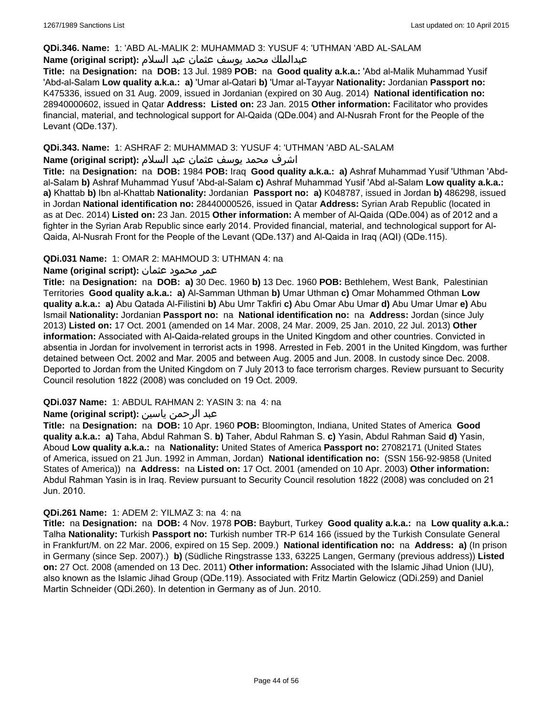# **QDi.346. Name:** 1: 'ABD AL-MALIK 2: MUHAMMAD 3: YUSUF 4: 'UTHMAN 'ABD AL-SALAM

# عبدالملك محمد يوسف عثمان عبد السلام **:(script original (Name**

**Title:** na **Designation:** na **DOB:** 13 Jul. 1989 **POB:** na **Good quality a.k.a.:** 'Abd al-Malik Muhammad Yusif 'Abd-al-Salam **Low quality a.k.a.: a)** 'Umar al-Qatari **b)** 'Umar al-Tayyar **Nationality:** Jordanian **Passport no:** K475336, issued on 31 Aug. 2009, issued in Jordanian (expired on 30 Aug. 2014) **National identification no:** 28940000602, issued in Qatar **Address: Listed on:** 23 Jan. 2015 **Other information:** Facilitator who provides financial, material, and technological support for Al-Qaida (QDe.004) and Al-Nusrah Front for the People of the Levant (QDe.137).

# **QDi.343. Name:** 1: ASHRAF 2: MUHAMMAD 3: YUSUF 4: 'UTHMAN 'ABD AL-SALAM

# اشرف محمد يوسف عثمان عبد السلام **:(script original (Name**

**Title:** na **Designation:** na **DOB:** 1984 **POB:** Iraq **Good quality a.k.a.: a)** Ashraf Muhammad Yusif 'Uthman 'Abdal-Salam **b)** Ashraf Muhammad Yusuf 'Abd-al-Salam **c)** Ashraf Muhammad Yusif 'Abd al-Salam **Low quality a.k.a.: a)** Khattab **b)** Ibn al-Khattab **Nationality:** Jordanian **Passport no: a)** K048787, issued in Jordan **b)** 486298, issued in Jordan **National identification no:** 28440000526, issued in Qatar **Address:** Syrian Arab Republic (located in as at Dec. 2014) **Listed on:** 23 Jan. 2015 **Other information:** A member of Al-Qaida (QDe.004) as of 2012 and a fighter in the Syrian Arab Republic since early 2014. Provided financial, material, and technological support for Al-Qaida, Al-Nusrah Front for the People of the Levant (QDe.137) and Al-Qaida in Iraq (AQI) (QDe.115).

# **QDi.031 Name:** 1: OMAR 2: MAHMOUD 3: UTHMAN 4: na

# عمر محمود عثمان **:(script original (Name**

**Title:** na **Designation:** na **DOB: a)** 30 Dec. 1960 **b)** 13 Dec. 1960 **POB:** Bethlehem, West Bank, Palestinian Territories **Good quality a.k.a.: a)** Al-Samman Uthman **b)** Umar Uthman **c)** Omar Mohammed Othman **Low quality a.k.a.: a)** Abu Qatada Al-Filistini **b)** Abu Umr Takfiri **c)** Abu Omar Abu Umar **d)** Abu Umar Umar **e)** Abu Ismail **Nationality:** Jordanian **Passport no:** na **National identification no:** na **Address:** Jordan (since July 2013) **Listed on:** 17 Oct. 2001 (amended on 14 Mar. 2008, 24 Mar. 2009, 25 Jan. 2010, 22 Jul. 2013) **Other information:** Associated with Al-Qaida-related groups in the United Kingdom and other countries. Convicted in absentia in Jordan for involvement in terrorist acts in 1998. Arrested in Feb. 2001 in the United Kingdom, was further detained between Oct. 2002 and Mar. 2005 and between Aug. 2005 and Jun. 2008. In custody since Dec. 2008. Deported to Jordan from the United Kingdom on 7 July 2013 to face terrorism charges. Review pursuant to Security Council resolution 1822 (2008) was concluded on 19 Oct. 2009.

# **QDi.037 Name:** 1: ABDUL RAHMAN 2: YASIN 3: na 4: na

# عبد الرحمن ياسين **:(script original (Name**

**Title:** na **Designation:** na **DOB:** 10 Apr. 1960 **POB:** Bloomington, Indiana, United States of America **Good quality a.k.a.: a)** Taha, Abdul Rahman S. **b)** Taher, Abdul Rahman S. **c)** Yasin, Abdul Rahman Said **d)** Yasin, Aboud **Low quality a.k.a.:** na **Nationality:** United States of America **Passport no:** 27082171 (United States of America, issued on 21 Jun. 1992 in Amman, Jordan) **National identification no:** (SSN 156-92-9858 (United States of America)) na **Address:** na **Listed on:** 17 Oct. 2001 (amended on 10 Apr. 2003) **Other information:** Abdul Rahman Yasin is in Iraq. Review pursuant to Security Council resolution 1822 (2008) was concluded on 21 Jun. 2010.

#### **QDi.261 Name:** 1: ADEM 2: YILMAZ 3: na 4: na

**Title:** na **Designation:** na **DOB:** 4 Nov. 1978 **POB:** Bayburt, Turkey **Good quality a.k.a.:** na **Low quality a.k.a.:** Talha **Nationality:** Turkish **Passport no:** Turkish number TR-P 614 166 (issued by the Turkish Consulate General in Frankfurt/M. on 22 Mar. 2006, expired on 15 Sep. 2009.) **National identification no:** na **Address: a)** (In prison in Germany (since Sep. 2007).) **b)** (Südliche Ringstrasse 133, 63225 Langen, Germany (previous address)) **Listed on:** 27 Oct. 2008 (amended on 13 Dec. 2011) **Other information:** Associated with the Islamic Jihad Union (IJU), also known as the Islamic Jihad Group (QDe.119). Associated with Fritz Martin Gelowicz (QDi.259) and Daniel Martin Schneider (QDi.260). In detention in Germany as of Jun. 2010.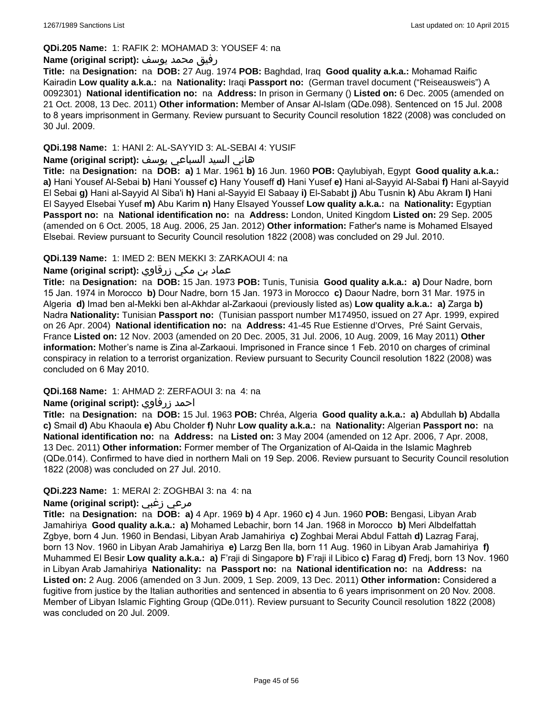# **QDi.205 Name:** 1: RAFIK 2: MOHAMAD 3: YOUSEF 4: na

# رفيق محمد يوسف **:(script original (Name**

**Title:** na **Designation:** na **DOB:** 27 Aug. 1974 **POB:** Baghdad, Iraq **Good quality a.k.a.:** Mohamad Raific Kairadin **Low quality a.k.a.:** na **Nationality:** Iraqi **Passport no:** (German travel document ("Reiseausweis") A 0092301) **National identification no:** na **Address:** In prison in Germany () **Listed on:** 6 Dec. 2005 (amended on 21 Oct. 2008, 13 Dec. 2011) **Other information:** Member of Ansar Al-Islam (QDe.098). Sentenced on 15 Jul. 2008 to 8 years imprisonment in Germany. Review pursuant to Security Council resolution 1822 (2008) was concluded on 30 Jul. 2009.

# **QDi.198 Name:** 1: HANI 2: AL-SAYYID 3: AL-SEBAI 4: YUSIF

# هاني السيد السباعي يوسف **:(script original (Name**

**Title:** na **Designation:** na **DOB: a)** 1 Mar. 1961 **b)** 16 Jun. 1960 **POB:** Qaylubiyah, Egypt **Good quality a.k.a.: a)** Hani Yousef Al-Sebai **b)** Hani Youssef **c)** Hany Youseff **d)** Hani Yusef **e)** Hani al-Sayyid Al-Sabai **f)** Hani al-Sayyid El Sebai **g)** Hani al-Sayyid Al Siba'i **h)** Hani al-Sayyid El Sabaay **i)** El-Sababt **j)** Abu Tusnin **k)** Abu Akram **l)** Hani El Sayyed Elsebai Yusef **m)** Abu Karim **n)** Hany Elsayed Youssef **Low quality a.k.a.:** na **Nationality:** Egyptian **Passport no:** na **National identification no:** na **Address:** London, United Kingdom **Listed on:** 29 Sep. 2005 (amended on 6 Oct. 2005, 18 Aug. 2006, 25 Jan. 2012) **Other information:** Father's name is Mohamed Elsayed Elsebai. Review pursuant to Security Council resolution 1822 (2008) was concluded on 29 Jul. 2010.

# **QDi.139 Name:** 1: IMED 2: BEN MEKKI 3: ZARKAOUI 4: na

# عماد بن مكي زرقاوي **:(script original (Name**

**Title:** na **Designation:** na **DOB:** 15 Jan. 1973 **POB:** Tunis, Tunisia **Good quality a.k.a.: a)** Dour Nadre, born 15 Jan. 1974 in Morocco **b)** Dour Nadre, born 15 Jan. 1973 in Morocco **c)** Daour Nadre, born 31 Mar. 1975 in Algeria **d)** Imad ben al-Mekki ben al-Akhdar al-Zarkaoui (previously listed as) **Low quality a.k.a.: a)** Zarga **b)** Nadra **Nationality:** Tunisian **Passport no:** (Tunisian passport number M174950, issued on 27 Apr. 1999, expired on 26 Apr. 2004) **National identification no:** na **Address:** 41-45 Rue Estienne d'Orves, Pré Saint Gervais, France **Listed on:** 12 Nov. 2003 (amended on 20 Dec. 2005, 31 Jul. 2006, 10 Aug. 2009, 16 May 2011) **Other information:** Mother's name is Zina al-Zarkaoui. Imprisoned in France since 1 Feb. 2010 on charges of criminal conspiracy in relation to a terrorist organization. Review pursuant to Security Council resolution 1822 (2008) was concluded on 6 May 2010.

#### **QDi.168 Name:** 1: AHMAD 2: ZERFAOUI 3: na 4: na

# **Name (original script):** زرفاوي احمد

**Title:** na **Designation:** na **DOB:** 15 Jul. 1963 **POB:** Chréa, Algeria **Good quality a.k.a.: a)** Abdullah **b)** Abdalla **c)** Smail **d)** Abu Khaoula **e)** Abu Cholder **f)** Nuhr **Low quality a.k.a.:** na **Nationality:** Algerian **Passport no:** na **National identification no:** na **Address:** na **Listed on:** 3 May 2004 (amended on 12 Apr. 2006, 7 Apr. 2008, 13 Dec. 2011) **Other information:** Former member of The Organization of Al-Qaida in the Islamic Maghreb (QDe.014). Confirmed to have died in northern Mali on 19 Sep. 2006. Review pursuant to Security Council resolution 1822 (2008) was concluded on 27 Jul. 2010.

#### **QDi.223 Name:** 1: MERAI 2: ZOGHBAI 3: na 4: na

# **Name (original script):** زغبي مرعي

**Title:** na **Designation:** na **DOB: a)** 4 Apr. 1969 **b)** 4 Apr. 1960 **c)** 4 Jun. 1960 **POB:** Bengasi, Libyan Arab Jamahiriya **Good quality a.k.a.: a)** Mohamed Lebachir, born 14 Jan. 1968 in Morocco **b)** Meri Albdelfattah Zgbye, born 4 Jun. 1960 in Bendasi, Libyan Arab Jamahiriya **c)** Zoghbai Merai Abdul Fattah **d)** Lazrag Faraj, born 13 Nov. 1960 in Libyan Arab Jamahiriya **e)** Larzg Ben Ila, born 11 Aug. 1960 in Libyan Arab Jamahiriya **f)** Muhammed El Besir **Low quality a.k.a.: a)** F'raji di Singapore **b)** F'raji il Libico **c)** Farag **d)** Fredj, born 13 Nov. 1960 in Libyan Arab Jamahiriya **Nationality:** na **Passport no:** na **National identification no:** na **Address:** na **Listed on:** 2 Aug. 2006 (amended on 3 Jun. 2009, 1 Sep. 2009, 13 Dec. 2011) **Other information:** Considered a fugitive from justice by the Italian authorities and sentenced in absentia to 6 years imprisonment on 20 Nov. 2008. Member of Libyan Islamic Fighting Group (QDe.011). Review pursuant to Security Council resolution 1822 (2008) was concluded on 20 Jul. 2009.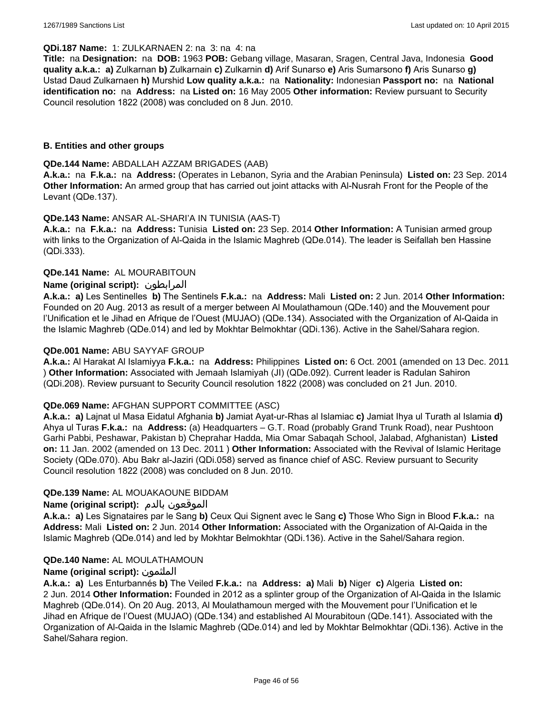### **QDi.187 Name:** 1: ZULKARNAEN 2: na 3: na 4: na

**Title:** na **Designation:** na **DOB:** 1963 **POB:** Gebang village, Masaran, Sragen, Central Java, Indonesia **Good quality a.k.a.: a)** Zulkarnan **b)** Zulkarnain **c)** Zulkarnin **d)** Arif Sunarso **e)** Aris Sumarsono **f)** Aris Sunarso **g)** Ustad Daud Zulkarnaen **h)** Murshid **Low quality a.k.a.:** na **Nationality:** Indonesian **Passport no:** na **National identification no:** na **Address:** na **Listed on:** 16 May 2005 **Other information:** Review pursuant to Security Council resolution 1822 (2008) was concluded on 8 Jun. 2010.

# **B. Entities and other groups**

### **QDe.144 Name:** ABDALLAH AZZAM BRIGADES (AAB)

**A.k.a.:** na **F.k.a.:** na **Address:** (Operates in Lebanon, Syria and the Arabian Peninsula) **Listed on:** 23 Sep. 2014 **Other Information:** An armed group that has carried out joint attacks with Al-Nusrah Front for the People of the Levant (QDe.137).

# **QDe.143 Name:** ANSAR AL-SHARI'A IN TUNISIA (AAS-T)

**A.k.a.:** na **F.k.a.:** na **Address:** Tunisia **Listed on:** 23 Sep. 2014 **Other Information:** A Tunisian armed group with links to the Organization of Al-Qaida in the Islamic Maghreb (QDe.014). The leader is Seifallah ben Hassine (QDi.333).

# **QDe.141 Name:** AL MOURABITOUN

# **Name (original script):** المرابطون

**A.k.a.: a)** Les Sentinelles **b)** The Sentinels **F.k.a.:** na **Address:** Mali **Listed on:** 2 Jun. 2014 **Other Information:**  Founded on 20 Aug. 2013 as result of a merger between Al Moulathamoun (QDe.140) and the Mouvement pour l'Unification et le Jihad en Afrique de l'Ouest (MUJAO) (QDe.134). Associated with the Organization of Al-Qaida in the Islamic Maghreb (QDe.014) and led by Mokhtar Belmokhtar (QDi.136). Active in the Sahel/Sahara region.

# **QDe.001 Name:** ABU SAYYAF GROUP

**A.k.a.:** Al Harakat Al Islamiyya **F.k.a.:** na **Address:** Philippines **Listed on:** 6 Oct. 2001 (amended on 13 Dec. 2011 ) **Other Information:** Associated with Jemaah Islamiyah (JI) (QDe.092). Current leader is Radulan Sahiron (QDi.208). Review pursuant to Security Council resolution 1822 (2008) was concluded on 21 Jun. 2010.

#### **QDe.069 Name:** AFGHAN SUPPORT COMMITTEE (ASC)

**A.k.a.: a)** Lajnat ul Masa Eidatul Afghania **b)** Jamiat Ayat-ur-Rhas al Islamiac **c)** Jamiat Ihya ul Turath al Islamia **d)** Ahya ul Turas **F.k.a.:** na **Address:** (a) Headquarters – G.T. Road (probably Grand Trunk Road), near Pushtoon Garhi Pabbi, Peshawar, Pakistan b) Cheprahar Hadda, Mia Omar Sabaqah School, Jalabad, Afghanistan) **Listed on:** 11 Jan. 2002 (amended on 13 Dec. 2011 ) **Other Information:** Associated with the Revival of Islamic Heritage Society (QDe.070). Abu Bakr al-Jaziri (QDi.058) served as finance chief of ASC. Review pursuant to Security Council resolution 1822 (2008) was concluded on 8 Jun. 2010.

#### **QDe.139 Name:** AL MOUAKAOUNE BIDDAM

# **Name (original script):** بالدم الموقعون

**A.k.a.: a)** Les Signataires par le Sang **b)** Ceux Qui Signent avec le Sang **c)** Those Who Sign in Blood **F.k.a.:** na **Address:** Mali **Listed on:** 2 Jun. 2014 **Other Information:** Associated with the Organization of Al-Qaida in the Islamic Maghreb (QDe.014) and led by Mokhtar Belmokhtar (QDi.136). Active in the Sahel/Sahara region.

# **QDe.140 Name:** AL MOULATHAMOUN

# **Name (original script):** الملثمون

**A.k.a.: a)** Les Enturbannés **b)** The Veiled **F.k.a.:** na **Address: a)** Mali **b)** Niger **c)** Algeria **Listed on:** 2 Jun. 2014 **Other Information:** Founded in 2012 as a splinter group of the Organization of Al-Qaida in the Islamic Maghreb (QDe.014). On 20 Aug. 2013, Al Moulathamoun merged with the Mouvement pour l'Unification et le Jihad en Afrique de l'Ouest (MUJAO) (QDe.134) and established Al Mourabitoun (QDe.141). Associated with the Organization of Al-Qaida in the Islamic Maghreb (QDe.014) and led by Mokhtar Belmokhtar (QDi.136). Active in the Sahel/Sahara region.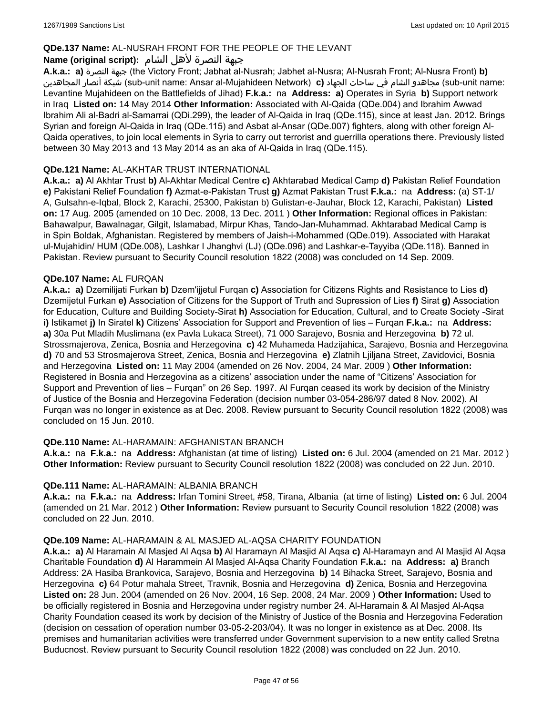# **QDe.137 Name:** AL-NUSRAH FRONT FOR THE PEOPLE OF THE LEVANT

# جبهة النصرة لأهل الشام **:(script original (Name**

**A.k.a.: a)** النصرة جبهة) the Victory Front; Jabhat al-Nusrah; Jabhet al-Nusra; Al-Nusrah Front; Al-Nusra Front) **b)**  المجاهدين أنصار شبكة) sub-unit name: Ansar al-Mujahideen Network) **c)** الجهاد ساحات في الشام مجاهدو) sub-unit name: Levantine Mujahideen on the Battlefields of Jihad) **F.k.a.:** na **Address: a)** Operates in Syria **b)** Support network in Iraq **Listed on:** 14 May 2014 **Other Information:** Associated with Al-Qaida (QDe.004) and Ibrahim Awwad Ibrahim Ali al-Badri al-Samarrai (QDi.299), the leader of Al-Qaida in Iraq (QDe.115), since at least Jan. 2012. Brings Syrian and foreign Al-Qaida in Iraq (QDe.115) and Asbat al-Ansar (QDe.007) fighters, along with other foreign Al-Qaida operatives, to join local elements in Syria to carry out terrorist and guerrilla operations there. Previously listed between 30 May 2013 and 13 May 2014 as an aka of Al-Qaida in Iraq (QDe.115).

# **QDe.121 Name:** AL-AKHTAR TRUST INTERNATIONAL

**A.k.a.: a)** Al Akhtar Trust **b)** Al-Akhtar Medical Centre **c)** Akhtarabad Medical Camp **d)** Pakistan Relief Foundation **e)** Pakistani Relief Foundation **f)** Azmat-e-Pakistan Trust **g)** Azmat Pakistan Trust **F.k.a.:** na **Address:** (a) ST-1/ A, Gulsahn-e-Iqbal, Block 2, Karachi, 25300, Pakistan b) Gulistan-e-Jauhar, Block 12, Karachi, Pakistan) **Listed on:** 17 Aug. 2005 (amended on 10 Dec. 2008, 13 Dec. 2011 ) **Other Information:** Regional offices in Pakistan: Bahawalpur, Bawalnagar, Gilgit, Islamabad, Mirpur Khas, Tando-Jan-Muhammad. Akhtarabad Medical Camp is in Spin Boldak, Afghanistan. Registered by members of Jaish-i-Mohammed (QDe.019). Associated with Harakat ul-Mujahidin/ HUM (QDe.008), Lashkar I Jhanghvi (LJ) (QDe.096) and Lashkar-e-Tayyiba (QDe.118). Banned in Pakistan. Review pursuant to Security Council resolution 1822 (2008) was concluded on 14 Sep. 2009.

# **QDe.107 Name:** AL FURQAN

**A.k.a.: a)** Dzemilijati Furkan **b)** Dzem'ijjetul Furqan **c)** Association for Citizens Rights and Resistance to Lies **d)** Dzemijetul Furkan **e)** Association of Citizens for the Support of Truth and Supression of Lies **f)** Sirat **g)** Association for Education, Culture and Building Society-Sirat **h)** Association for Education, Cultural, and to Create Society -Sirat **i)** Istikamet **j)** In Siratel **k)** Citizens' Association for Support and Prevention of lies – Furqan **F.k.a.:** na **Address: a)** 30a Put Mladih Muslimana (ex Pavla Lukaca Street), 71 000 Sarajevo, Bosnia and Herzegovina **b)** 72 ul. Strossmajerova, Zenica, Bosnia and Herzegovina **c)** 42 Muhameda Hadzijahica, Sarajevo, Bosnia and Herzegovina **d)** 70 and 53 Strosmajerova Street, Zenica, Bosnia and Herzegovina **e)** Zlatnih Ljiljana Street, Zavidovici, Bosnia and Herzegovina **Listed on:** 11 May 2004 (amended on 26 Nov. 2004, 24 Mar. 2009 ) **Other Information:** Registered in Bosnia and Herzegovina as a citizens' association under the name of "Citizens' Association for Support and Prevention of lies – Furqan" on 26 Sep. 1997. Al Furqan ceased its work by decision of the Ministry of Justice of the Bosnia and Herzegovina Federation (decision number 03-054-286/97 dated 8 Nov. 2002). Al Furqan was no longer in existence as at Dec. 2008. Review pursuant to Security Council resolution 1822 (2008) was concluded on 15 Jun. 2010.

# **QDe.110 Name:** AL-HARAMAIN: AFGHANISTAN BRANCH

**A.k.a.:** na **F.k.a.:** na **Address:** Afghanistan (at time of listing) **Listed on:** 6 Jul. 2004 (amended on 21 Mar. 2012 ) **Other Information:** Review pursuant to Security Council resolution 1822 (2008) was concluded on 22 Jun. 2010.

#### **QDe.111 Name:** AL-HARAMAIN: ALBANIA BRANCH

**A.k.a.:** na **F.k.a.:** na **Address:** Irfan Tomini Street, #58, Tirana, Albania (at time of listing) **Listed on:** 6 Jul. 2004 (amended on 21 Mar. 2012 ) **Other Information:** Review pursuant to Security Council resolution 1822 (2008) was concluded on 22 Jun. 2010.

#### **QDe.109 Name:** AL-HARAMAIN & AL MASJED AL-AQSA CHARITY FOUNDATION

**A.k.a.: a)** Al Haramain Al Masjed Al Aqsa **b)** Al Haramayn Al Masjid Al Aqsa **c)** Al-Haramayn and Al Masjid Al Aqsa Charitable Foundation **d)** Al Harammein Al Masjed Al-Aqsa Charity Foundation **F.k.a.:** na **Address: a)** Branch Address: 2A Hasiba Brankovica, Sarajevo, Bosnia and Herzegovina **b)** 14 Bihacka Street, Sarajevo, Bosnia and Herzegovina **c)** 64 Potur mahala Street, Travnik, Bosnia and Herzegovina **d)** Zenica, Bosnia and Herzegovina **Listed on:** 28 Jun. 2004 (amended on 26 Nov. 2004, 16 Sep. 2008, 24 Mar. 2009 ) **Other Information:** Used to be officially registered in Bosnia and Herzegovina under registry number 24. Al-Haramain & Al Masjed Al-Aqsa Charity Foundation ceased its work by decision of the Ministry of Justice of the Bosnia and Herzegovina Federation (decision on cessation of operation number 03-05-2-203/04). It was no longer in existence as at Dec. 2008. Its premises and humanitarian activities were transferred under Government supervision to a new entity called Sretna Buducnost. Review pursuant to Security Council resolution 1822 (2008) was concluded on 22 Jun. 2010.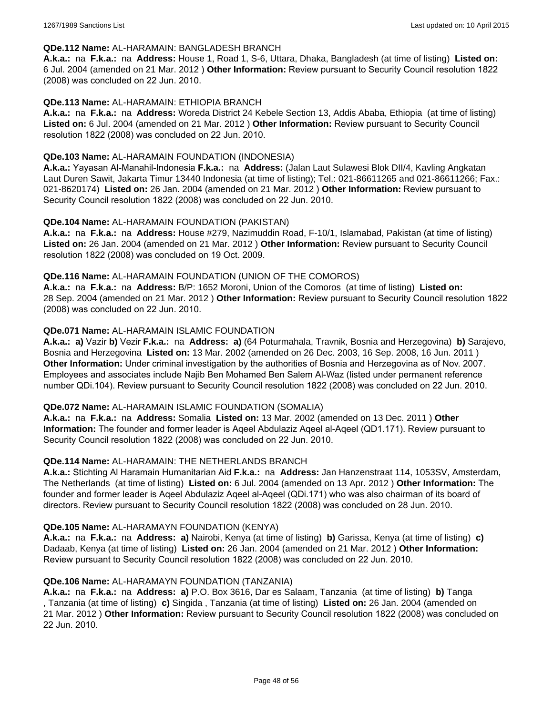#### **QDe.112 Name:** AL-HARAMAIN: BANGLADESH BRANCH

**A.k.a.:** na **F.k.a.:** na **Address:** House 1, Road 1, S-6, Uttara, Dhaka, Bangladesh (at time of listing) **Listed on:** 6 Jul. 2004 (amended on 21 Mar. 2012 ) **Other Information:** Review pursuant to Security Council resolution 1822 (2008) was concluded on 22 Jun. 2010.

# **QDe.113 Name:** AL-HARAMAIN: ETHIOPIA BRANCH

**A.k.a.:** na **F.k.a.:** na **Address:** Woreda District 24 Kebele Section 13, Addis Ababa, Ethiopia (at time of listing) **Listed on:** 6 Jul. 2004 (amended on 21 Mar. 2012 ) **Other Information:** Review pursuant to Security Council resolution 1822 (2008) was concluded on 22 Jun. 2010.

#### **QDe.103 Name:** AL-HARAMAIN FOUNDATION (INDONESIA)

**A.k.a.:** Yayasan Al-Manahil-Indonesia **F.k.a.:** na **Address:** (Jalan Laut Sulawesi Blok DII/4, Kavling Angkatan Laut Duren Sawit, Jakarta Timur 13440 Indonesia (at time of listing); Tel.: 021-86611265 and 021-86611266; Fax.: 021-8620174) **Listed on:** 26 Jan. 2004 (amended on 21 Mar. 2012 ) **Other Information:** Review pursuant to Security Council resolution 1822 (2008) was concluded on 22 Jun. 2010.

# **QDe.104 Name:** AL-HARAMAIN FOUNDATION (PAKISTAN)

**A.k.a.:** na **F.k.a.:** na **Address:** House #279, Nazimuddin Road, F-10/1, Islamabad, Pakistan (at time of listing) **Listed on:** 26 Jan. 2004 (amended on 21 Mar. 2012 ) **Other Information:** Review pursuant to Security Council resolution 1822 (2008) was concluded on 19 Oct. 2009.

# **QDe.116 Name:** AL-HARAMAIN FOUNDATION (UNION OF THE COMOROS)

**A.k.a.:** na **F.k.a.:** na **Address:** B/P: 1652 Moroni, Union of the Comoros (at time of listing) **Listed on:** 28 Sep. 2004 (amended on 21 Mar. 2012 ) **Other Information:** Review pursuant to Security Council resolution 1822 (2008) was concluded on 22 Jun. 2010.

# **QDe.071 Name:** AL-HARAMAIN ISLAMIC FOUNDATION

**A.k.a.: a)** Vazir **b)** Vezir **F.k.a.:** na **Address: a)** (64 Poturmahala, Travnik, Bosnia and Herzegovina) **b)** Sarajevo, Bosnia and Herzegovina **Listed on:** 13 Mar. 2002 (amended on 26 Dec. 2003, 16 Sep. 2008, 16 Jun. 2011 ) **Other Information:** Under criminal investigation by the authorities of Bosnia and Herzegovina as of Nov. 2007. Employees and associates include Najib Ben Mohamed Ben Salem Al-Waz (listed under permanent reference number QDi.104). Review pursuant to Security Council resolution 1822 (2008) was concluded on 22 Jun. 2010.

#### **QDe.072 Name:** AL-HARAMAIN ISLAMIC FOUNDATION (SOMALIA)

**A.k.a.:** na **F.k.a.:** na **Address:** Somalia **Listed on:** 13 Mar. 2002 (amended on 13 Dec. 2011 ) **Other Information:** The founder and former leader is Aqeel Abdulaziz Aqeel al-Aqeel (QD1.171). Review pursuant to Security Council resolution 1822 (2008) was concluded on 22 Jun. 2010.

#### **QDe.114 Name:** AL-HARAMAIN: THE NETHERLANDS BRANCH

**A.k.a.:** Stichting Al Haramain Humanitarian Aid **F.k.a.:** na **Address:** Jan Hanzenstraat 114, 1053SV, Amsterdam, The Netherlands (at time of listing) **Listed on:** 6 Jul. 2004 (amended on 13 Apr. 2012 ) **Other Information:** The founder and former leader is Aqeel Abdulaziz Aqeel al-Aqeel (QDi.171) who was also chairman of its board of directors. Review pursuant to Security Council resolution 1822 (2008) was concluded on 28 Jun. 2010.

#### **QDe.105 Name:** AL-HARAMAYN FOUNDATION (KENYA)

**A.k.a.:** na **F.k.a.:** na **Address: a)** Nairobi, Kenya (at time of listing) **b)** Garissa, Kenya (at time of listing) **c)** Dadaab, Kenya (at time of listing) **Listed on:** 26 Jan. 2004 (amended on 21 Mar. 2012 ) **Other Information:** Review pursuant to Security Council resolution 1822 (2008) was concluded on 22 Jun. 2010.

#### **QDe.106 Name:** AL-HARAMAYN FOUNDATION (TANZANIA)

**A.k.a.:** na **F.k.a.:** na **Address: a)** P.O. Box 3616, Dar es Salaam, Tanzania (at time of listing) **b)** Tanga , Tanzania (at time of listing) **c)** Singida , Tanzania (at time of listing) **Listed on:** 26 Jan. 2004 (amended on 21 Mar. 2012 ) **Other Information:** Review pursuant to Security Council resolution 1822 (2008) was concluded on 22 Jun. 2010.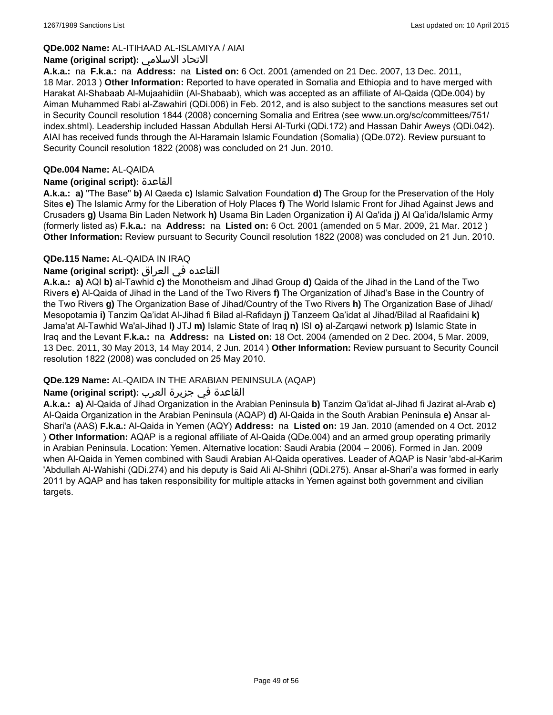# **QDe.002 Name:** AL-ITIHAAD AL-ISLAMIYA / AIAI

### **Name (original script):** الاسلامي الاتحاد

**A.k.a.:** na **F.k.a.:** na **Address:** na **Listed on:** 6 Oct. 2001 (amended on 21 Dec. 2007, 13 Dec. 2011, 18 Mar. 2013 ) **Other Information:** Reported to have operated in Somalia and Ethiopia and to have merged with Harakat Al-Shabaab Al-Mujaahidiin (Al-Shabaab), which was accepted as an affiliate of Al-Qaida (QDe.004) by Aiman Muhammed Rabi al-Zawahiri (QDi.006) in Feb. 2012, and is also subject to the sanctions measures set out in Security Council resolution 1844 (2008) concerning Somalia and Eritrea (see www.un.org/sc/committees/751/ index.shtml). Leadership included Hassan Abdullah Hersi Al-Turki (QDi.172) and Hassan Dahir Aweys (QDi.042). AIAI has received funds through the Al-Haramain Islamic Foundation (Somalia) (QDe.072). Review pursuant to Security Council resolution 1822 (2008) was concluded on 21 Jun. 2010.

# **QDe.004 Name:** AL-QAIDA

# **Name (original script):** القاعدة

**A.k.a.: a)** "The Base" **b)** Al Qaeda **c)** Islamic Salvation Foundation **d)** The Group for the Preservation of the Holy Sites **e)** The Islamic Army for the Liberation of Holy Places **f)** The World Islamic Front for Jihad Against Jews and Crusaders **g)** Usama Bin Laden Network **h)** Usama Bin Laden Organization **i)** Al Qa'ida **j)** Al Qa'ida/Islamic Army (formerly listed as) **F.k.a.:** na **Address:** na **Listed on:** 6 Oct. 2001 (amended on 5 Mar. 2009, 21 Mar. 2012 ) **Other Information:** Review pursuant to Security Council resolution 1822 (2008) was concluded on 21 Jun. 2010.

# **QDe.115 Name:** AL-QAIDA IN IRAQ

# القاعده في العراق **:(script original (Name**

**A.k.a.: a)** AQI **b)** al-Tawhid **c)** the Monotheism and Jihad Group **d)** Qaida of the Jihad in the Land of the Two Rivers **e)** Al-Qaida of Jihad in the Land of the Two Rivers **f)** The Organization of Jihad's Base in the Country of the Two Rivers **g)** The Organization Base of Jihad/Country of the Two Rivers **h)** The Organization Base of Jihad/ Mesopotamia **i)** Tanzim Qa'idat Al-Jihad fi Bilad al-Rafidayn **j)** Tanzeem Qa'idat al Jihad/Bilad al Raafidaini **k)** Jama'at Al-Tawhid Wa'al-Jihad **l)** JTJ **m)** Islamic State of Iraq **n)** ISI **o)** al-Zarqawi network **p)** Islamic State in Iraq and the Levant **F.k.a.:** na **Address:** na **Listed on:** 18 Oct. 2004 (amended on 2 Dec. 2004, 5 Mar. 2009, 13 Dec. 2011, 30 May 2013, 14 May 2014, 2 Jun. 2014 ) **Other Information:** Review pursuant to Security Council resolution 1822 (2008) was concluded on 25 May 2010.

# **QDe.129 Name:** AL-QAIDA IN THE ARABIAN PENINSULA (AQAP)

# القاعدة في جزيرة العرب **:(script original (Name**

**A.k.a.: a)** Al-Qaida of Jihad Organization in the Arabian Peninsula **b)** Tanzim Qa'idat al-Jihad fi Jazirat al-Arab **c)** Al-Qaida Organization in the Arabian Peninsula (AQAP) **d)** Al-Qaida in the South Arabian Peninsula **e)** Ansar al-Shari'a (AAS) **F.k.a.:** Al-Qaida in Yemen (AQY) **Address:** na **Listed on:** 19 Jan. 2010 (amended on 4 Oct. 2012 ) **Other Information:** AQAP is a regional affiliate of Al-Qaida (QDe.004) and an armed group operating primarily in Arabian Peninsula. Location: Yemen. Alternative location: Saudi Arabia (2004 – 2006). Formed in Jan. 2009 when Al-Qaida in Yemen combined with Saudi Arabian Al-Qaida operatives. Leader of AQAP is Nasir 'abd-al-Karim 'Abdullah Al-Wahishi (QDi.274) and his deputy is Said Ali Al-Shihri (QDi.275). Ansar al-Shari'a was formed in early 2011 by AQAP and has taken responsibility for multiple attacks in Yemen against both government and civilian targets.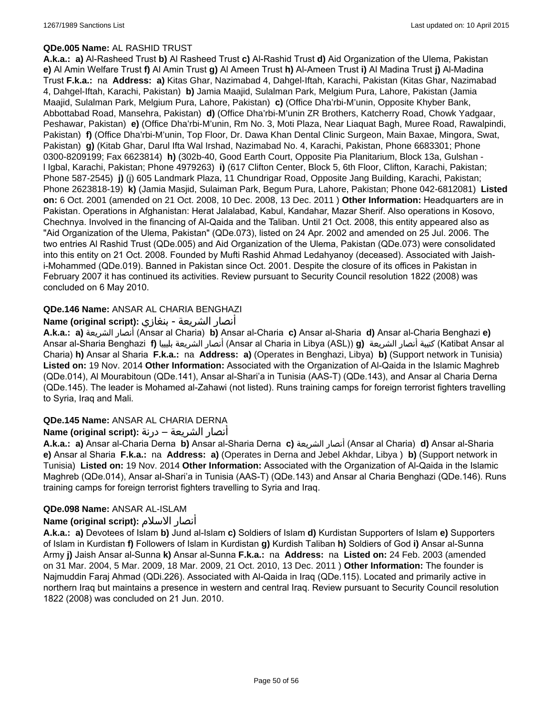# **QDe.005 Name:** AL RASHID TRUST

**A.k.a.: a)** Al-Rasheed Trust **b)** Al Rasheed Trust **c)** Al-Rashid Trust **d)** Aid Organization of the Ulema, Pakistan **e)** Al Amin Welfare Trust **f)** Al Amin Trust **g)** Al Ameen Trust **h)** Al-Ameen Trust **i)** Al Madina Trust **j)** Al-Madina Trust **F.k.a.:** na **Address: a)** Kitas Ghar, Nazimabad 4, Dahgel-Iftah, Karachi, Pakistan (Kitas Ghar, Nazimabad 4, Dahgel-Iftah, Karachi, Pakistan) **b)** Jamia Maajid, Sulalman Park, Melgium Pura, Lahore, Pakistan (Jamia Maajid, Sulalman Park, Melgium Pura, Lahore, Pakistan) **c)** (Office Dha'rbi-M'unin, Opposite Khyber Bank, Abbottabad Road, Mansehra, Pakistan) **d)** (Office Dha'rbi-M'unin ZR Brothers, Katcherry Road, Chowk Yadgaar, Peshawar, Pakistan) **e)** (Office Dha'rbi-M'unin, Rm No. 3, Moti Plaza, Near Liaquat Bagh, Muree Road, Rawalpindi, Pakistan) **f)** (Office Dha'rbi-M'unin, Top Floor, Dr. Dawa Khan Dental Clinic Surgeon, Main Baxae, Mingora, Swat, Pakistan) **g)** (Kitab Ghar, Darul Ifta Wal Irshad, Nazimabad No. 4, Karachi, Pakistan, Phone 6683301; Phone 0300-8209199; Fax 6623814) **h)** (302b-40, Good Earth Court, Opposite Pia Planitarium, Block 13a, Gulshan l Igbal, Karachi, Pakistan; Phone 4979263) **i)** (617 Clifton Center, Block 5, 6th Floor, Clifton, Karachi, Pakistan; Phone 587-2545) **j)** (j) 605 Landmark Plaza, 11 Chundrigar Road, Opposite Jang Building, Karachi, Pakistan; Phone 2623818-19) **k)** (Jamia Masjid, Sulaiman Park, Begum Pura, Lahore, Pakistan; Phone 042-6812081) **Listed on:** 6 Oct. 2001 (amended on 21 Oct. 2008, 10 Dec. 2008, 13 Dec. 2011 ) **Other Information:** Headquarters are in Pakistan. Operations in Afghanistan: Herat Jalalabad, Kabul, Kandahar, Mazar Sherif. Also operations in Kosovo, Chechnya. Involved in the financing of Al-Qaida and the Taliban. Until 21 Oct. 2008, this entity appeared also as "Aid Organization of the Ulema, Pakistan" (QDe.073), listed on 24 Apr. 2002 and amended on 25 Jul. 2006. The two entries Al Rashid Trust (QDe.005) and Aid Organization of the Ulema, Pakistan (QDe.073) were consolidated into this entity on 21 Oct. 2008. Founded by Mufti Rashid Ahmad Ledahyanoy (deceased). Associated with Jaishi-Mohammed (QDe.019). Banned in Pakistan since Oct. 2001. Despite the closure of its offices in Pakistan in February 2007 it has continued its activities. Review pursuant to Security Council resolution 1822 (2008) was concluded on 6 May 2010.

# **QDe.146 Name:** ANSAR AL CHARIA BENGHAZI

# أنصار الشريعة - بنغازي **:(script original (Name**

**A.k.a.: a)** الشريعة أنصار) Ansar al Charia) **b)** Ansar al-Charia **c)** Ansar al-Sharia **d)** Ansar al-Charia Benghazi **e)** Ansar al-Sharia Benghazi **f)** بليبيا الشريعة أنصار) Ansar al Charia in Libya (ASL)) **g)** الشريعة أنصار كتيبة) Katibat Ansar al Charia) **h)** Ansar al Sharia **F.k.a.:** na **Address: a)** (Operates in Benghazi, Libya) **b)** (Support network in Tunisia) **Listed on:** 19 Nov. 2014 **Other Information:** Associated with the Organization of Al-Qaida in the Islamic Maghreb (QDe.014), Al Mourabitoun (QDe.141), Ansar al-Shari'a in Tunisia (AAS-T) (QDe.143), and Ansar al Charia Derna (QDe.145). The leader is Mohamed al-Zahawi (not listed). Runs training camps for foreign terrorist fighters travelling to Syria, Iraq and Mali.

# **QDe.145 Name:** ANSAR AL CHARIA DERNA

# أنصار الشريعة – درنة **:(script original (Name**

**A.k.a.: a)** Ansar al-Charia Derna **b)** Ansar al-Sharia Derna **c)** الشريعة أنصار) Ansar al Charia) **d)** Ansar al-Sharia **e)** Ansar al Sharia **F.k.a.:** na **Address: a)** (Operates in Derna and Jebel Akhdar, Libya ) **b)** (Support network in Tunisia) **Listed on:** 19 Nov. 2014 **Other Information:** Associated with the Organization of Al-Qaida in the Islamic Maghreb (QDe.014), Ansar al-Shari'a in Tunisia (AAS-T) (QDe.143) and Ansar al Charia Benghazi (QDe.146). Runs training camps for foreign terrorist fighters travelling to Syria and Iraq.

# **QDe.098 Name:** ANSAR AL-ISLAM

# **Name (original script):** الاسلام أنصار

**A.k.a.: a)** Devotees of Islam **b)** Jund al-Islam **c)** Soldiers of Islam **d)** Kurdistan Supporters of Islam **e)** Supporters of Islam in Kurdistan **f)** Followers of Islam in Kurdistan **g)** Kurdish Taliban **h)** Soldiers of God **i)** Ansar al-Sunna Army **j)** Jaish Ansar al-Sunna **k)** Ansar al-Sunna **F.k.a.:** na **Address:** na **Listed on:** 24 Feb. 2003 (amended on 31 Mar. 2004, 5 Mar. 2009, 18 Mar. 2009, 21 Oct. 2010, 13 Dec. 2011 ) **Other Information:** The founder is Najmuddin Faraj Ahmad (QDi.226). Associated with Al-Qaida in Iraq (QDe.115). Located and primarily active in northern Iraq but maintains a presence in western and central Iraq. Review pursuant to Security Council resolution 1822 (2008) was concluded on 21 Jun. 2010.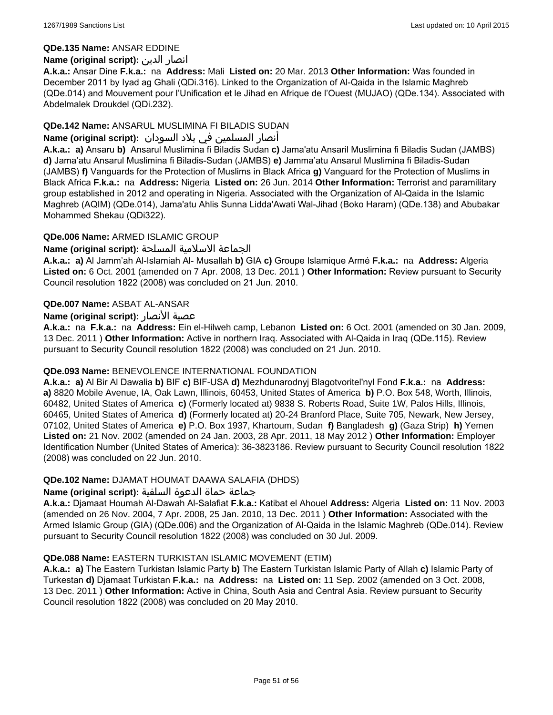# **QDe.135 Name:** ANSAR EDDINE

# **Name (original script):** الدين انصار

**A.k.a.:** Ansar Dine **F.k.a.:** na **Address:** Mali **Listed on:** 20 Mar. 2013 **Other Information:** Was founded in December 2011 by Iyad ag Ghali (QDi.316). Linked to the Organization of Al-Qaida in the Islamic Maghreb (QDe.014) and Mouvement pour l'Unification et le Jihad en Afrique de l'Ouest (MUJAO) (QDe.134). Associated with Abdelmalek Droukdel (QDi.232).

# **QDe.142 Name:** ANSARUL MUSLIMINA FI BILADIS SUDAN

# أنصار المسلمین في بلاد السودان **:(script original (Name**

**A.k.a.: a)** Ansaru **b)** Ansarul Muslimina fi Biladis Sudan **c)** Jama'atu Ansaril Muslimina fi Biladis Sudan (JAMBS) **d)** Jama'atu Ansarul Muslimina fi Biladis-Sudan (JAMBS) **e)** Jamma'atu Ansarul Muslimina fi Biladis-Sudan (JAMBS) **f)** Vanguards for the Protection of Muslims in Black Africa **g)** Vanguard for the Protection of Muslims in Black Africa **F.k.a.:** na **Address:** Nigeria **Listed on:** 26 Jun. 2014 **Other Information:** Terrorist and paramilitary group established in 2012 and operating in Nigeria. Associated with the Organization of Al-Qaida in the Islamic Maghreb (AQIM) (QDe.014), Jama'atu Ahlis Sunna Lidda'Awati Wal-Jihad (Boko Haram) (QDe.138) and Abubakar Mohammed Shekau (QDi322).

# **QDe.006 Name:** ARMED ISLAMIC GROUP

# الجماعة الاسلامية المسلحة **:(script original (Name**

**A.k.a.: a)** Al Jamm'ah Al-Islamiah Al- Musallah **b)** GIA **c)** Groupe Islamique Armé **F.k.a.:** na **Address:** Algeria **Listed on:** 6 Oct. 2001 (amended on 7 Apr. 2008, 13 Dec. 2011 ) **Other Information:** Review pursuant to Security Council resolution 1822 (2008) was concluded on 21 Jun. 2010.

# **QDe.007 Name:** ASBAT AL-ANSAR

# **Name (original script):** الأنصار عصبة

**A.k.a.:** na **F.k.a.:** na **Address:** Ein el-Hilweh camp, Lebanon **Listed on:** 6 Oct. 2001 (amended on 30 Jan. 2009, 13 Dec. 2011 ) **Other Information:** Active in northern Iraq. Associated with Al-Qaida in Iraq (QDe.115). Review pursuant to Security Council resolution 1822 (2008) was concluded on 21 Jun. 2010.

#### **QDe.093 Name:** BENEVOLENCE INTERNATIONAL FOUNDATION

**A.k.a.: a)** Al Bir Al Dawalia **b)** BIF **c)** BIF-USA **d)** Mezhdunarodnyj Blagotvoritel'nyl Fond **F.k.a.:** na **Address: a)** 8820 Mobile Avenue, IA, Oak Lawn, Illinois, 60453, United States of America **b)** P.O. Box 548, Worth, Illinois, 60482, United States of America **c)** (Formerly located at) 9838 S. Roberts Road, Suite 1W, Palos Hills, Illinois, 60465, United States of America **d)** (Formerly located at) 20-24 Branford Place, Suite 705, Newark, New Jersey, 07102, United States of America **e)** P.O. Box 1937, Khartoum, Sudan **f)** Bangladesh **g)** (Gaza Strip) **h)** Yemen **Listed on:** 21 Nov. 2002 (amended on 24 Jan. 2003, 28 Apr. 2011, 18 May 2012 ) **Other Information:** Employer Identification Number (United States of America): 36-3823186. Review pursuant to Security Council resolution 1822 (2008) was concluded on 22 Jun. 2010.

# **QDe.102 Name:** DJAMAT HOUMAT DAAWA SALAFIA (DHDS)

# جماعة حماة الدعوة السلفية **:(script original (Name**

**A.k.a.:** Djamaat Houmah Al-Dawah Al-Salafiat **F.k.a.:** Katibat el Ahouel **Address:** Algeria **Listed on:** 11 Nov. 2003 (amended on 26 Nov. 2004, 7 Apr. 2008, 25 Jan. 2010, 13 Dec. 2011 ) **Other Information:** Associated with the Armed Islamic Group (GIA) (QDe.006) and the Organization of Al-Qaida in the Islamic Maghreb (QDe.014). Review pursuant to Security Council resolution 1822 (2008) was concluded on 30 Jul. 2009.

#### **QDe.088 Name:** EASTERN TURKISTAN ISLAMIC MOVEMENT (ETIM)

**A.k.a.: a)** The Eastern Turkistan Islamic Party **b)** The Eastern Turkistan Islamic Party of Allah **c)** Islamic Party of Turkestan **d)** Djamaat Turkistan **F.k.a.:** na **Address:** na **Listed on:** 11 Sep. 2002 (amended on 3 Oct. 2008, 13 Dec. 2011 ) **Other Information:** Active in China, South Asia and Central Asia. Review pursuant to Security Council resolution 1822 (2008) was concluded on 20 May 2010.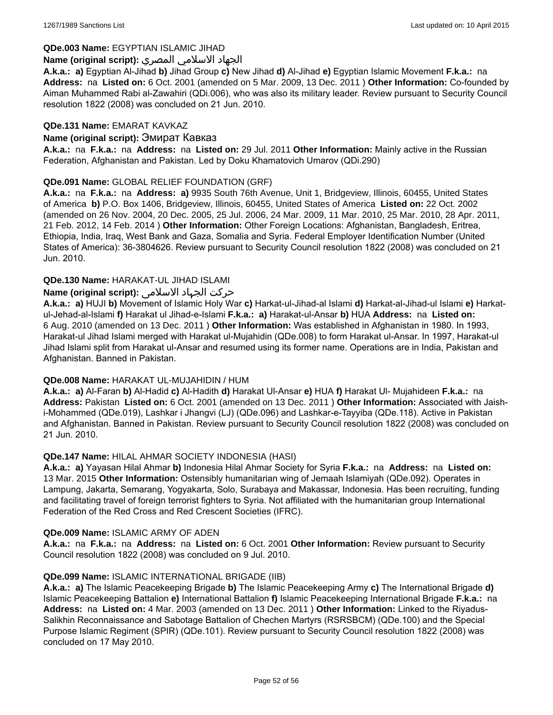#### **QDe.003 Name:** EGYPTIAN ISLAMIC JIHAD

# الجهاد الاسلامي المصري **:(script original (Name**

**A.k.a.: a)** Egyptian Al-Jihad **b)** Jihad Group **c)** New Jihad **d)** Al-Jihad **e)** Egyptian Islamic Movement **F.k.a.:** na **Address:** na **Listed on:** 6 Oct. 2001 (amended on 5 Mar. 2009, 13 Dec. 2011 ) **Other Information:** Co-founded by Aiman Muhammed Rabi al-Zawahiri (QDi.006), who was also its military leader. Review pursuant to Security Council resolution 1822 (2008) was concluded on 21 Jun. 2010.

# **QDe.131 Name:** EMARAT KAVKAZ

# **Name (original script):** Эмират Кавказ

**A.k.a.:** na **F.k.a.:** na **Address:** na **Listed on:** 29 Jul. 2011 **Other Information:** Mainly active in the Russian Federation, Afghanistan and Pakistan. Led by Doku Khamatovich Umarov (QDi.290)

# **QDe.091 Name:** GLOBAL RELIEF FOUNDATION (GRF)

**A.k.a.:** na **F.k.a.:** na **Address: a)** 9935 South 76th Avenue, Unit 1, Bridgeview, Illinois, 60455, United States of America **b)** P.O. Box 1406, Bridgeview, Illinois, 60455, United States of America **Listed on:** 22 Oct. 2002 (amended on 26 Nov. 2004, 20 Dec. 2005, 25 Jul. 2006, 24 Mar. 2009, 11 Mar. 2010, 25 Mar. 2010, 28 Apr. 2011, 21 Feb. 2012, 14 Feb. 2014 ) **Other Information:** Other Foreign Locations: Afghanistan, Bangladesh, Eritrea, Ethiopia, India, Iraq, West Bank and Gaza, Somalia and Syria. Federal Employer Identification Number (United States of America): 36-3804626. Review pursuant to Security Council resolution 1822 (2008) was concluded on 21 Jun. 2010.

# **QDe.130 Name:** HARAKAT-UL JIHAD ISLAMI

# حرکت الجہاد الاسلامی **:(script original (Name**

**A.k.a.: a)** HUJI **b)** Movement of Islamic Holy War **c)** Harkat-ul-Jihad-al Islami **d)** Harkat-al-Jihad-ul Islami **e)** Harkatul-Jehad-al-Islami **f)** Harakat ul Jihad-e-Islami **F.k.a.: a)** Harakat-ul-Ansar **b)** HUA **Address:** na **Listed on:** 6 Aug. 2010 (amended on 13 Dec. 2011 ) **Other Information:** Was established in Afghanistan in 1980. In 1993, Harakat-ul Jihad Islami merged with Harakat ul-Mujahidin (QDe.008) to form Harakat ul-Ansar. In 1997, Harakat-ul Jihad Islami split from Harakat ul-Ansar and resumed using its former name. Operations are in India, Pakistan and Afghanistan. Banned in Pakistan.

#### **QDe.008 Name:** HARAKAT UL-MUJAHIDIN / HUM

**A.k.a.: a)** Al-Faran **b)** Al-Hadid **c)** Al-Hadith **d)** Harakat Ul-Ansar **e)** HUA **f)** Harakat Ul- Mujahideen **F.k.a.:** na **Address:** Pakistan **Listed on:** 6 Oct. 2001 (amended on 13 Dec. 2011 ) **Other Information:** Associated with Jaishi-Mohammed (QDe.019), Lashkar i Jhangvi (LJ) (QDe.096) and Lashkar-e-Tayyiba (QDe.118). Active in Pakistan and Afghanistan. Banned in Pakistan. Review pursuant to Security Council resolution 1822 (2008) was concluded on 21 Jun. 2010.

### **QDe.147 Name:** HILAL AHMAR SOCIETY INDONESIA (HASI)

**A.k.a.: a)** Yayasan Hilal Ahmar **b)** Indonesia Hilal Ahmar Society for Syria **F.k.a.:** na **Address:** na **Listed on:** 13 Mar. 2015 **Other Information:** Ostensibly humanitarian wing of Jemaah Islamiyah (QDe.092). Operates in Lampung, Jakarta, Semarang, Yogyakarta, Solo, Surabaya and Makassar, Indonesia. Has been recruiting, funding and facilitating travel of foreign terrorist fighters to Syria. Not affiliated with the humanitarian group International Federation of the Red Cross and Red Crescent Societies (IFRC).

#### **QDe.009 Name:** ISLAMIC ARMY OF ADEN

**A.k.a.:** na **F.k.a.:** na **Address:** na **Listed on:** 6 Oct. 2001 **Other Information:** Review pursuant to Security Council resolution 1822 (2008) was concluded on 9 Jul. 2010.

#### **QDe.099 Name:** ISLAMIC INTERNATIONAL BRIGADE (IIB)

**A.k.a.: a)** The Islamic Peacekeeping Brigade **b)** The Islamic Peacekeeping Army **c)** The International Brigade **d)** Islamic Peacekeeping Battalion **e)** International Battalion **f)** Islamic Peacekeeping International Brigade **F.k.a.:** na **Address:** na **Listed on:** 4 Mar. 2003 (amended on 13 Dec. 2011 ) **Other Information:** Linked to the Riyadus-Salikhin Reconnaissance and Sabotage Battalion of Chechen Martyrs (RSRSBCM) (QDe.100) and the Special Purpose Islamic Regiment (SPIR) (QDe.101). Review pursuant to Security Council resolution 1822 (2008) was concluded on 17 May 2010.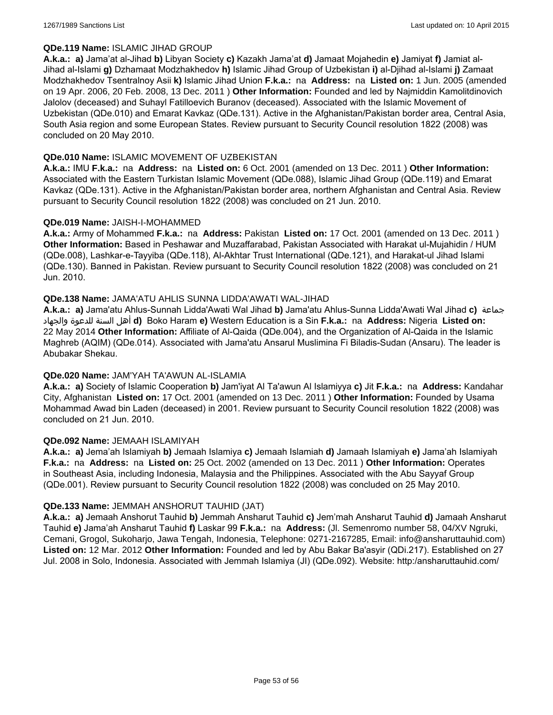# **QDe.119 Name:** ISLAMIC JIHAD GROUP

**A.k.a.: a)** Jama'at al-Jihad **b)** Libyan Society **c)** Kazakh Jama'at **d)** Jamaat Mojahedin **e)** Jamiyat **f)** Jamiat al-Jihad al-Islami **g)** Dzhamaat Modzhakhedov **h)** Islamic Jihad Group of Uzbekistan **i)** al-Djihad al-Islami **j)** Zamaat Modzhakhedov Tsentralnoy Asii **k)** Islamic Jihad Union **F.k.a.:** na **Address:** na **Listed on:** 1 Jun. 2005 (amended on 19 Apr. 2006, 20 Feb. 2008, 13 Dec. 2011 ) **Other Information:** Founded and led by Najmiddin Kamolitdinovich Jalolov (deceased) and Suhayl Fatilloevich Buranov (deceased). Associated with the Islamic Movement of Uzbekistan (QDe.010) and Emarat Kavkaz (QDe.131). Active in the Afghanistan/Pakistan border area, Central Asia, South Asia region and some European States. Review pursuant to Security Council resolution 1822 (2008) was concluded on 20 May 2010.

# **QDe.010 Name:** ISLAMIC MOVEMENT OF UZBEKISTAN

**A.k.a.:** IMU **F.k.a.:** na **Address:** na **Listed on:** 6 Oct. 2001 (amended on 13 Dec. 2011 ) **Other Information:** Associated with the Eastern Turkistan Islamic Movement (QDe.088), Islamic Jihad Group (QDe.119) and Emarat Kavkaz (QDe.131). Active in the Afghanistan/Pakistan border area, northern Afghanistan and Central Asia. Review pursuant to Security Council resolution 1822 (2008) was concluded on 21 Jun. 2010.

# **QDe.019 Name:** JAISH-I-MOHAMMED

**A.k.a.:** Army of Mohammed **F.k.a.:** na **Address:** Pakistan **Listed on:** 17 Oct. 2001 (amended on 13 Dec. 2011 ) **Other Information:** Based in Peshawar and Muzaffarabad, Pakistan Associated with Harakat ul-Mujahidin / HUM (QDe.008), Lashkar-e-Tayyiba (QDe.118), Al-Akhtar Trust International (QDe.121), and Harakat-ul Jihad Islami (QDe.130). Banned in Pakistan. Review pursuant to Security Council resolution 1822 (2008) was concluded on 21 Jun. 2010.

# **QDe.138 Name:** JAMA'ATU AHLIS SUNNA LIDDA'AWATI WAL-JIHAD

**A.k.a.: a)** Jama'atu Ahlus-Sunnah Lidda'Awati Wal Jihad **b)** Jama'atu Ahlus-Sunna Lidda'Awati Wal Jihad **c)** جماعة والجهاد للدعوة السنة أهل **d)** Boko Haram **e)** Western Education is a Sin **F.k.a.:** na **Address:** Nigeria **Listed on:** 22 May 2014 **Other Information:** Affiliate of Al-Qaida (QDe.004), and the Organization of Al-Qaida in the Islamic Maghreb (AQIM) (QDe.014). Associated with Jama'atu Ansarul Muslimina Fi Biladis-Sudan (Ansaru). The leader is Abubakar Shekau.

#### **QDe.020 Name:** JAM'YAH TA'AWUN AL-ISLAMIA

**A.k.a.: a)** Society of Islamic Cooperation **b)** Jam'iyat Al Ta'awun Al Islamiyya **c)** Jit **F.k.a.:** na **Address:** Kandahar City, Afghanistan **Listed on:** 17 Oct. 2001 (amended on 13 Dec. 2011 ) **Other Information:** Founded by Usama Mohammad Awad bin Laden (deceased) in 2001. Review pursuant to Security Council resolution 1822 (2008) was concluded on 21 Jun. 2010.

#### **QDe.092 Name:** JEMAAH ISLAMIYAH

**A.k.a.: a)** Jema'ah Islamiyah **b)** Jemaah Islamiya **c)** Jemaah Islamiah **d)** Jamaah Islamiyah **e)** Jama'ah Islamiyah **F.k.a.:** na **Address:** na **Listed on:** 25 Oct. 2002 (amended on 13 Dec. 2011 ) **Other Information:** Operates in Southeast Asia, including Indonesia, Malaysia and the Philippines. Associated with the Abu Sayyaf Group (QDe.001). Review pursuant to Security Council resolution 1822 (2008) was concluded on 25 May 2010.

# **QDe.133 Name:** JEMMAH ANSHORUT TAUHID (JAT)

**A.k.a.: a)** Jemaah Anshorut Tauhid **b)** Jemmah Ansharut Tauhid **c)** Jem'mah Ansharut Tauhid **d)** Jamaah Ansharut Tauhid **e)** Jama'ah Ansharut Tauhid **f)** Laskar 99 **F.k.a.:** na **Address:** (Jl. Semenromo number 58, 04/XV Ngruki, Cemani, Grogol, Sukoharjo, Jawa Tengah, Indonesia, Telephone: 0271-2167285, Email: info@ansharuttauhid.com) **Listed on:** 12 Mar. 2012 **Other Information:** Founded and led by Abu Bakar Ba'asyir (QDi.217). Established on 27 Jul. 2008 in Solo, Indonesia. Associated with Jemmah Islamiya (JI) (QDe.092). Website: http:/ansharuttauhid.com/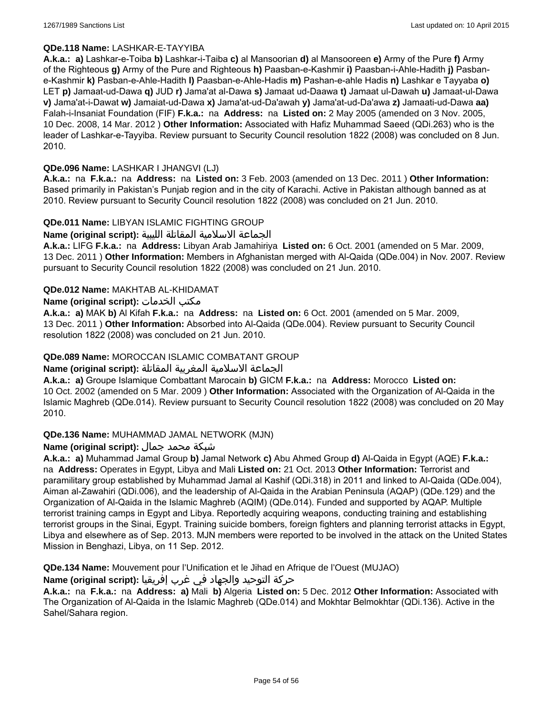# **QDe.118 Name:** LASHKAR-E-TAYYIBA

**A.k.a.: a)** Lashkar-e-Toiba **b)** Lashkar-i-Taiba **c)** al Mansoorian **d)** al Mansooreen **e)** Army of the Pure **f)** Army of the Righteous **g)** Army of the Pure and Righteous **h)** Paasban-e-Kashmir **i)** Paasban-i-Ahle-Hadith **j)** Pasbane-Kashmir **k)** Pasban-e-Ahle-Hadith **l)** Paasban-e-Ahle-Hadis **m)** Pashan-e-ahle Hadis **n)** Lashkar e Tayyaba **o)** LET **p)** Jamaat-ud-Dawa **q)** JUD **r)** Jama'at al-Dawa **s)** Jamaat ud-Daawa **t)** Jamaat ul-Dawah **u)** Jamaat-ul-Dawa **v)** Jama'at-i-Dawat **w)** Jamaiat-ud-Dawa **x)** Jama'at-ud-Da'awah **y)** Jama'at-ud-Da'awa **z)** Jamaati-ud-Dawa **aa)** Falah-i-Insaniat Foundation (FIF) **F.k.a.:** na **Address:** na **Listed on:** 2 May 2005 (amended on 3 Nov. 2005, 10 Dec. 2008, 14 Mar. 2012 ) **Other Information:** Associated with Hafiz Muhammad Saeed (QDi.263) who is the leader of Lashkar-e-Tayyiba. Review pursuant to Security Council resolution 1822 (2008) was concluded on 8 Jun. 2010.

# **QDe.096 Name:** LASHKAR I JHANGVI (LJ)

**A.k.a.:** na **F.k.a.:** na **Address:** na **Listed on:** 3 Feb. 2003 (amended on 13 Dec. 2011 ) **Other Information:** Based primarily in Pakistan's Punjab region and in the city of Karachi. Active in Pakistan although banned as at 2010. Review pursuant to Security Council resolution 1822 (2008) was concluded on 21 Jun. 2010.

# **QDe.011 Name:** LIBYAN ISLAMIC FIGHTING GROUP

الجماعة الاسلامية المقاتلة الليبية **:(script original (Name**

**A.k.a.:** LIFG **F.k.a.:** na **Address:** Libyan Arab Jamahiriya **Listed on:** 6 Oct. 2001 (amended on 5 Mar. 2009, 13 Dec. 2011 ) **Other Information:** Members in Afghanistan merged with Al-Qaida (QDe.004) in Nov. 2007. Review pursuant to Security Council resolution 1822 (2008) was concluded on 21 Jun. 2010.

# **QDe.012 Name:** MAKHTAB AL-KHIDAMAT

# **Name (original script):** الخدمات مكتب

**A.k.a.: a)** MAK **b)** Al Kifah **F.k.a.:** na **Address:** na **Listed on:** 6 Oct. 2001 (amended on 5 Mar. 2009, 13 Dec. 2011 ) **Other Information:** Absorbed into Al-Qaida (QDe.004). Review pursuant to Security Council resolution 1822 (2008) was concluded on 21 Jun. 2010.

# **QDe.089 Name:** MOROCCAN ISLAMIC COMBATANT GROUP

# الجماعة الاسلامية المغربية المقاتلة **:(script original (Name**

**A.k.a.: a)** Groupe Islamique Combattant Marocain **b)** GICM **F.k.a.:** na **Address:** Morocco **Listed on:** 10 Oct. 2002 (amended on 5 Mar. 2009 ) **Other Information:** Associated with the Organization of Al-Qaida in the Islamic Maghreb (QDe.014). Review pursuant to Security Council resolution 1822 (2008) was concluded on 20 May 2010.

#### **QDe.136 Name:** MUHAMMAD JAMAL NETWORK (MJN)

# شبكة محمد جمال **:(script original (Name**

**A.k.a.: a)** Muhammad Jamal Group **b)** Jamal Network **c)** Abu Ahmed Group **d)** Al-Qaida in Egypt (AQE) **F.k.a.:**  na **Address:** Operates in Egypt, Libya and Mali **Listed on:** 21 Oct. 2013 **Other Information:** Terrorist and paramilitary group established by Muhammad Jamal al Kashif (QDi.318) in 2011 and linked to Al-Qaida (QDe.004), Aiman al-Zawahiri (QDi.006), and the leadership of Al-Qaida in the Arabian Peninsula (AQAP) (QDe.129) and the Organization of Al-Qaida in the Islamic Maghreb (AQIM) (QDe.014). Funded and supported by AQAP. Multiple terrorist training camps in Egypt and Libya. Reportedly acquiring weapons, conducting training and establishing terrorist groups in the Sinai, Egypt. Training suicide bombers, foreign fighters and planning terrorist attacks in Egypt, Libya and elsewhere as of Sep. 2013. MJN members were reported to be involved in the attack on the United States Mission in Benghazi, Libya, on 11 Sep. 2012.

**QDe.134 Name:** Mouvement pour l'Unification et le Jihad en Afrique de l'Ouest (MUJAO)

### حركة التوحيد والجهاد في غرب إفريقيا **:Name (original script)**

**A.k.a.:** na **F.k.a.:** na **Address: a)** Mali **b)** Algeria **Listed on:** 5 Dec. 2012 **Other Information:** Associated with The Organization of Al-Qaida in the Islamic Maghreb (QDe.014) and Mokhtar Belmokhtar (QDi.136). Active in the Sahel/Sahara region.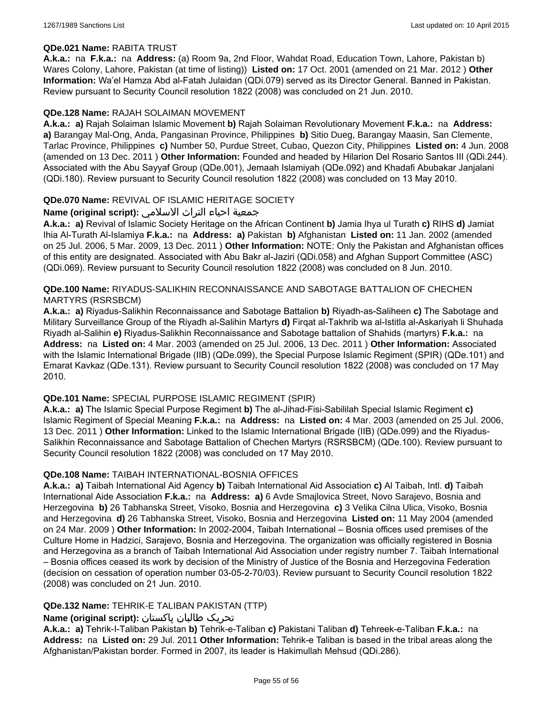#### **QDe.021 Name:** RABITA TRUST

**A.k.a.:** na **F.k.a.:** na **Address:** (a) Room 9a, 2nd Floor, Wahdat Road, Education Town, Lahore, Pakistan b) Wares Colony, Lahore, Pakistan (at time of listing)) **Listed on:** 17 Oct. 2001 (amended on 21 Mar. 2012 ) **Other Information:** Wa'el Hamza Abd al-Fatah Julaidan (QDi.079) served as its Director General. Banned in Pakistan. Review pursuant to Security Council resolution 1822 (2008) was concluded on 21 Jun. 2010.

# **QDe.128 Name:** RAJAH SOLAIMAN MOVEMENT

**A.k.a.: a)** Rajah Solaiman Islamic Movement **b)** Rajah Solaiman Revolutionary Movement **F.k.a.:** na **Address: a)** Barangay Mal-Ong, Anda, Pangasinan Province, Philippines **b)** Sitio Dueg, Barangay Maasin, San Clemente, Tarlac Province, Philippines **c)** Number 50, Purdue Street, Cubao, Quezon City, Philippines **Listed on:** 4 Jun. 2008 (amended on 13 Dec. 2011 ) **Other Information:** Founded and headed by Hilarion Del Rosario Santos III (QDi.244). Associated with the Abu Sayyaf Group (QDe.001), Jemaah Islamiyah (QDe.092) and Khadafi Abubakar Janjalani (QDi.180). Review pursuant to Security Council resolution 1822 (2008) was concluded on 13 May 2010.

# **QDe.070 Name:** REVIVAL OF ISLAMIC HERITAGE SOCIETY

# جمعية احياء التراث الاسلامي **:(script original (Name**

**A.k.a.: a)** Revival of Islamic Society Heritage on the African Continent **b)** Jamia Ihya ul Turath **c)** RIHS **d)** Jamiat Ihia Al-Turath Al-Islamiya **F.k.a.:** na **Address: a)** Pakistan **b)** Afghanistan **Listed on:** 11 Jan. 2002 (amended on 25 Jul. 2006, 5 Mar. 2009, 13 Dec. 2011 ) **Other Information:** NOTE: Only the Pakistan and Afghanistan offices of this entity are designated. Associated with Abu Bakr al-Jaziri (QDi.058) and Afghan Support Committee (ASC) (QDi.069). Review pursuant to Security Council resolution 1822 (2008) was concluded on 8 Jun. 2010.

#### **QDe.100 Name:** RIYADUS-SALIKHIN RECONNAISSANCE AND SABOTAGE BATTALION OF CHECHEN MARTYRS (RSRSBCM)

**A.k.a.: a)** Riyadus-Salikhin Reconnaissance and Sabotage Battalion **b)** Riyadh-as-Saliheen **c)** The Sabotage and Military Surveillance Group of the Riyadh al-Salihin Martyrs **d)** Firqat al-Takhrib wa al-Istitla al-Askariyah li Shuhada Riyadh al-Salihin **e)** Riyadus-Salikhin Reconnaissance and Sabotage battalion of Shahids (martyrs) **F.k.a.:** na **Address:** na **Listed on:** 4 Mar. 2003 (amended on 25 Jul. 2006, 13 Dec. 2011 ) **Other Information:** Associated with the Islamic International Brigade (IIB) (QDe.099), the Special Purpose Islamic Regiment (SPIR) (QDe.101) and Emarat Kavkaz (QDe.131). Review pursuant to Security Council resolution 1822 (2008) was concluded on 17 May 2010.

#### **QDe.101 Name:** SPECIAL PURPOSE ISLAMIC REGIMENT (SPIR)

**A.k.a.: a)** The Islamic Special Purpose Regiment **b)** The al-Jihad-Fisi-Sabililah Special Islamic Regiment **c)** Islamic Regiment of Special Meaning **F.k.a.:** na **Address:** na **Listed on:** 4 Mar. 2003 (amended on 25 Jul. 2006, 13 Dec. 2011 ) **Other Information:** Linked to the Islamic International Brigade (IIB) (QDe.099) and the Riyadus-Salikhin Reconnaissance and Sabotage Battalion of Chechen Martyrs (RSRSBCM) (QDe.100). Review pursuant to Security Council resolution 1822 (2008) was concluded on 17 May 2010.

#### **QDe.108 Name:** TAIBAH INTERNATIONAL-BOSNIA OFFICES

**A.k.a.: a)** Taibah International Aid Agency **b)** Taibah International Aid Association **c)** Al Taibah, Intl. **d)** Taibah International Aide Association **F.k.a.:** na **Address: a)** 6 Avde Smajlovica Street, Novo Sarajevo, Bosnia and Herzegovina **b)** 26 Tabhanska Street, Visoko, Bosnia and Herzegovina **c)** 3 Velika Cilna Ulica, Visoko, Bosnia and Herzegovina **d)** 26 Tabhanska Street, Visoko, Bosnia and Herzegovina **Listed on:** 11 May 2004 (amended on 24 Mar. 2009 ) **Other Information:** In 2002-2004, Taibah International – Bosnia offices used premises of the Culture Home in Hadzici, Sarajevo, Bosnia and Herzegovina. The organization was officially registered in Bosnia and Herzegovina as a branch of Taibah International Aid Association under registry number 7. Taibah International – Bosnia offices ceased its work by decision of the Ministry of Justice of the Bosnia and Herzegovina Federation (decision on cessation of operation number 03-05-2-70/03). Review pursuant to Security Council resolution 1822 (2008) was concluded on 21 Jun. 2010.

# **QDe.132 Name:** TEHRIK-E TALIBAN PAKISTAN (TTP)

# تحریک طالبان پاکستان **:(script original (Name**

**A.k.a.: a)** Tehrik-I-Taliban Pakistan **b)** Tehrik-e-Taliban **c)** Pakistani Taliban **d)** Tehreek-e-Taliban **F.k.a.:** na **Address:** na **Listed on:** 29 Jul. 2011 **Other Information:** Tehrik-e Taliban is based in the tribal areas along the Afghanistan/Pakistan border. Formed in 2007, its leader is Hakimullah Mehsud (QDi.286).